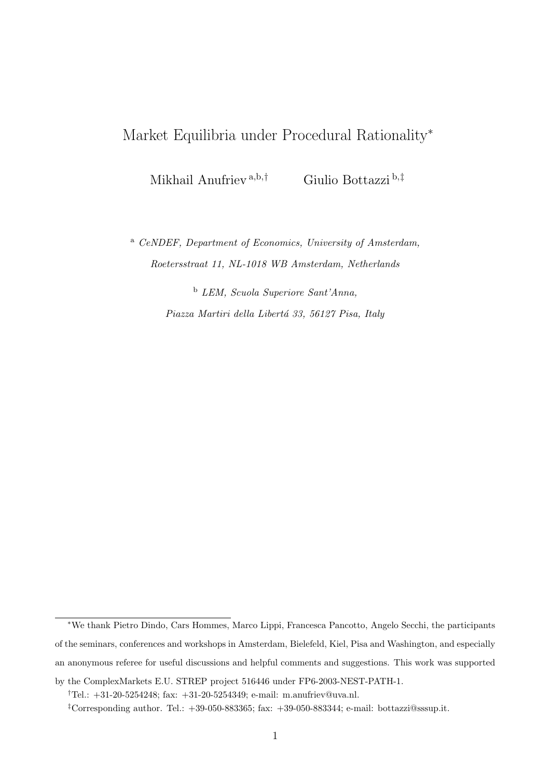# Market Equilibria under Procedural Rationality<sup>∗</sup>

Mikhail Anufriev <sup>a</sup>,b,† Giulio Bottazzi <sup>b</sup>,‡

<sup>a</sup> CeNDEF, Department of Economics, University of Amsterdam, Roetersstraat 11, NL-1018 WB Amsterdam, Netherlands

> <sup>b</sup> LEM, Scuola Superiore Sant'Anna, Piazza Martiri della Libertá 33, 56127 Pisa, Italy

<sup>∗</sup>We thank Pietro Dindo, Cars Hommes, Marco Lippi, Francesca Pancotto, Angelo Secchi, the participants of the seminars, conferences and workshops in Amsterdam, Bielefeld, Kiel, Pisa and Washington, and especially an anonymous referee for useful discussions and helpful comments and suggestions. This work was supported by the ComplexMarkets E.U. STREP project 516446 under FP6-2003-NEST-PATH-1.

<sup>†</sup>Tel.: +31-20-5254248; fax: +31-20-5254349; e-mail: m.anufriev@uva.nl.

<sup>&</sup>lt;sup>‡</sup>Corresponding author. Tel.:  $+39-050-883365$ ; fax:  $+39-050-883344$ ; e-mail: bottazzi@sssup.it.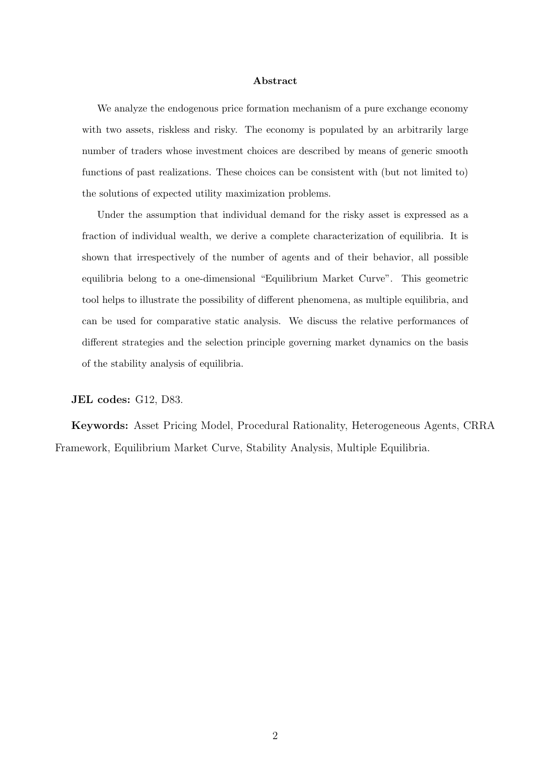#### Abstract

We analyze the endogenous price formation mechanism of a pure exchange economy with two assets, riskless and risky. The economy is populated by an arbitrarily large number of traders whose investment choices are described by means of generic smooth functions of past realizations. These choices can be consistent with (but not limited to) the solutions of expected utility maximization problems.

Under the assumption that individual demand for the risky asset is expressed as a fraction of individual wealth, we derive a complete characterization of equilibria. It is shown that irrespectively of the number of agents and of their behavior, all possible equilibria belong to a one-dimensional "Equilibrium Market Curve". This geometric tool helps to illustrate the possibility of different phenomena, as multiple equilibria, and can be used for comparative static analysis. We discuss the relative performances of different strategies and the selection principle governing market dynamics on the basis of the stability analysis of equilibria.

#### JEL codes: G12, D83.

Keywords: Asset Pricing Model, Procedural Rationality, Heterogeneous Agents, CRRA Framework, Equilibrium Market Curve, Stability Analysis, Multiple Equilibria.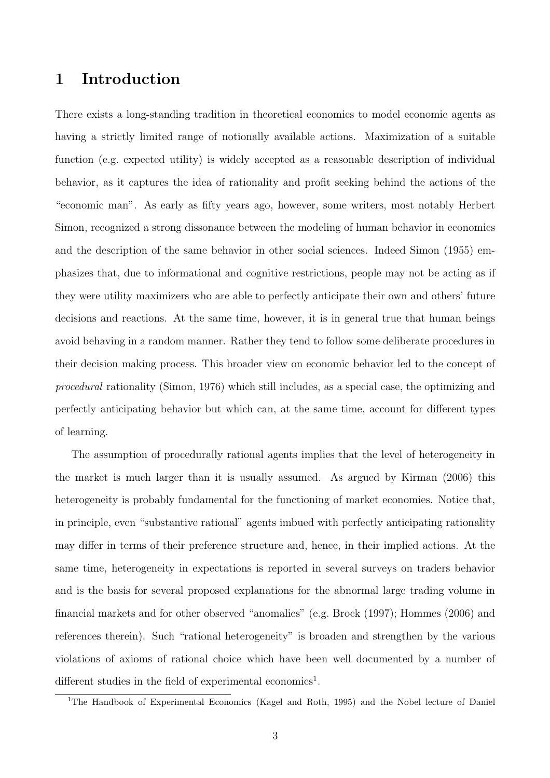## 1 Introduction

There exists a long-standing tradition in theoretical economics to model economic agents as having a strictly limited range of notionally available actions. Maximization of a suitable function (e.g. expected utility) is widely accepted as a reasonable description of individual behavior, as it captures the idea of rationality and profit seeking behind the actions of the "economic man". As early as fifty years ago, however, some writers, most notably Herbert Simon, recognized a strong dissonance between the modeling of human behavior in economics and the description of the same behavior in other social sciences. Indeed Simon (1955) emphasizes that, due to informational and cognitive restrictions, people may not be acting as if they were utility maximizers who are able to perfectly anticipate their own and others' future decisions and reactions. At the same time, however, it is in general true that human beings avoid behaving in a random manner. Rather they tend to follow some deliberate procedures in their decision making process. This broader view on economic behavior led to the concept of procedural rationality (Simon, 1976) which still includes, as a special case, the optimizing and perfectly anticipating behavior but which can, at the same time, account for different types of learning.

The assumption of procedurally rational agents implies that the level of heterogeneity in the market is much larger than it is usually assumed. As argued by Kirman (2006) this heterogeneity is probably fundamental for the functioning of market economies. Notice that, in principle, even "substantive rational" agents imbued with perfectly anticipating rationality may differ in terms of their preference structure and, hence, in their implied actions. At the same time, heterogeneity in expectations is reported in several surveys on traders behavior and is the basis for several proposed explanations for the abnormal large trading volume in financial markets and for other observed "anomalies" (e.g. Brock (1997); Hommes (2006) and references therein). Such "rational heterogeneity" is broaden and strengthen by the various violations of axioms of rational choice which have been well documented by a number of different studies in the field of experimental economics<sup>1</sup>.

<sup>&</sup>lt;sup>1</sup>The Handbook of Experimental Economics (Kagel and Roth, 1995) and the Nobel lecture of Daniel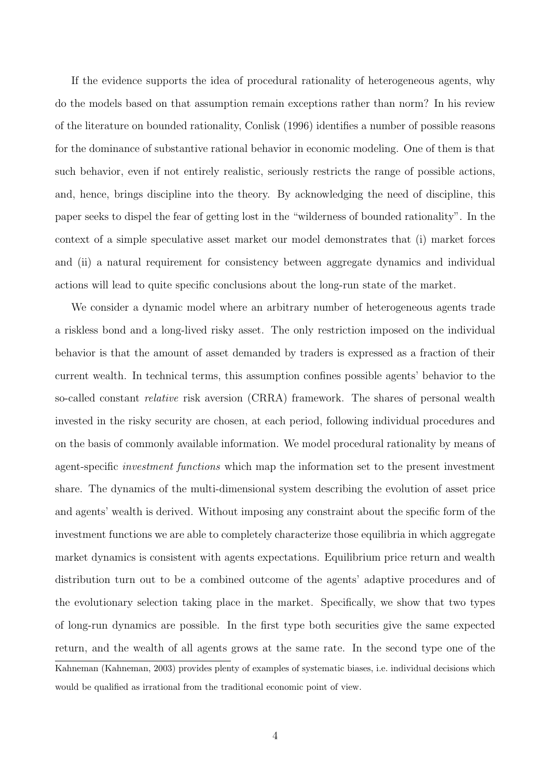If the evidence supports the idea of procedural rationality of heterogeneous agents, why do the models based on that assumption remain exceptions rather than norm? In his review of the literature on bounded rationality, Conlisk (1996) identifies a number of possible reasons for the dominance of substantive rational behavior in economic modeling. One of them is that such behavior, even if not entirely realistic, seriously restricts the range of possible actions, and, hence, brings discipline into the theory. By acknowledging the need of discipline, this paper seeks to dispel the fear of getting lost in the "wilderness of bounded rationality". In the context of a simple speculative asset market our model demonstrates that (i) market forces and (ii) a natural requirement for consistency between aggregate dynamics and individual actions will lead to quite specific conclusions about the long-run state of the market.

We consider a dynamic model where an arbitrary number of heterogeneous agents trade a riskless bond and a long-lived risky asset. The only restriction imposed on the individual behavior is that the amount of asset demanded by traders is expressed as a fraction of their current wealth. In technical terms, this assumption confines possible agents' behavior to the so-called constant relative risk aversion (CRRA) framework. The shares of personal wealth invested in the risky security are chosen, at each period, following individual procedures and on the basis of commonly available information. We model procedural rationality by means of agent-specific investment functions which map the information set to the present investment share. The dynamics of the multi-dimensional system describing the evolution of asset price and agents' wealth is derived. Without imposing any constraint about the specific form of the investment functions we are able to completely characterize those equilibria in which aggregate market dynamics is consistent with agents expectations. Equilibrium price return and wealth distribution turn out to be a combined outcome of the agents' adaptive procedures and of the evolutionary selection taking place in the market. Specifically, we show that two types of long-run dynamics are possible. In the first type both securities give the same expected return, and the wealth of all agents grows at the same rate. In the second type one of the Kahneman (Kahneman, 2003) provides plenty of examples of systematic biases, i.e. individual decisions which would be qualified as irrational from the traditional economic point of view.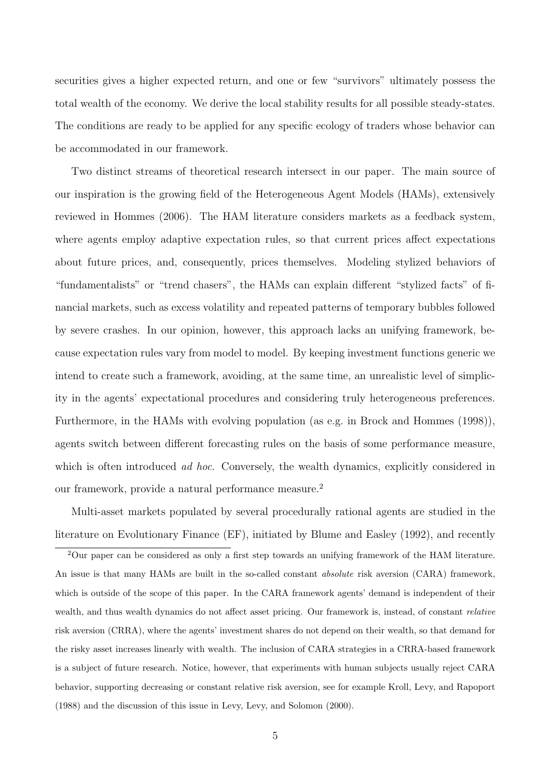securities gives a higher expected return, and one or few "survivors" ultimately possess the total wealth of the economy. We derive the local stability results for all possible steady-states. The conditions are ready to be applied for any specific ecology of traders whose behavior can be accommodated in our framework.

Two distinct streams of theoretical research intersect in our paper. The main source of our inspiration is the growing field of the Heterogeneous Agent Models (HAMs), extensively reviewed in Hommes (2006). The HAM literature considers markets as a feedback system, where agents employ adaptive expectation rules, so that current prices affect expectations about future prices, and, consequently, prices themselves. Modeling stylized behaviors of "fundamentalists" or "trend chasers", the HAMs can explain different "stylized facts" of financial markets, such as excess volatility and repeated patterns of temporary bubbles followed by severe crashes. In our opinion, however, this approach lacks an unifying framework, because expectation rules vary from model to model. By keeping investment functions generic we intend to create such a framework, avoiding, at the same time, an unrealistic level of simplicity in the agents' expectational procedures and considering truly heterogeneous preferences. Furthermore, in the HAMs with evolving population (as e.g. in Brock and Hommes (1998)), agents switch between different forecasting rules on the basis of some performance measure, which is often introduced *ad hoc.* Conversely, the wealth dynamics, explicitly considered in our framework, provide a natural performance measure.<sup>2</sup>

Multi-asset markets populated by several procedurally rational agents are studied in the literature on Evolutionary Finance (EF), initiated by Blume and Easley (1992), and recently

<sup>2</sup>Our paper can be considered as only a first step towards an unifying framework of the HAM literature. An issue is that many HAMs are built in the so-called constant absolute risk aversion (CARA) framework, which is outside of the scope of this paper. In the CARA framework agents' demand is independent of their wealth, and thus wealth dynamics do not affect asset pricing. Our framework is, instead, of constant *relative* risk aversion (CRRA), where the agents' investment shares do not depend on their wealth, so that demand for the risky asset increases linearly with wealth. The inclusion of CARA strategies in a CRRA-based framework is a subject of future research. Notice, however, that experiments with human subjects usually reject CARA behavior, supporting decreasing or constant relative risk aversion, see for example Kroll, Levy, and Rapoport (1988) and the discussion of this issue in Levy, Levy, and Solomon (2000).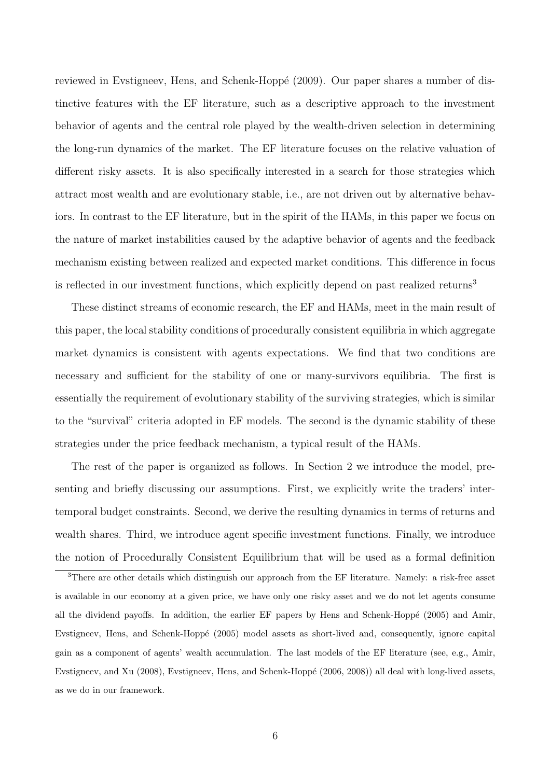reviewed in Evstigneev, Hens, and Schenk-Hoppé (2009). Our paper shares a number of distinctive features with the EF literature, such as a descriptive approach to the investment behavior of agents and the central role played by the wealth-driven selection in determining the long-run dynamics of the market. The EF literature focuses on the relative valuation of different risky assets. It is also specifically interested in a search for those strategies which attract most wealth and are evolutionary stable, i.e., are not driven out by alternative behaviors. In contrast to the EF literature, but in the spirit of the HAMs, in this paper we focus on the nature of market instabilities caused by the adaptive behavior of agents and the feedback mechanism existing between realized and expected market conditions. This difference in focus is reflected in our investment functions, which explicitly depend on past realized returns<sup>3</sup>

These distinct streams of economic research, the EF and HAMs, meet in the main result of this paper, the local stability conditions of procedurally consistent equilibria in which aggregate market dynamics is consistent with agents expectations. We find that two conditions are necessary and sufficient for the stability of one or many-survivors equilibria. The first is essentially the requirement of evolutionary stability of the surviving strategies, which is similar to the "survival" criteria adopted in EF models. The second is the dynamic stability of these strategies under the price feedback mechanism, a typical result of the HAMs.

The rest of the paper is organized as follows. In Section 2 we introduce the model, presenting and briefly discussing our assumptions. First, we explicitly write the traders' intertemporal budget constraints. Second, we derive the resulting dynamics in terms of returns and wealth shares. Third, we introduce agent specific investment functions. Finally, we introduce the notion of Procedurally Consistent Equilibrium that will be used as a formal definition

<sup>3</sup>There are other details which distinguish our approach from the EF literature. Namely: a risk-free asset is available in our economy at a given price, we have only one risky asset and we do not let agents consume all the dividend payoffs. In addition, the earlier EF papers by Hens and Schenk-Hoppé (2005) and Amir, Evstigneev, Hens, and Schenk-Hoppé (2005) model assets as short-lived and, consequently, ignore capital gain as a component of agents' wealth accumulation. The last models of the EF literature (see, e.g., Amir, Evstigneev, and Xu (2008), Evstigneev, Hens, and Schenk-Hoppé (2006, 2008)) all deal with long-lived assets, as we do in our framework.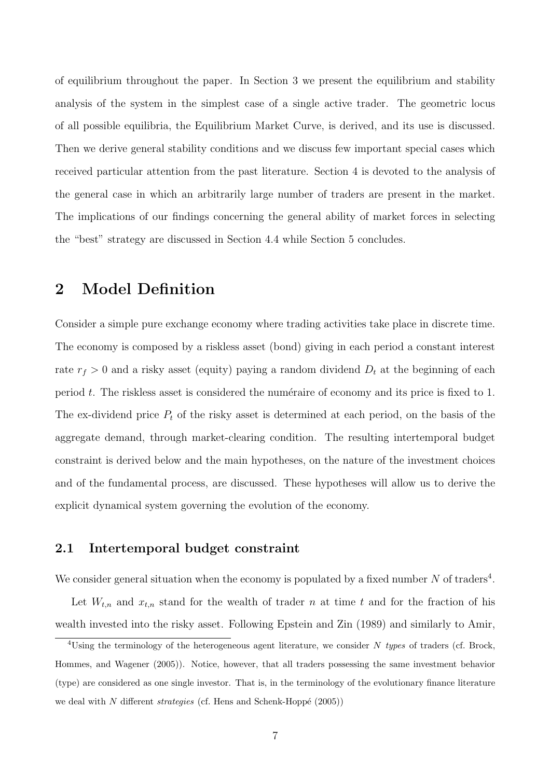of equilibrium throughout the paper. In Section 3 we present the equilibrium and stability analysis of the system in the simplest case of a single active trader. The geometric locus of all possible equilibria, the Equilibrium Market Curve, is derived, and its use is discussed. Then we derive general stability conditions and we discuss few important special cases which received particular attention from the past literature. Section 4 is devoted to the analysis of the general case in which an arbitrarily large number of traders are present in the market. The implications of our findings concerning the general ability of market forces in selecting the "best" strategy are discussed in Section 4.4 while Section 5 concludes.

## 2 Model Definition

Consider a simple pure exchange economy where trading activities take place in discrete time. The economy is composed by a riskless asset (bond) giving in each period a constant interest rate  $r_f > 0$  and a risky asset (equity) paying a random dividend  $D_t$  at the beginning of each period t. The riskless asset is considered the numéraire of economy and its price is fixed to 1. The ex-dividend price  $P_t$  of the risky asset is determined at each period, on the basis of the aggregate demand, through market-clearing condition. The resulting intertemporal budget constraint is derived below and the main hypotheses, on the nature of the investment choices and of the fundamental process, are discussed. These hypotheses will allow us to derive the explicit dynamical system governing the evolution of the economy.

## 2.1 Intertemporal budget constraint

We consider general situation when the economy is populated by a fixed number  $N$  of traders<sup>4</sup>.

Let  $W_{t,n}$  and  $x_{t,n}$  stand for the wealth of trader n at time t and for the fraction of his wealth invested into the risky asset. Following Epstein and Zin (1989) and similarly to Amir,

<sup>&</sup>lt;sup>4</sup>Using the terminology of the heterogeneous agent literature, we consider  $N$  types of traders (cf. Brock, Hommes, and Wagener (2005)). Notice, however, that all traders possessing the same investment behavior (type) are considered as one single investor. That is, in the terminology of the evolutionary finance literature we deal with N different strategies (cf. Hens and Schenk-Hoppé  $(2005)$ )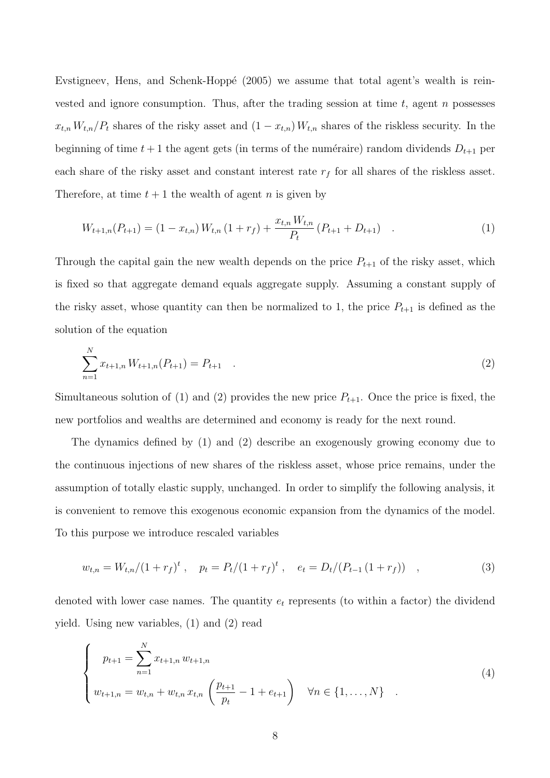Evstigneev, Hens, and Schenk-Hoppé (2005) we assume that total agent's wealth is reinvested and ignore consumption. Thus, after the trading session at time  $t$ , agent  $n$  possesses  $x_{t,n} W_{t,n}/P_t$  shares of the risky asset and  $(1 - x_{t,n}) W_{t,n}$  shares of the riskless security. In the beginning of time  $t + 1$  the agent gets (in terms of the numéraire) random dividends  $D_{t+1}$  per each share of the risky asset and constant interest rate  $r_f$  for all shares of the riskless asset. Therefore, at time  $t + 1$  the wealth of agent n is given by

$$
W_{t+1,n}(P_{t+1}) = (1 - x_{t,n}) W_{t,n} (1 + r_f) + \frac{x_{t,n} W_{t,n}}{P_t} (P_{t+1} + D_{t+1}) \quad . \tag{1}
$$

Through the capital gain the new wealth depends on the price  $P_{t+1}$  of the risky asset, which is fixed so that aggregate demand equals aggregate supply. Assuming a constant supply of the risky asset, whose quantity can then be normalized to 1, the price  $P_{t+1}$  is defined as the solution of the equation

$$
\sum_{n=1}^{N} x_{t+1,n} W_{t+1,n}(P_{t+1}) = P_{t+1} \quad . \tag{2}
$$

Simultaneous solution of (1) and (2) provides the new price  $P_{t+1}$ . Once the price is fixed, the new portfolios and wealths are determined and economy is ready for the next round.

The dynamics defined by (1) and (2) describe an exogenously growing economy due to the continuous injections of new shares of the riskless asset, whose price remains, under the assumption of totally elastic supply, unchanged. In order to simplify the following analysis, it is convenient to remove this exogenous economic expansion from the dynamics of the model. To this purpose we introduce rescaled variables

$$
w_{t,n} = W_{t,n}/(1+r_f)^t \ , \quad p_t = P_t/(1+r_f)^t \ , \quad e_t = D_t/(P_{t-1}(1+r_f)) \quad , \tag{3}
$$

denoted with lower case names. The quantity  $e_t$  represents (to within a factor) the dividend yield. Using new variables, (1) and (2) read

$$
\begin{cases}\n p_{t+1} = \sum_{n=1}^{N} x_{t+1,n} w_{t+1,n} \\
 w_{t+1,n} = w_{t,n} + w_{t,n} x_{t,n} \left( \frac{p_{t+1}}{p_t} - 1 + e_{t+1} \right) \quad \forall n \in \{1, ..., N\} \quad .\n\end{cases} \tag{4}
$$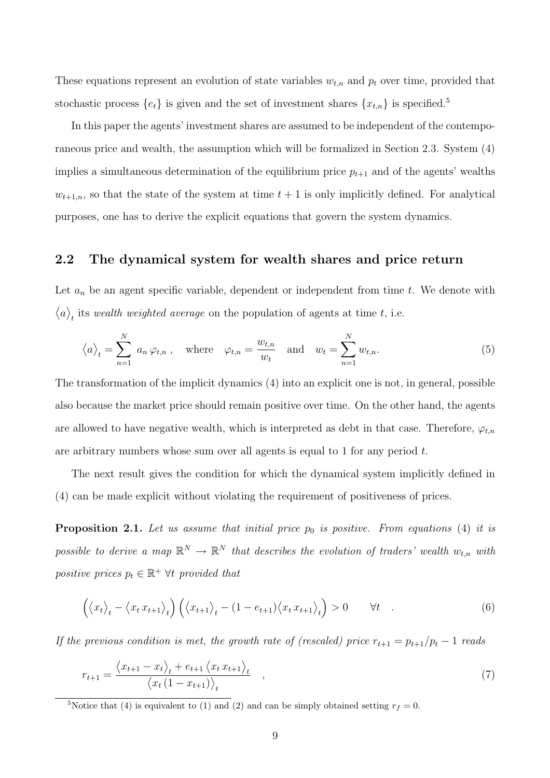These equations represent an evolution of state variables  $w_{t,n}$  and  $p_t$  over time, provided that stochastic process  $\{e_t\}$  is given and the set of investment shares  $\{x_{t,n}\}$  is specified.<sup>5</sup>

In this paper the agents' investment shares are assumed to be independent of the contemporaneous price and wealth, the assumption which will be formalized in Section 2.3. System (4) implies a simultaneous determination of the equilibrium price  $p_{t+1}$  and of the agents' wealths  $w_{t+1,n}$ , so that the state of the system at time  $t+1$  is only implicitly defined. For analytical purposes, one has to derive the explicit equations that govern the system dynamics.

## 2.2 The dynamical system for wealth shares and price return

Let  $a_n$  be an agent specific variable, dependent or independent from time t. We denote with  $\overline{\phantom{a}}$ a ®  $_{t}$  its wealth weighted average on the population of agents at time t, i.e.

$$
\langle a \rangle_t = \sum_{n=1}^N a_n \varphi_{t,n}
$$
, where  $\varphi_{t,n} = \frac{w_{t,n}}{w_t}$  and  $w_t = \sum_{n=1}^N w_{t,n}$ . (5)

The transformation of the implicit dynamics (4) into an explicit one is not, in general, possible also because the market price should remain positive over time. On the other hand, the agents are allowed to have negative wealth, which is interpreted as debt in that case. Therefore,  $\varphi_{t,n}$ are arbitrary numbers whose sum over all agents is equal to 1 for any period  $t$ .

The next result gives the condition for which the dynamical system implicitly defined in (4) can be made explicit without violating the requirement of positiveness of prices.

**Proposition 2.1.** Let us assume that initial price  $p_0$  is positive. From equations (4) it is possible to derive a map  $\mathbb{R}^N \to \mathbb{R}^N$  that describes the evolution of traders' wealth  $w_{t,n}$  with positive prices  $p_t \in \mathbb{R}^+$   $\forall t$  provided that

$$
\left(\left\langle x_t\right\rangle_t - \left\langle x_t x_{t+1}\right\rangle_t\right) \left(\left\langle x_{t+1}\right\rangle_t - (1 - e_{t+1})\left\langle x_t x_{t+1}\right\rangle_t\right) > 0 \qquad \forall t \quad . \tag{6}
$$

If the previous condition is met, the growth rate of (rescaled) price  $r_{t+1} = p_{t+1}/p_t - 1$  reads

$$
r_{t+1} = \frac{\langle x_{t+1} - x_t \rangle_t + e_{t+1} \langle x_t x_{t+1} \rangle_t}{\langle x_t (1 - x_{t+1}) \rangle_t}, \qquad (7)
$$

<sup>&</sup>lt;sup>5</sup>Notice that (4) is equivalent to (1) and (2) and can be simply obtained setting  $r_f = 0$ .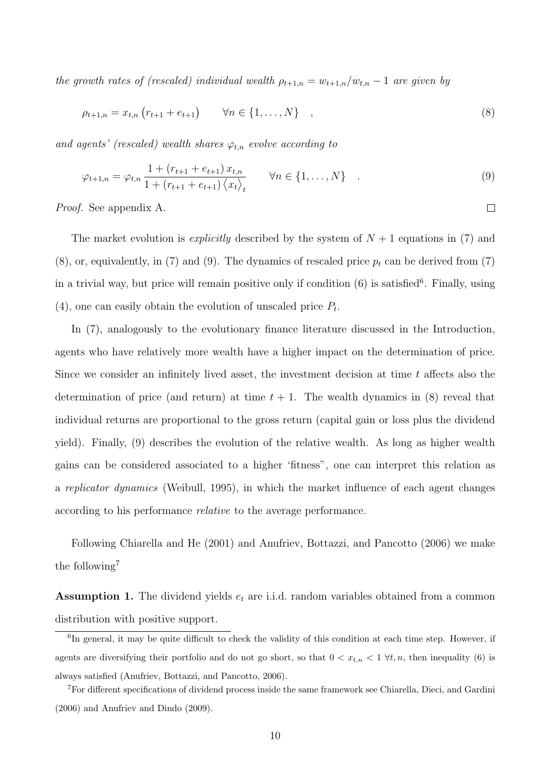the growth rates of (rescaled) individual wealth  $\rho_{t+1,n} = w_{t+1,n}/w_{t,n} - 1$  are given by

$$
\rho_{t+1,n} = x_{t,n} \left( r_{t+1} + e_{t+1} \right) \qquad \forall n \in \{1, ..., N\} \quad , \tag{8}
$$

and agents' (rescaled) wealth shares  $\varphi_{t,n}$  evolve according to

$$
\varphi_{t+1,n} = \varphi_{t,n} \frac{1 + (r_{t+1} + e_{t+1}) x_{t,n}}{1 + (r_{t+1} + e_{t+1}) \langle x_t \rangle_t} \qquad \forall n \in \{1, ..., N\} \quad . \tag{9}
$$

 $\Box$ 

Proof. See appendix A.

The market evolution is *explicitly* described by the system of  $N + 1$  equations in (7) and  $(8)$ , or, equivalently, in (7) and (9). The dynamics of rescaled price  $p_t$  can be derived from (7) in a trivial way, but price will remain positive only if condition  $(6)$  is satisfied<sup>6</sup>. Finally, using  $(4)$ , one can easily obtain the evolution of unscaled price  $P_t$ .

In (7), analogously to the evolutionary finance literature discussed in the Introduction, agents who have relatively more wealth have a higher impact on the determination of price. Since we consider an infinitely lived asset, the investment decision at time t affects also the determination of price (and return) at time  $t + 1$ . The wealth dynamics in (8) reveal that individual returns are proportional to the gross return (capital gain or loss plus the dividend yield). Finally, (9) describes the evolution of the relative wealth. As long as higher wealth gains can be considered associated to a higher 'fitness", one can interpret this relation as a replicator dynamics (Weibull, 1995), in which the market influence of each agent changes according to his performance relative to the average performance.

Following Chiarella and He (2001) and Anufriev, Bottazzi, and Pancotto (2006) we make the following<sup>7</sup>

**Assumption 1.** The dividend yields  $e_t$  are i.i.d. random variables obtained from a common distribution with positive support.

<sup>&</sup>lt;sup>6</sup>In general, it may be quite difficult to check the validity of this condition at each time step. However, if agents are diversifying their portfolio and do not go short, so that  $0 < x_{t,n} < 1 \forall t, n$ , then inequality (6) is always satisfied (Anufriev, Bottazzi, and Pancotto, 2006).

<sup>7</sup>For different specifications of dividend process inside the same framework see Chiarella, Dieci, and Gardini (2006) and Anufriev and Dindo (2009).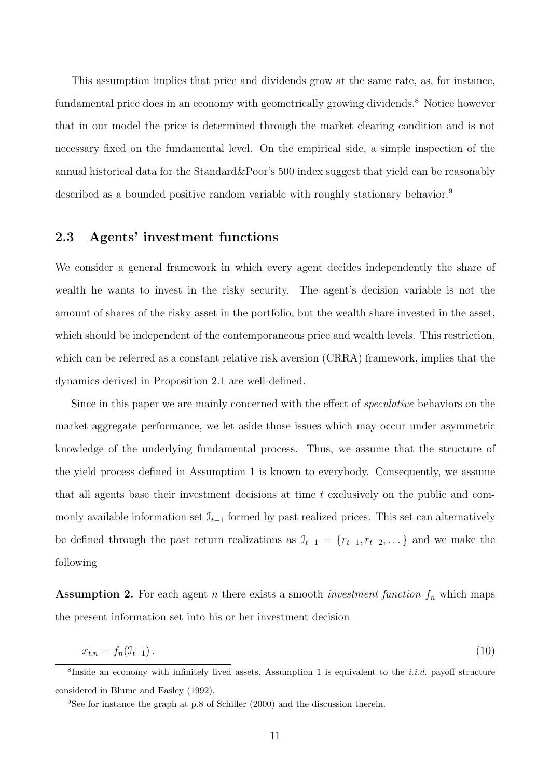This assumption implies that price and dividends grow at the same rate, as, for instance, fundamental price does in an economy with geometrically growing dividends.<sup>8</sup> Notice however that in our model the price is determined through the market clearing condition and is not necessary fixed on the fundamental level. On the empirical side, a simple inspection of the annual historical data for the Standard&Poor's 500 index suggest that yield can be reasonably described as a bounded positive random variable with roughly stationary behavior.<sup>9</sup>

### 2.3 Agents' investment functions

We consider a general framework in which every agent decides independently the share of wealth he wants to invest in the risky security. The agent's decision variable is not the amount of shares of the risky asset in the portfolio, but the wealth share invested in the asset, which should be independent of the contemporaneous price and wealth levels. This restriction, which can be referred as a constant relative risk aversion (CRRA) framework, implies that the dynamics derived in Proposition 2.1 are well-defined.

Since in this paper we are mainly concerned with the effect of speculative behaviors on the market aggregate performance, we let aside those issues which may occur under asymmetric knowledge of the underlying fundamental process. Thus, we assume that the structure of the yield process defined in Assumption 1 is known to everybody. Consequently, we assume that all agents base their investment decisions at time t exclusively on the public and commonly available information set  $\mathcal{I}_{t-1}$  formed by past realized prices. This set can alternatively be defined through the past return realizations as  $\mathcal{I}_{t-1} = \{r_{t-1}, r_{t-2}, \dots\}$  and we make the following

**Assumption 2.** For each agent n there exists a smooth *investment function*  $f_n$  which maps the present information set into his or her investment decision

$$
x_{t,n} = f_n(\mathbf{J}_{t-1}). \tag{10}
$$

<sup>8</sup>Inside an economy with infinitely lived assets, Assumption 1 is equivalent to the *i.i.d.* payoff structure considered in Blume and Easley (1992).

 $9$ See for instance the graph at p.8 of Schiller (2000) and the discussion therein.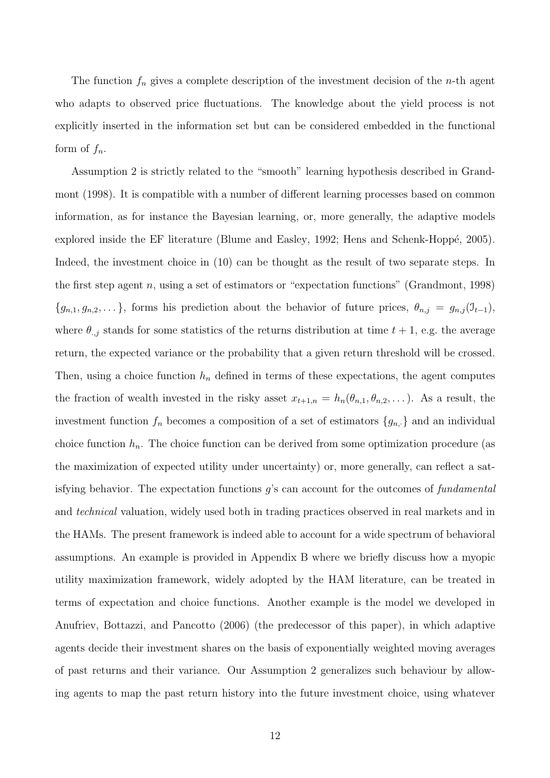The function  $f_n$  gives a complete description of the investment decision of the *n*-th agent who adapts to observed price fluctuations. The knowledge about the yield process is not explicitly inserted in the information set but can be considered embedded in the functional form of  $f_n$ .

Assumption 2 is strictly related to the "smooth" learning hypothesis described in Grandmont (1998). It is compatible with a number of different learning processes based on common information, as for instance the Bayesian learning, or, more generally, the adaptive models explored inside the EF literature (Blume and Easley, 1992; Hens and Schenk-Hoppé, 2005). Indeed, the investment choice in  $(10)$  can be thought as the result of two separate steps. In the first step agent n, using a set of estimators or "expectation functions" (Grandmont,  $1998$ )  $\{g_{n,1}, g_{n,2}, \ldots\}$ , forms his prediction about the behavior of future prices,  $\theta_{n,j} = g_{n,j}(\mathfrak{I}_{t-1}),$ where  $\theta_{i,j}$  stands for some statistics of the returns distribution at time  $t + 1$ , e.g. the average return, the expected variance or the probability that a given return threshold will be crossed. Then, using a choice function  $h_n$  defined in terms of these expectations, the agent computes the fraction of wealth invested in the risky asset  $x_{t+1,n} = h_n(\theta_{n,1}, \theta_{n,2}, \dots)$ . As a result, the investment function  $f_n$  becomes a composition of a set of estimators  $\{g_{n,\cdot}\}\$  and an individual choice function  $h_n$ . The choice function can be derived from some optimization procedure (as the maximization of expected utility under uncertainty) or, more generally, can reflect a satisfying behavior. The expectation functions  $g$ 's can account for the outcomes of *fundamental* and technical valuation, widely used both in trading practices observed in real markets and in the HAMs. The present framework is indeed able to account for a wide spectrum of behavioral assumptions. An example is provided in Appendix B where we briefly discuss how a myopic utility maximization framework, widely adopted by the HAM literature, can be treated in terms of expectation and choice functions. Another example is the model we developed in Anufriev, Bottazzi, and Pancotto (2006) (the predecessor of this paper), in which adaptive agents decide their investment shares on the basis of exponentially weighted moving averages of past returns and their variance. Our Assumption 2 generalizes such behaviour by allowing agents to map the past return history into the future investment choice, using whatever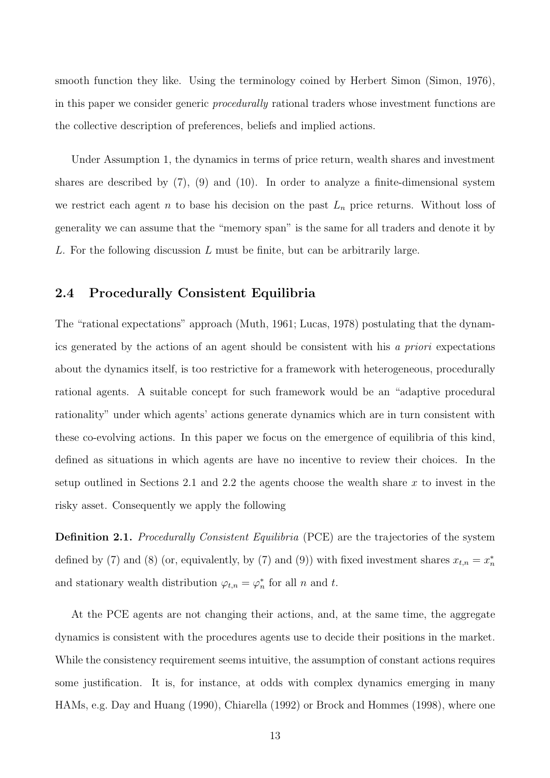smooth function they like. Using the terminology coined by Herbert Simon (Simon, 1976), in this paper we consider generic *procedurally* rational traders whose investment functions are the collective description of preferences, beliefs and implied actions.

Under Assumption 1, the dynamics in terms of price return, wealth shares and investment shares are described by (7), (9) and (10). In order to analyze a finite-dimensional system we restrict each agent n to base his decision on the past  $L_n$  price returns. Without loss of generality we can assume that the "memory span" is the same for all traders and denote it by L. For the following discussion L must be finite, but can be arbitrarily large.

## 2.4 Procedurally Consistent Equilibria

The "rational expectations" approach (Muth, 1961; Lucas, 1978) postulating that the dynamics generated by the actions of an agent should be consistent with his a priori expectations about the dynamics itself, is too restrictive for a framework with heterogeneous, procedurally rational agents. A suitable concept for such framework would be an "adaptive procedural rationality" under which agents' actions generate dynamics which are in turn consistent with these co-evolving actions. In this paper we focus on the emergence of equilibria of this kind, defined as situations in which agents are have no incentive to review their choices. In the setup outlined in Sections 2.1 and 2.2 the agents choose the wealth share  $x$  to invest in the risky asset. Consequently we apply the following

Definition 2.1. Procedurally Consistent Equilibria (PCE) are the trajectories of the system defined by (7) and (8) (or, equivalently, by (7) and (9)) with fixed investment shares  $x_{t,n} = x_n^*$ and stationary wealth distribution  $\varphi_{t,n} = \varphi_n^*$  for all n and t.

At the PCE agents are not changing their actions, and, at the same time, the aggregate dynamics is consistent with the procedures agents use to decide their positions in the market. While the consistency requirement seems intuitive, the assumption of constant actions requires some justification. It is, for instance, at odds with complex dynamics emerging in many HAMs, e.g. Day and Huang (1990), Chiarella (1992) or Brock and Hommes (1998), where one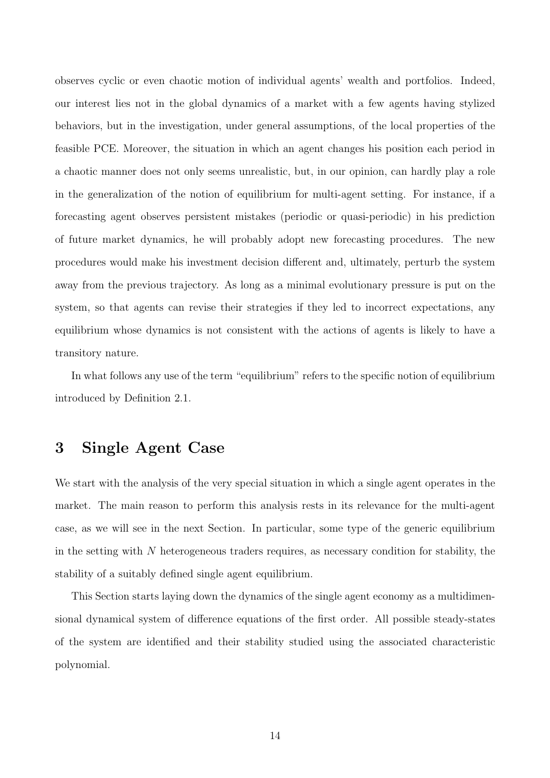observes cyclic or even chaotic motion of individual agents' wealth and portfolios. Indeed, our interest lies not in the global dynamics of a market with a few agents having stylized behaviors, but in the investigation, under general assumptions, of the local properties of the feasible PCE. Moreover, the situation in which an agent changes his position each period in a chaotic manner does not only seems unrealistic, but, in our opinion, can hardly play a role in the generalization of the notion of equilibrium for multi-agent setting. For instance, if a forecasting agent observes persistent mistakes (periodic or quasi-periodic) in his prediction of future market dynamics, he will probably adopt new forecasting procedures. The new procedures would make his investment decision different and, ultimately, perturb the system away from the previous trajectory. As long as a minimal evolutionary pressure is put on the system, so that agents can revise their strategies if they led to incorrect expectations, any equilibrium whose dynamics is not consistent with the actions of agents is likely to have a transitory nature.

In what follows any use of the term "equilibrium" refers to the specific notion of equilibrium introduced by Definition 2.1.

## 3 Single Agent Case

We start with the analysis of the very special situation in which a single agent operates in the market. The main reason to perform this analysis rests in its relevance for the multi-agent case, as we will see in the next Section. In particular, some type of the generic equilibrium in the setting with  $N$  heterogeneous traders requires, as necessary condition for stability, the stability of a suitably defined single agent equilibrium.

This Section starts laying down the dynamics of the single agent economy as a multidimensional dynamical system of difference equations of the first order. All possible steady-states of the system are identified and their stability studied using the associated characteristic polynomial.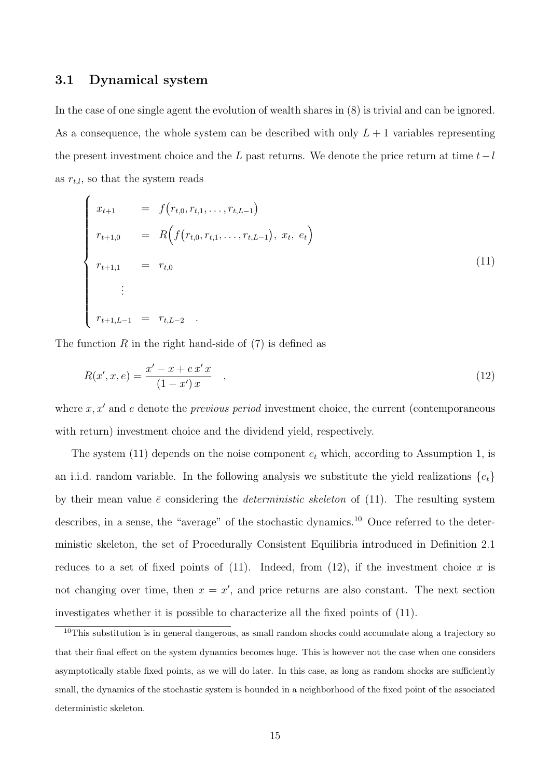## 3.1 Dynamical system

 $\overline{ }$ 

In the case of one single agent the evolution of wealth shares in (8) is trivial and can be ignored. As a consequence, the whole system can be described with only  $L + 1$  variables representing the present investment choice and the L past returns. We denote the price return at time  $t-l$ as  $r_{t,l}$ , so that the system reads

$$
\begin{cases}\n x_{t+1} = f(r_{t,0}, r_{t,1}, \dots, r_{t,L-1}) \\
 r_{t+1,0} = R\Big(f(r_{t,0}, r_{t,1}, \dots, r_{t,L-1}), x_t, e_t\Big) \\
 r_{t+1,1} = r_{t,0} \\
 \vdots \\
 r_{t+1,L-1} = r_{t,L-2} .\n\end{cases}
$$
\n(11)

The function  $R$  in the right hand-side of  $(7)$  is defined as

$$
R(x', x, e) = \frac{x' - x + e x' x}{(1 - x') x} \quad , \tag{12}
$$

where  $x, x'$  and e denote the *previous period* investment choice, the current (contemporaneous with return) investment choice and the dividend yield, respectively.

The system (11) depends on the noise component  $e_t$  which, according to Assumption 1, is an i.i.d. random variable. In the following analysis we substitute the yield realizations  $\{e_t\}$ by their mean value  $\bar{e}$  considering the *deterministic skeleton* of (11). The resulting system describes, in a sense, the "average" of the stochastic dynamics.<sup>10</sup> Once referred to the deterministic skeleton, the set of Procedurally Consistent Equilibria introduced in Definition 2.1 reduces to a set of fixed points of  $(11)$ . Indeed, from  $(12)$ , if the investment choice x is not changing over time, then  $x = x'$ , and price returns are also constant. The next section investigates whether it is possible to characterize all the fixed points of (11).

 $10$ This substitution is in general dangerous, as small random shocks could accumulate along a trajectory so that their final effect on the system dynamics becomes huge. This is however not the case when one considers asymptotically stable fixed points, as we will do later. In this case, as long as random shocks are sufficiently small, the dynamics of the stochastic system is bounded in a neighborhood of the fixed point of the associated deterministic skeleton.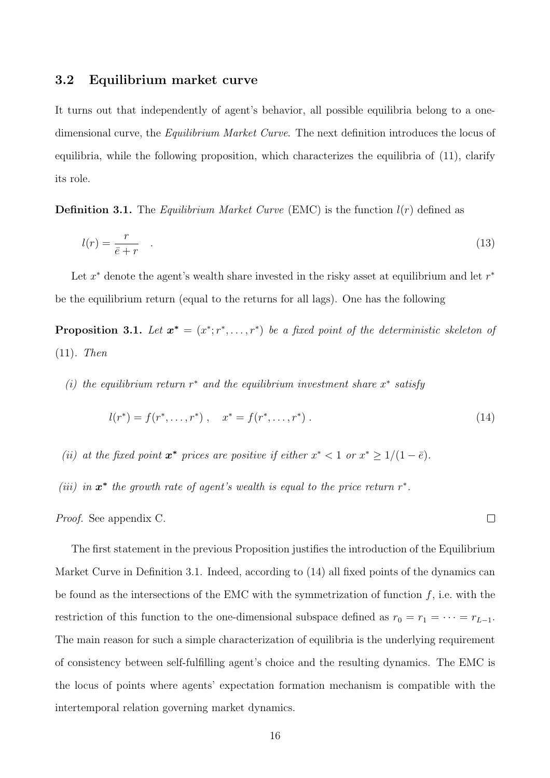### 3.2 Equilibrium market curve

It turns out that independently of agent's behavior, all possible equilibria belong to a onedimensional curve, the Equilibrium Market Curve. The next definition introduces the locus of equilibria, while the following proposition, which characterizes the equilibria of (11), clarify its role.

**Definition 3.1.** The *Equilibrium Market Curve* (EMC) is the function  $l(r)$  defined as

$$
l(r) = \frac{r}{\bar{e} + r} \quad . \tag{13}
$$

Let  $x^*$  denote the agent's wealth share invested in the risky asset at equilibrium and let  $r^*$ be the equilibrium return (equal to the returns for all lags). One has the following

**Proposition 3.1.** Let  $x^* = (x^*; r^*, \ldots, r^*)$  be a fixed point of the deterministic skeleton of (11). Then

(i) the equilibrium return  $r^*$  and the equilibrium investment share  $x^*$  satisfy

$$
l(r^*) = f(r^*, \dots, r^*) , \quad x^* = f(r^*, \dots, r^*) . \tag{14}
$$

 $\Box$ 

(ii) at the fixed point  $x^*$  prices are positive if either  $x^* < 1$  or  $x^* \geq 1/(1 - \bar{e})$ .

(iii) in  $x^*$  the growth rate of agent's wealth is equal to the price return  $r^*$ .

Proof. See appendix C.

The first statement in the previous Proposition justifies the introduction of the Equilibrium Market Curve in Definition 3.1. Indeed, according to (14) all fixed points of the dynamics can be found as the intersections of the EMC with the symmetrization of function  $f$ , i.e. with the restriction of this function to the one-dimensional subspace defined as  $r_0 = r_1 = \cdots = r_{L-1}$ . The main reason for such a simple characterization of equilibria is the underlying requirement of consistency between self-fulfilling agent's choice and the resulting dynamics. The EMC is the locus of points where agents' expectation formation mechanism is compatible with the intertemporal relation governing market dynamics.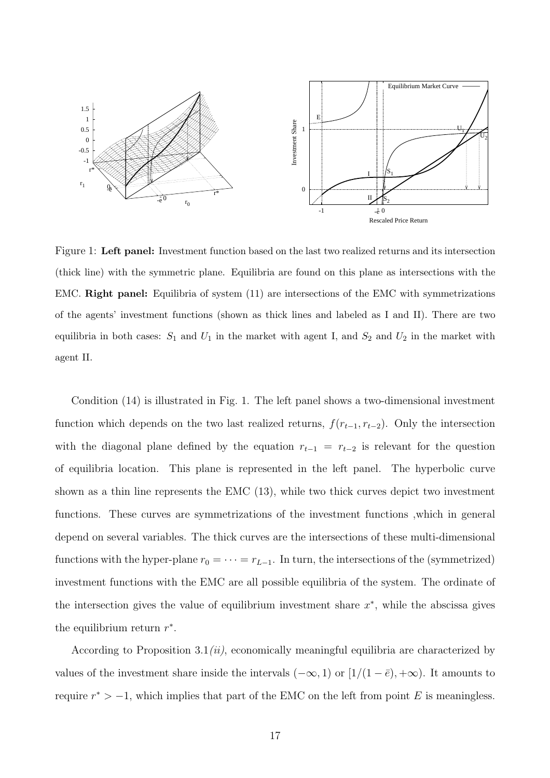

Figure 1: Left panel: Investment function based on the last two realized returns and its intersection (thick line) with the symmetric plane. Equilibria are found on this plane as intersections with the EMC. Right panel: Equilibria of system (11) are intersections of the EMC with symmetrizations of the agents' investment functions (shown as thick lines and labeled as I and II). There are two equilibria in both cases:  $S_1$  and  $U_1$  in the market with agent I, and  $S_2$  and  $U_2$  in the market with agent II.

Condition (14) is illustrated in Fig. 1. The left panel shows a two-dimensional investment function which depends on the two last realized returns,  $f(r_{t-1}, r_{t-2})$ . Only the intersection with the diagonal plane defined by the equation  $r_{t-1} = r_{t-2}$  is relevant for the question of equilibria location. This plane is represented in the left panel. The hyperbolic curve shown as a thin line represents the EMC (13), while two thick curves depict two investment functions. These curves are symmetrizations of the investment functions ,which in general depend on several variables. The thick curves are the intersections of these multi-dimensional functions with the hyper-plane  $r_0 = \cdots = r_{L-1}$ . In turn, the intersections of the (symmetrized) investment functions with the EMC are all possible equilibria of the system. The ordinate of the intersection gives the value of equilibrium investment share  $x^*$ , while the abscissa gives the equilibrium return  $r^*$ .

According to Proposition 3.1 $(ii)$ , economically meaningful equilibria are characterized by values of the investment share inside the intervals  $(-\infty, 1)$  or  $[1/(1 - \bar{e}), +\infty)$ . It amounts to require  $r^* > -1$ , which implies that part of the EMC on the left from point E is meaningless.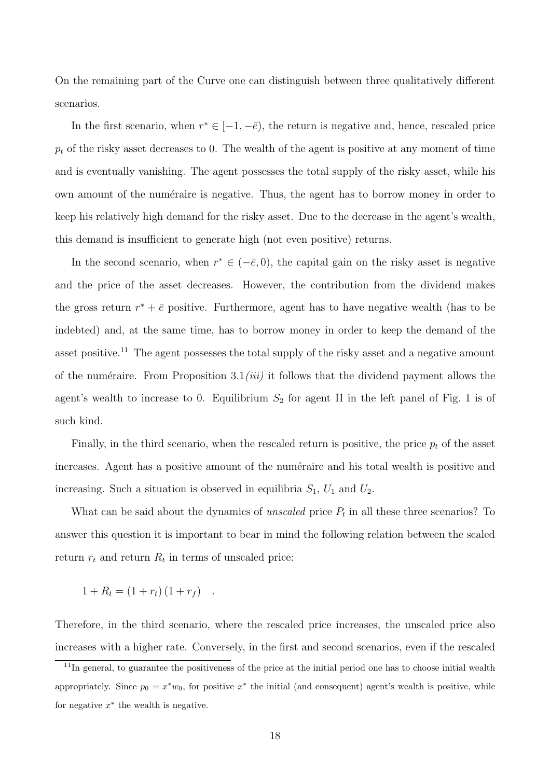On the remaining part of the Curve one can distinguish between three qualitatively different scenarios.

In the first scenario, when  $r^* \in [-1, -\bar{e})$ , the return is negative and, hence, rescaled price  $p_t$  of the risky asset decreases to 0. The wealth of the agent is positive at any moment of time and is eventually vanishing. The agent possesses the total supply of the risky asset, while his own amount of the numéraire is negative. Thus, the agent has to borrow money in order to keep his relatively high demand for the risky asset. Due to the decrease in the agent's wealth, this demand is insufficient to generate high (not even positive) returns.

In the second scenario, when  $r^* \in (-\bar{e}, 0)$ , the capital gain on the risky asset is negative and the price of the asset decreases. However, the contribution from the dividend makes the gross return  $r^* + \bar{e}$  positive. Furthermore, agent has to have negative wealth (has to be indebted) and, at the same time, has to borrow money in order to keep the demand of the asset positive.<sup>11</sup> The agent possesses the total supply of the risky asset and a negative amount of the numéraire. From Proposition  $3.1(iii)$  it follows that the dividend payment allows the agent's wealth to increase to 0. Equilibrium  $S_2$  for agent II in the left panel of Fig. 1 is of such kind.

Finally, in the third scenario, when the rescaled return is positive, the price  $p_t$  of the asset increases. Agent has a positive amount of the numéraire and his total wealth is positive and increasing. Such a situation is observed in equilibria  $S_1$ ,  $U_1$  and  $U_2$ .

What can be said about the dynamics of *unscaled* price  $P_t$  in all these three scenarios? To answer this question it is important to bear in mind the following relation between the scaled return  $r_t$  and return  $R_t$  in terms of unscaled price:

$$
1 + R_t = (1 + r_t) (1 + r_f) .
$$

Therefore, in the third scenario, where the rescaled price increases, the unscaled price also increases with a higher rate. Conversely, in the first and second scenarios, even if the rescaled

<sup>&</sup>lt;sup>11</sup>In general, to guarantee the positiveness of the price at the initial period one has to choose initial wealth appropriately. Since  $p_0 = x^*w_0$ , for positive  $x^*$  the initial (and consequent) agent's wealth is positive, while for negative  $x^*$  the wealth is negative.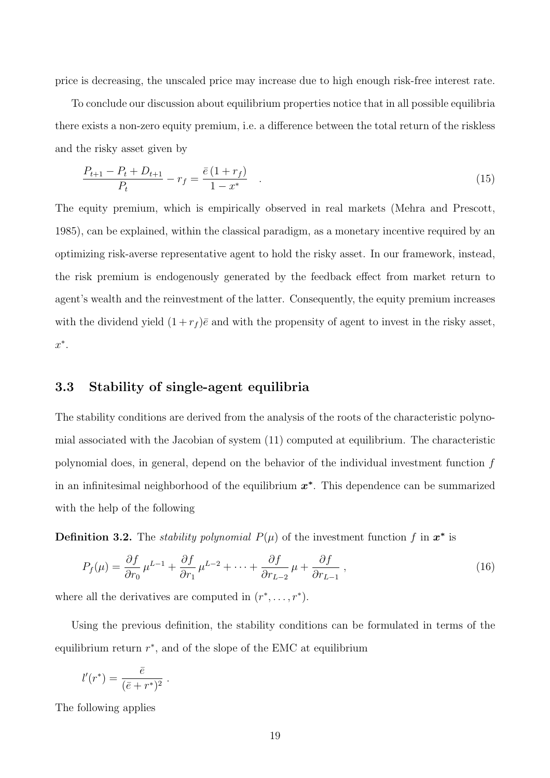price is decreasing, the unscaled price may increase due to high enough risk-free interest rate.

To conclude our discussion about equilibrium properties notice that in all possible equilibria there exists a non-zero equity premium, i.e. a difference between the total return of the riskless and the risky asset given by

$$
\frac{P_{t+1} - P_t + D_{t+1}}{P_t} - r_f = \frac{\bar{e}(1 + r_f)}{1 - x^*} \quad . \tag{15}
$$

The equity premium, which is empirically observed in real markets (Mehra and Prescott, 1985), can be explained, within the classical paradigm, as a monetary incentive required by an optimizing risk-averse representative agent to hold the risky asset. In our framework, instead, the risk premium is endogenously generated by the feedback effect from market return to agent's wealth and the reinvestment of the latter. Consequently, the equity premium increases with the dividend yield  $(1 + r_f)\bar{e}$  and with the propensity of agent to invest in the risky asset,  $x^*$ .

## 3.3 Stability of single-agent equilibria

The stability conditions are derived from the analysis of the roots of the characteristic polynomial associated with the Jacobian of system (11) computed at equilibrium. The characteristic polynomial does, in general, depend on the behavior of the individual investment function  $f$ in an infinitesimal neighborhood of the equilibrium  $x^*$ . This dependence can be summarized with the help of the following

**Definition 3.2.** The *stability polynomial*  $P(\mu)$  of the investment function f in  $x^*$  is

$$
P_f(\mu) = \frac{\partial f}{\partial r_0} \mu^{L-1} + \frac{\partial f}{\partial r_1} \mu^{L-2} + \dots + \frac{\partial f}{\partial r_{L-2}} \mu + \frac{\partial f}{\partial r_{L-1}}\,,\tag{16}
$$

where all the derivatives are computed in  $(r^*, \ldots, r^*)$ .

Using the previous definition, the stability conditions can be formulated in terms of the equilibrium return  $r^*$ , and of the slope of the EMC at equilibrium

$$
l'(r^*) = \frac{\bar{e}}{(\bar{e} + r^*)^2}.
$$

The following applies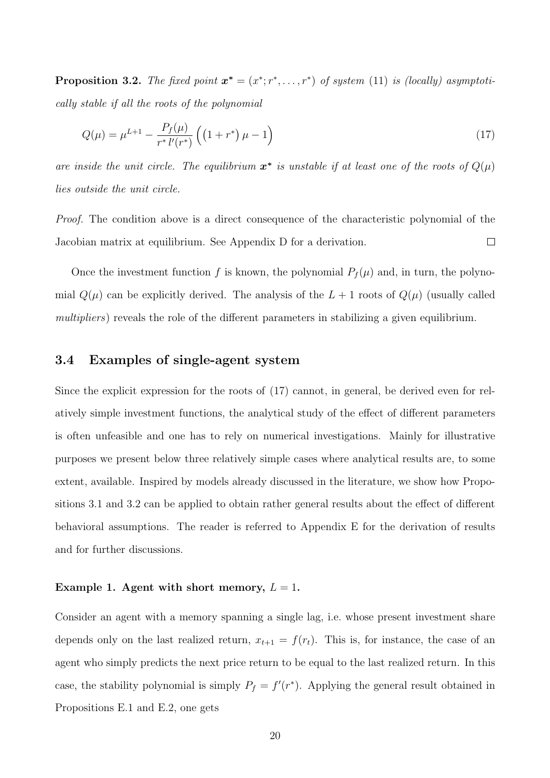**Proposition 3.2.** The fixed point  $x^* = (x^*; r^*, \ldots, r^*)$  of system (11) is (locally) asymptotically stable if all the roots of the polynomial

$$
Q(\mu) = \mu^{L+1} - \frac{P_f(\mu)}{r^* l'(r^*)} \left( \left( 1 + r^* \right) \mu - 1 \right) \tag{17}
$$

are inside the unit circle. The equilibrium  $x^*$  is unstable if at least one of the roots of  $Q(\mu)$ lies outside the unit circle.

Proof. The condition above is a direct consequence of the characteristic polynomial of the Jacobian matrix at equilibrium. See Appendix D for a derivation.  $\Box$ 

Once the investment function f is known, the polynomial  $P_f(\mu)$  and, in turn, the polynomial  $Q(\mu)$  can be explicitly derived. The analysis of the  $L + 1$  roots of  $Q(\mu)$  (usually called multipliers) reveals the role of the different parameters in stabilizing a given equilibrium.

### 3.4 Examples of single-agent system

Since the explicit expression for the roots of (17) cannot, in general, be derived even for relatively simple investment functions, the analytical study of the effect of different parameters is often unfeasible and one has to rely on numerical investigations. Mainly for illustrative purposes we present below three relatively simple cases where analytical results are, to some extent, available. Inspired by models already discussed in the literature, we show how Propositions 3.1 and 3.2 can be applied to obtain rather general results about the effect of different behavioral assumptions. The reader is referred to Appendix E for the derivation of results and for further discussions.

#### Example 1. Agent with short memory,  $L = 1$ .

Consider an agent with a memory spanning a single lag, i.e. whose present investment share depends only on the last realized return,  $x_{t+1} = f(r_t)$ . This is, for instance, the case of an agent who simply predicts the next price return to be equal to the last realized return. In this case, the stability polynomial is simply  $P_f = f'(r^*)$ . Applying the general result obtained in Propositions E.1 and E.2, one gets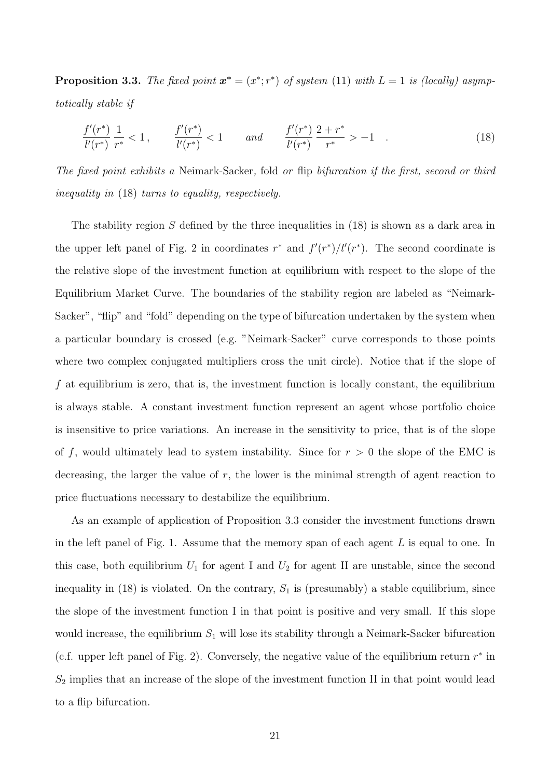**Proposition 3.3.** The fixed point  $x^* = (x^*; r^*)$  of system (11) with  $L = 1$  is (locally) asymptotically stable if

$$
\frac{f'(r^*)}{l'(r^*)} \frac{1}{r^*} < 1 \,, \qquad \frac{f'(r^*)}{l'(r^*)} < 1 \qquad \text{and} \qquad \frac{f'(r^*)}{l'(r^*)} \frac{2+r^*}{r^*} > -1 \quad . \tag{18}
$$

The fixed point exhibits a Neimark-Sacker, fold or flip bifurcation if the first, second or third inequality in (18) turns to equality, respectively.

The stability region S defined by the three inequalities in (18) is shown as a dark area in the upper left panel of Fig. 2 in coordinates  $r^*$  and  $f'(r^*)/l'(r^*)$ . The second coordinate is the relative slope of the investment function at equilibrium with respect to the slope of the Equilibrium Market Curve. The boundaries of the stability region are labeled as "Neimark-Sacker", "flip" and "fold" depending on the type of bifurcation undertaken by the system when a particular boundary is crossed (e.g. "Neimark-Sacker" curve corresponds to those points where two complex conjugated multipliers cross the unit circle). Notice that if the slope of  $f$  at equilibrium is zero, that is, the investment function is locally constant, the equilibrium is always stable. A constant investment function represent an agent whose portfolio choice is insensitive to price variations. An increase in the sensitivity to price, that is of the slope of f, would ultimately lead to system instability. Since for  $r > 0$  the slope of the EMC is decreasing, the larger the value of  $r$ , the lower is the minimal strength of agent reaction to price fluctuations necessary to destabilize the equilibrium.

As an example of application of Proposition 3.3 consider the investment functions drawn in the left panel of Fig. 1. Assume that the memory span of each agent  $L$  is equal to one. In this case, both equilibrium  $U_1$  for agent I and  $U_2$  for agent II are unstable, since the second inequality in (18) is violated. On the contrary,  $S_1$  is (presumably) a stable equilibrium, since the slope of the investment function I in that point is positive and very small. If this slope would increase, the equilibrium  $S_1$  will lose its stability through a Neimark-Sacker bifurcation (c.f. upper left panel of Fig. 2). Conversely, the negative value of the equilibrium return  $r^*$  in  $S_2$  implies that an increase of the slope of the investment function II in that point would lead to a flip bifurcation.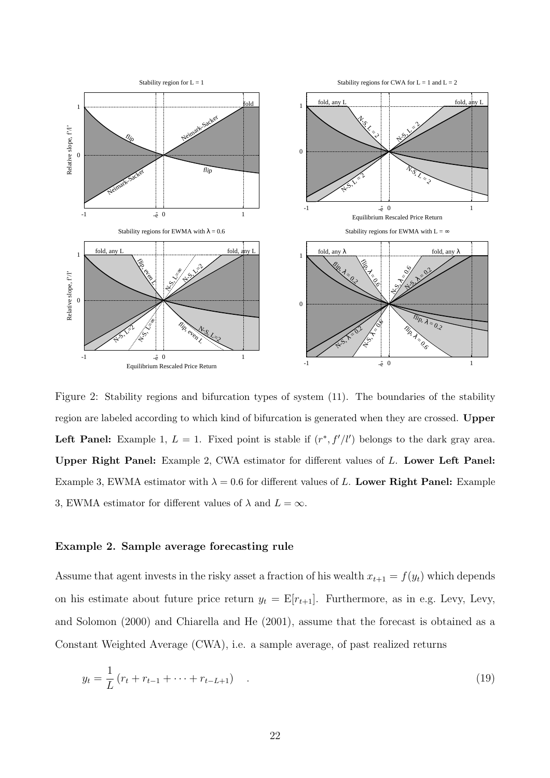

Figure 2: Stability regions and bifurcation types of system (11). The boundaries of the stability region are labeled according to which kind of bifurcation is generated when they are crossed. Upper Left Panel: Example 1,  $L = 1$ . Fixed point is stable if  $(r^*, f'/l')$  belongs to the dark gray area. Upper Right Panel: Example 2, CWA estimator for different values of L. Lower Left Panel: Example 3, EWMA estimator with  $\lambda = 0.6$  for different values of L. Lower Right Panel: Example 3, EWMA estimator for different values of  $\lambda$  and  $L = \infty$ .

#### Example 2. Sample average forecasting rule

Assume that agent invests in the risky asset a fraction of his wealth  $x_{t+1} = f(y_t)$  which depends on his estimate about future price return  $y_t = \mathbb{E}[r_{t+1}]$ . Furthermore, as in e.g. Levy, Levy, and Solomon (2000) and Chiarella and He (2001), assume that the forecast is obtained as a Constant Weighted Average (CWA), i.e. a sample average, of past realized returns

$$
y_t = \frac{1}{L} \left( r_t + r_{t-1} + \dots + r_{t-L+1} \right) \tag{19}
$$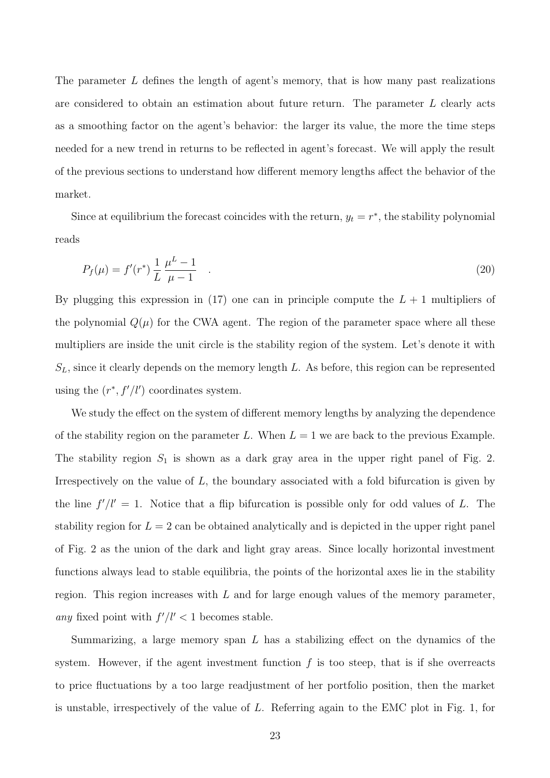The parameter  $L$  defines the length of agent's memory, that is how many past realizations are considered to obtain an estimation about future return. The parameter  $L$  clearly acts as a smoothing factor on the agent's behavior: the larger its value, the more the time steps needed for a new trend in returns to be reflected in agent's forecast. We will apply the result of the previous sections to understand how different memory lengths affect the behavior of the market.

Since at equilibrium the forecast coincides with the return,  $y_t = r^*$ , the stability polynomial reads

$$
P_f(\mu) = f'(r^*) \frac{1}{L} \frac{\mu^L - 1}{\mu - 1} \quad . \tag{20}
$$

By plugging this expression in (17) one can in principle compute the  $L + 1$  multipliers of the polynomial  $Q(\mu)$  for the CWA agent. The region of the parameter space where all these multipliers are inside the unit circle is the stability region of the system. Let's denote it with  $S_L$ , since it clearly depends on the memory length L. As before, this region can be represented using the  $(r^*, f'/l')$  coordinates system.

We study the effect on the system of different memory lengths by analyzing the dependence of the stability region on the parameter L. When  $L = 1$  we are back to the previous Example. The stability region  $S_1$  is shown as a dark gray area in the upper right panel of Fig. 2. Irrespectively on the value of  $L$ , the boundary associated with a fold bifurcation is given by the line  $f'/l' = 1$ . Notice that a flip bifurcation is possible only for odd values of L. The stability region for  $L = 2$  can be obtained analytically and is depicted in the upper right panel of Fig. 2 as the union of the dark and light gray areas. Since locally horizontal investment functions always lead to stable equilibria, the points of the horizontal axes lie in the stability region. This region increases with  $L$  and for large enough values of the memory parameter, any fixed point with  $f'/l' < 1$  becomes stable.

Summarizing, a large memory span  $L$  has a stabilizing effect on the dynamics of the system. However, if the agent investment function  $f$  is too steep, that is if she overreacts to price fluctuations by a too large readjustment of her portfolio position, then the market is unstable, irrespectively of the value of L. Referring again to the EMC plot in Fig. 1, for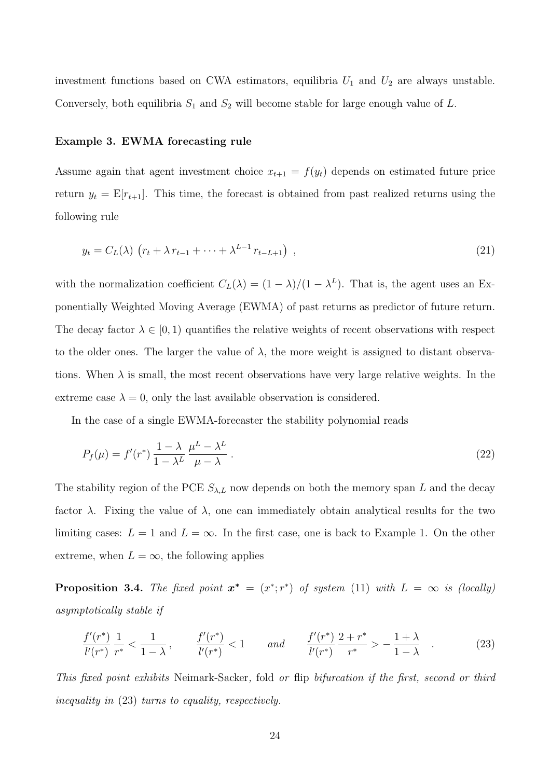investment functions based on CWA estimators, equilibria  $U_1$  and  $U_2$  are always unstable. Conversely, both equilibria  $S_1$  and  $S_2$  will become stable for large enough value of L.

#### Example 3. EWMA forecasting rule

Assume again that agent investment choice  $x_{t+1} = f(y_t)$  depends on estimated future price return  $y_t = E[r_{t+1}]$ . This time, the forecast is obtained from past realized returns using the following rule

$$
y_t = C_L(\lambda) \left( r_t + \lambda r_{t-1} + \dots + \lambda^{L-1} r_{t-L+1} \right) , \qquad (21)
$$

with the normalization coefficient  $C_L(\lambda) = (1 - \lambda)/(1 - \lambda^L)$ . That is, the agent uses an Exponentially Weighted Moving Average (EWMA) of past returns as predictor of future return. The decay factor  $\lambda \in [0,1)$  quantifies the relative weights of recent observations with respect to the older ones. The larger the value of  $\lambda$ , the more weight is assigned to distant observations. When  $\lambda$  is small, the most recent observations have very large relative weights. In the extreme case  $\lambda = 0$ , only the last available observation is considered.

In the case of a single EWMA-forecaster the stability polynomial reads

$$
P_f(\mu) = f'(r^*) \frac{1 - \lambda}{1 - \lambda^L} \frac{\mu^L - \lambda^L}{\mu - \lambda} \,. \tag{22}
$$

The stability region of the PCE  $S_{\lambda,L}$  now depends on both the memory span L and the decay factor  $\lambda$ . Fixing the value of  $\lambda$ , one can immediately obtain analytical results for the two limiting cases:  $L = 1$  and  $L = \infty$ . In the first case, one is back to Example 1. On the other extreme, when  $L = \infty$ , the following applies

**Proposition 3.4.** The fixed point  $x^* = (x^*; r^*)$  of system (11) with  $L = \infty$  is (locally) asymptotically stable if

$$
\frac{f'(r^*)}{l'(r^*)} \frac{1}{r^*} < \frac{1}{1-\lambda}, \qquad \frac{f'(r^*)}{l'(r^*)} < 1 \qquad \text{and} \qquad \frac{f'(r^*)}{l'(r^*)} \frac{2+r^*}{r^*} > -\frac{1+\lambda}{1-\lambda} \quad . \tag{23}
$$

This fixed point exhibits Neimark-Sacker, fold or flip bifurcation if the first, second or third inequality in (23) turns to equality, respectively.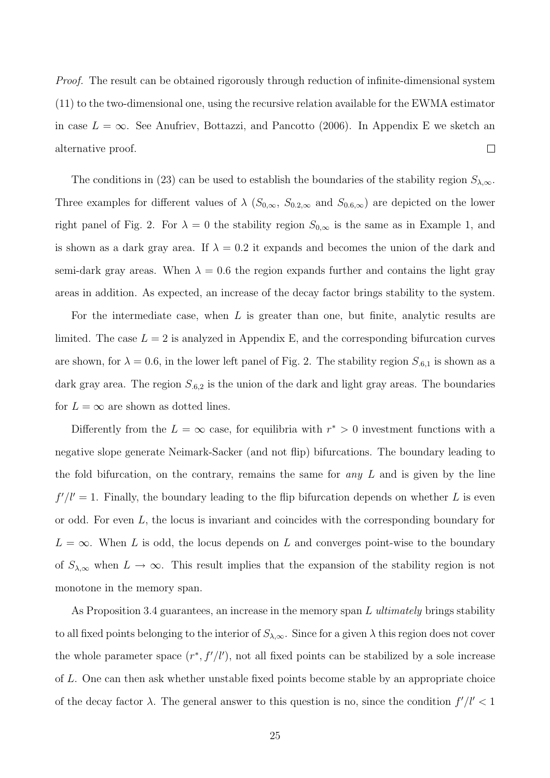Proof. The result can be obtained rigorously through reduction of infinite-dimensional system (11) to the two-dimensional one, using the recursive relation available for the EWMA estimator in case  $L = \infty$ . See Anufriev, Bottazzi, and Pancotto (2006). In Appendix E we sketch an  $\Box$ alternative proof.

The conditions in (23) can be used to establish the boundaries of the stability region  $S_{\lambda,\infty}$ . Three examples for different values of  $\lambda$  ( $S_{0,\infty}$ ,  $S_{0.2,\infty}$  and  $S_{0.6,\infty}$ ) are depicted on the lower right panel of Fig. 2. For  $\lambda = 0$  the stability region  $S_{0,\infty}$  is the same as in Example 1, and is shown as a dark gray area. If  $\lambda = 0.2$  it expands and becomes the union of the dark and semi-dark gray areas. When  $\lambda = 0.6$  the region expands further and contains the light gray areas in addition. As expected, an increase of the decay factor brings stability to the system.

For the intermediate case, when  $L$  is greater than one, but finite, analytic results are limited. The case  $L = 2$  is analyzed in Appendix E, and the corresponding bifurcation curves are shown, for  $\lambda = 0.6$ , in the lower left panel of Fig. 2. The stability region  $S_{.6,1}$  is shown as a dark gray area. The region  $S_{.6,2}$  is the union of the dark and light gray areas. The boundaries for  $L = \infty$  are shown as dotted lines.

Differently from the  $L = \infty$  case, for equilibria with  $r^* > 0$  investment functions with a negative slope generate Neimark-Sacker (and not flip) bifurcations. The boundary leading to the fold bifurcation, on the contrary, remains the same for *any*  $L$  and is given by the line  $f'/l' = 1$ . Finally, the boundary leading to the flip bifurcation depends on whether L is even or odd. For even L, the locus is invariant and coincides with the corresponding boundary for  $L = \infty$ . When L is odd, the locus depends on L and converges point-wise to the boundary of  $S_{\lambda,\infty}$  when  $L \to \infty$ . This result implies that the expansion of the stability region is not monotone in the memory span.

As Proposition 3.4 guarantees, an increase in the memory span  $L$  ultimately brings stability to all fixed points belonging to the interior of  $S_{\lambda,\infty}$ . Since for a given  $\lambda$  this region does not cover the whole parameter space  $(r^*, f'/l')$ , not all fixed points can be stabilized by a sole increase of L. One can then ask whether unstable fixed points become stable by an appropriate choice of the decay factor  $\lambda$ . The general answer to this question is no, since the condition  $f'/l' < 1$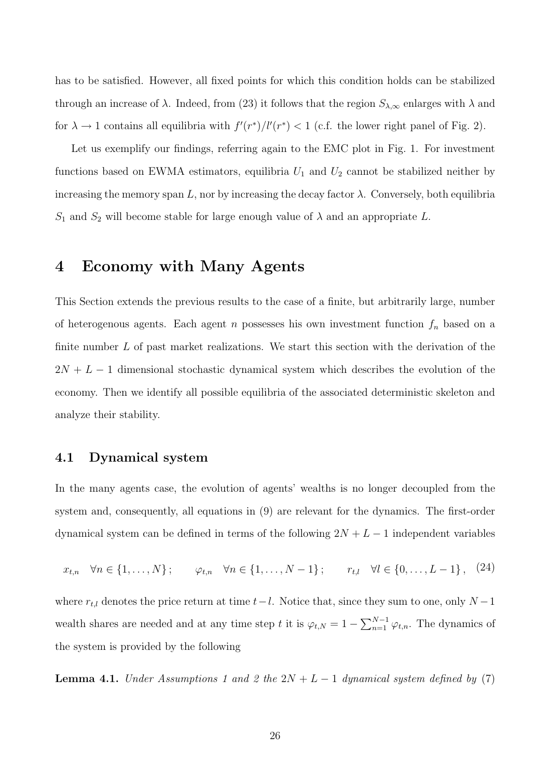has to be satisfied. However, all fixed points for which this condition holds can be stabilized through an increase of  $\lambda$ . Indeed, from (23) it follows that the region  $S_{\lambda,\infty}$  enlarges with  $\lambda$  and for  $\lambda \to 1$  contains all equilibria with  $f'(r^*)/l'(r^*) < 1$  (c.f. the lower right panel of Fig. 2).

Let us exemplify our findings, referring again to the EMC plot in Fig. 1. For investment functions based on EWMA estimators, equilibria  $U_1$  and  $U_2$  cannot be stabilized neither by increasing the memory span L, nor by increasing the decay factor  $\lambda$ . Conversely, both equilibria  $S_1$  and  $S_2$  will become stable for large enough value of  $\lambda$  and an appropriate L.

## 4 Economy with Many Agents

This Section extends the previous results to the case of a finite, but arbitrarily large, number of heterogenous agents. Each agent n possesses his own investment function  $f_n$  based on a finite number  $L$  of past market realizations. We start this section with the derivation of the  $2N + L - 1$  dimensional stochastic dynamical system which describes the evolution of the economy. Then we identify all possible equilibria of the associated deterministic skeleton and analyze their stability.

### 4.1 Dynamical system

In the many agents case, the evolution of agents' wealths is no longer decoupled from the system and, consequently, all equations in (9) are relevant for the dynamics. The first-order dynamical system can be defined in terms of the following  $2N + L - 1$  independent variables

$$
x_{t,n} \quad \forall n \in \{1, ..., N\}; \qquad \varphi_{t,n} \quad \forall n \in \{1, ..., N-1\}; \qquad r_{t,l} \quad \forall l \in \{0, ..., L-1\}, \tag{24}
$$

where  $r_{t,l}$  denotes the price return at time  $t-l$ . Notice that, since they sum to one, only  $N-1$ wealth shares are needed and at any time step t it is  $\varphi_{t,N} = 1 - \sum_{n=1}^{N-1}$  $_{n=1}^{N-1} \varphi_{t,n}$ . The dynamics of the system is provided by the following

**Lemma 4.1.** Under Assumptions 1 and 2 the  $2N + L - 1$  dynamical system defined by (7)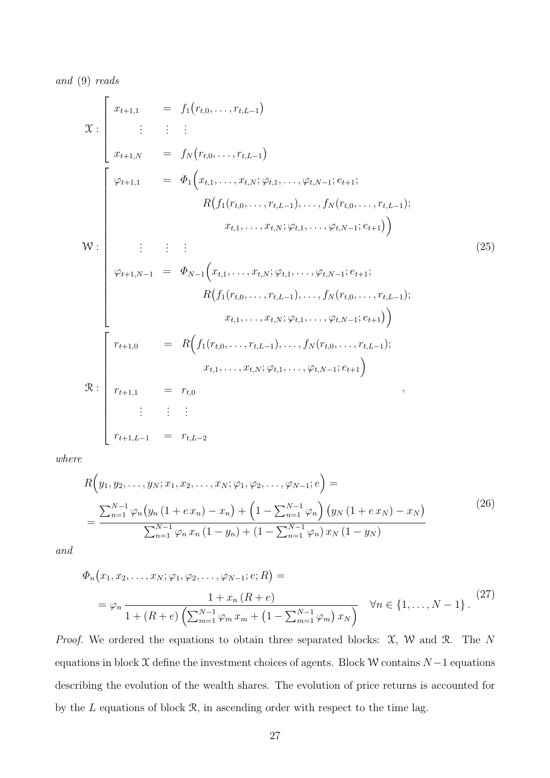and (9) reads

$$
\mathcal{X} : \begin{bmatrix}\nx_{t+1,1} & = f_1(r_{t,0}, \ldots, r_{t,L-1}) \\
\vdots & \vdots & \vdots \\
x_{t+1,N} & = f_N(r_{t,0}, \ldots, r_{t,L-1}) \\
\varphi_{t+1,1} & = \Phi_1(x_{t,1}, \ldots, x_{t,N}; \varphi_{t,1}, \ldots, \varphi_{t,N-1}; e_{t+1}; \\
R(f_1(r_{t,0}, \ldots, r_{t,L-1}), \ldots, f_N(r_{t,0}, \ldots, r_{t,L-1}); \\
x_{t,1}, \ldots, x_{t,N}; \varphi_{t,1}, \ldots, \varphi_{t,N-1}; e_{t+1})\n\end{bmatrix}
$$
\n
$$
\mathcal{W} : \begin{bmatrix}\nx_{t+1,N-1} & = \Phi_{N-1}(x_{t,1}, \ldots, x_{t,N}; \varphi_{t,1}, \ldots, \varphi_{t,N-1}; e_{t+1}) \\
\vdots & \vdots & \vdots \\
R(f_1(r_{t,0}, \ldots, r_{t,L-1}), \ldots, f_N(r_{t,0}, \ldots, r_{t,L-1}); \\
x_{t,1}, \ldots, x_{t,N}; \varphi_{t,1}, \ldots, \varphi_{t,N-1}; e_{t+1})\n\end{bmatrix}
$$
\n
$$
T_{t+1,0} = R\left(f_1(r_{t,0}, \ldots, r_{t,L-1}), \ldots, f_N(r_{t,0}, \ldots, r_{t,L-1}); x_{t,1}, \ldots, x_{t,N}; \varphi_{t,1}, \ldots, \varphi_{t,N-1}; e_{t+1}\right)
$$
\n
$$
\mathcal{R} : \begin{bmatrix}\nr_{t+1,1} & = r_{t,0} \\
r_{t+1,1} & = r_{t,0} \\
\vdots & \vdots & \vdots \\
r_{t+1, L-1} & = r_{t, L-2}\n\end{bmatrix}
$$

where

$$
R(y_1, y_2, \dots, y_N; x_1, x_2, \dots, x_N; \varphi_1, \varphi_2, \dots, \varphi_{N-1}; e) =
$$
  
= 
$$
\frac{\sum_{n=1}^{N-1} \varphi_n(y_n(1 + e x_n) - x_n) + (1 - \sum_{n=1}^{N-1} \varphi_n)(y_N(1 + e x_N) - x_N)}{\sum_{n=1}^{N-1} \varphi_n x_n(1 - y_n) + (1 - \sum_{n=1}^{N-1} \varphi_n)x_N(1 - y_N)}
$$
(26)

and

$$
\Phi_n(x_1, x_2, \dots, x_N; \varphi_1, \varphi_2, \dots, \varphi_{N-1}; e; R) =
$$
\n
$$
= \varphi_n \frac{1 + x_n (R + e)}{1 + (R + e) \left( \sum_{m=1}^{N-1} \varphi_m x_m + \left( 1 - \sum_{m=1}^{N-1} \varphi_m \right) x_N \right)} \quad \forall n \in \{1, \dots, N - 1\}.
$$
\n(27)

*Proof.* We ordered the equations to obtain three separated blocks:  $\mathfrak{X}$ ,  $\mathfrak{W}$  and  $\mathfrak{R}$ . The N equations in block  $X$  define the investment choices of agents. Block W contains  $N-1$  equations describing the evolution of the wealth shares. The evolution of price returns is accounted for by the  $L$  equations of block  $\mathcal{R}$ , in ascending order with respect to the time lag.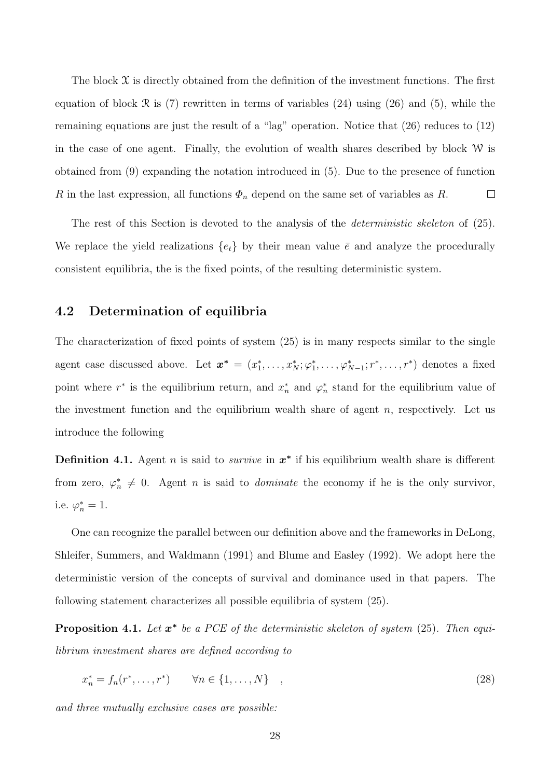The block  $\mathfrak X$  is directly obtained from the definition of the investment functions. The first equation of block  $\mathcal R$  is (7) rewritten in terms of variables (24) using (26) and (5), while the remaining equations are just the result of a "lag" operation. Notice that (26) reduces to (12) in the case of one agent. Finally, the evolution of wealth shares described by block  $W$  is obtained from (9) expanding the notation introduced in (5). Due to the presence of function R in the last expression, all functions  $\Phi_n$  depend on the same set of variables as R.  $\Box$ 

The rest of this Section is devoted to the analysis of the *deterministic skeleton* of  $(25)$ . We replace the yield realizations  $\{e_t\}$  by their mean value  $\bar{e}$  and analyze the procedurally consistent equilibria, the is the fixed points, of the resulting deterministic system.

### 4.2 Determination of equilibria

The characterization of fixed points of system (25) is in many respects similar to the single agent case discussed above. Let  $x^* = (x_1^*, \ldots, x_N^*; \varphi_1^*, \ldots, \varphi_{N-1}^*; r^*, \ldots, r^*)$  denotes a fixed point where  $r^*$  is the equilibrium return, and  $x_n^*$  and  $\varphi_n^*$  stand for the equilibrium value of the investment function and the equilibrium wealth share of agent  $n$ , respectively. Let us introduce the following

**Definition 4.1.** Agent *n* is said to *survive* in  $x^*$  if his equilibrium wealth share is different from zero,  $\varphi_n^* \neq 0$ . Agent *n* is said to *dominate* the economy if he is the only survivor, i.e.  $\varphi_n^* = 1$ .

One can recognize the parallel between our definition above and the frameworks in DeLong, Shleifer, Summers, and Waldmann (1991) and Blume and Easley (1992). We adopt here the deterministic version of the concepts of survival and dominance used in that papers. The following statement characterizes all possible equilibria of system (25).

**Proposition 4.1.** Let  $x^*$  be a PCE of the deterministic skeleton of system (25). Then equilibrium investment shares are defined according to

$$
x_n^* = f_n(r^*, \dots, r^*) \qquad \forall n \in \{1, \dots, N\} \quad , \tag{28}
$$

and three mutually exclusive cases are possible: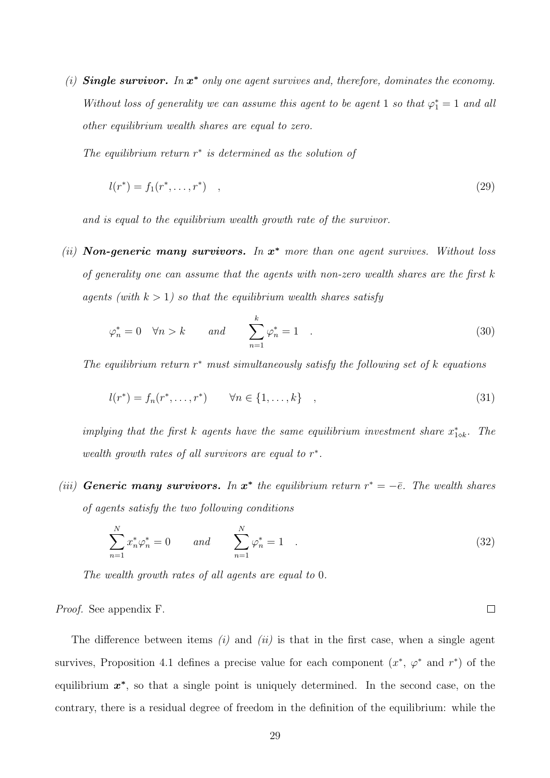(i) Single survivor. In  $x^*$  only one agent survives and, therefore, dominates the economy. Without loss of generality we can assume this agent to be agent 1 so that  $\varphi_1^* = 1$  and all other equilibrium wealth shares are equal to zero.

The equilibrium return  $r^*$  is determined as the solution of

$$
l(r^*) = f_1(r^*, \dots, r^*) \quad , \tag{29}
$$

and is equal to the equilibrium wealth growth rate of the survivor.

(ii) **Non-generic many survivors.** In  $x^*$  more than one agent survives. Without loss of generality one can assume that the agents with non-zero wealth shares are the first k agents (with  $k > 1$ ) so that the equilibrium wealth shares satisfy

$$
\varphi_n^* = 0 \quad \forall n > k \qquad and \qquad \sum_{n=1}^k \varphi_n^* = 1 \quad . \tag{30}
$$

The equilibrium return  $r^*$  must simultaneously satisfy the following set of k equations

$$
l(r^*) = f_n(r^*, \dots, r^*) \qquad \forall n \in \{1, \dots, k\} \quad , \tag{31}
$$

implying that the first k agents have the same equilibrium investment share  $x_{1\diamond k}^*$ . The wealth growth rates of all survivors are equal to  $r^*$ .

(iii) **Generic many survivors.** In  $x^*$  the equilibrium return  $r^* = -\overline{e}$ . The wealth shares of agents satisfy the two following conditions

$$
\sum_{n=1}^{N} x_n^* \varphi_n^* = 0 \qquad and \qquad \sum_{n=1}^{N} \varphi_n^* = 1 \quad . \tag{32}
$$

 $\Box$ 

The wealth growth rates of all agents are equal to 0.

Proof. See appendix F.

The difference between items  $(i)$  and  $(ii)$  is that in the first case, when a single agent survives, Proposition 4.1 defines a precise value for each component  $(x^*, \varphi^*)$  and  $r^*$ ) of the equilibrium  $x^*$ , so that a single point is uniquely determined. In the second case, on the contrary, there is a residual degree of freedom in the definition of the equilibrium: while the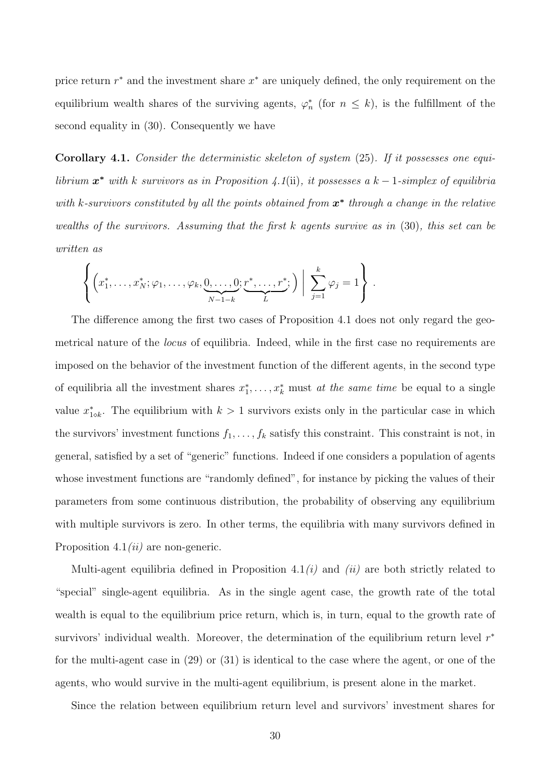price return  $r^*$  and the investment share  $x^*$  are uniquely defined, the only requirement on the equilibrium wealth shares of the surviving agents,  $\varphi_n^*$  (for  $n \leq k$ ), is the fulfillment of the second equality in (30). Consequently we have

Corollary 4.1. Consider the deterministic skeleton of system (25). If it possesses one equilibrium  $x^*$  with k survivors as in Proposition 4.1(ii), it possesses a k – 1-simplex of equilibria with k-survivors constituted by all the points obtained from  $x^*$  through a change in the relative wealths of the survivors. Assuming that the first k agents survive as in (30), this set can be written as

$$
\left\{ \left( x_1^*, \ldots, x_N^*; \varphi_1, \ldots, \varphi_k, \underbrace{0, \ldots, 0}_{N-1-k}; \underbrace{r^*, \ldots, r^*}_{L}; \right) \middle| \sum_{j=1}^k \varphi_j = 1 \right\}.
$$

The difference among the first two cases of Proposition 4.1 does not only regard the geometrical nature of the *locus* of equilibria. Indeed, while in the first case no requirements are imposed on the behavior of the investment function of the different agents, in the second type of equilibria all the investment shares  $x_1^*, \ldots, x_k^*$  must at the same time be equal to a single value  $x_{1\circ k}^*$ . The equilibrium with  $k > 1$  survivors exists only in the particular case in which the survivors' investment functions  $f_1, \ldots, f_k$  satisfy this constraint. This constraint is not, in general, satisfied by a set of "generic" functions. Indeed if one considers a population of agents whose investment functions are "randomly defined", for instance by picking the values of their parameters from some continuous distribution, the probability of observing any equilibrium with multiple survivors is zero. In other terms, the equilibria with many survivors defined in Proposition  $4.1(iii)$  are non-generic.

Multi-agent equilibria defined in Proposition 4.1 $(i)$  and  $(ii)$  are both strictly related to "special" single-agent equilibria. As in the single agent case, the growth rate of the total wealth is equal to the equilibrium price return, which is, in turn, equal to the growth rate of survivors' individual wealth. Moreover, the determination of the equilibrium return level  $r^*$ for the multi-agent case in (29) or (31) is identical to the case where the agent, or one of the agents, who would survive in the multi-agent equilibrium, is present alone in the market.

Since the relation between equilibrium return level and survivors' investment shares for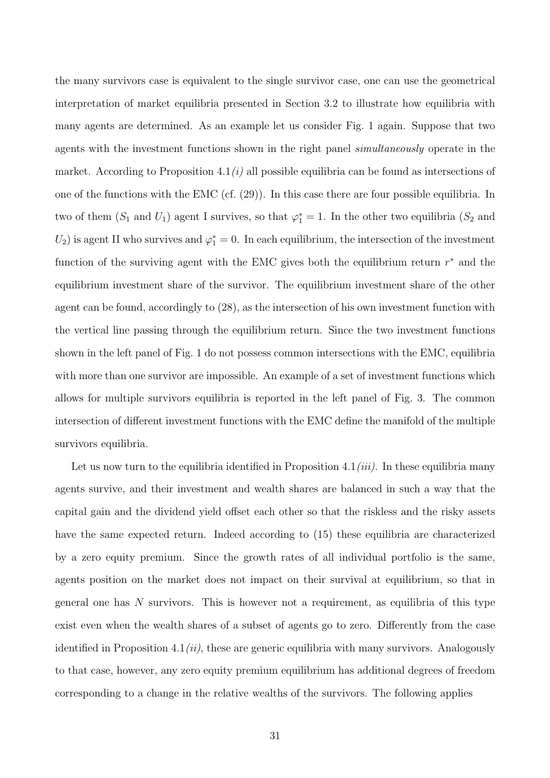the many survivors case is equivalent to the single survivor case, one can use the geometrical interpretation of market equilibria presented in Section 3.2 to illustrate how equilibria with many agents are determined. As an example let us consider Fig. 1 again. Suppose that two agents with the investment functions shown in the right panel simultaneously operate in the market. According to Proposition  $4.1(i)$  all possible equilibria can be found as intersections of one of the functions with the EMC (cf. (29)). In this case there are four possible equilibria. In two of them  $(S_1 \text{ and } U_1)$  agent I survives, so that  $\varphi_1^* = 1$ . In the other two equilibria  $(S_2 \text{ and } U_2)$  $U_2$ ) is agent II who survives and  $\varphi_1^* = 0$ . In each equilibrium, the intersection of the investment function of the surviving agent with the EMC gives both the equilibrium return  $r^*$  and the equilibrium investment share of the survivor. The equilibrium investment share of the other agent can be found, accordingly to (28), as the intersection of his own investment function with the vertical line passing through the equilibrium return. Since the two investment functions shown in the left panel of Fig. 1 do not possess common intersections with the EMC, equilibria with more than one survivor are impossible. An example of a set of investment functions which allows for multiple survivors equilibria is reported in the left panel of Fig. 3. The common intersection of different investment functions with the EMC define the manifold of the multiple survivors equilibria.

Let us now turn to the equilibria identified in Proposition 4.1(*iii*). In these equilibria many agents survive, and their investment and wealth shares are balanced in such a way that the capital gain and the dividend yield offset each other so that the riskless and the risky assets have the same expected return. Indeed according to (15) these equilibria are characterized by a zero equity premium. Since the growth rates of all individual portfolio is the same, agents position on the market does not impact on their survival at equilibrium, so that in general one has  $N$  survivors. This is however not a requirement, as equilibria of this type exist even when the wealth shares of a subset of agents go to zero. Differently from the case identified in Proposition  $4.1\,(ii)$ , these are generic equilibria with many survivors. Analogously to that case, however, any zero equity premium equilibrium has additional degrees of freedom corresponding to a change in the relative wealths of the survivors. The following applies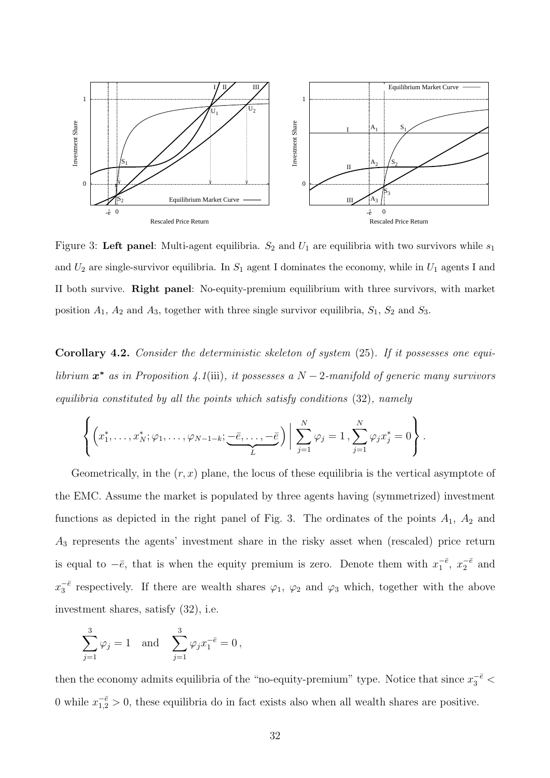

Figure 3: Left panel: Multi-agent equilibria.  $S_2$  and  $U_1$  are equilibria with two survivors while  $s_1$ and  $U_2$  are single-survivor equilibria. In  $S_1$  agent I dominates the economy, while in  $U_1$  agents I and II both survive. Right panel: No-equity-premium equilibrium with three survivors, with market position  $A_1$ ,  $A_2$  and  $A_3$ , together with three single survivor equilibria,  $S_1$ ,  $S_2$  and  $S_3$ .

Corollary 4.2. Consider the deterministic skeleton of system (25). If it possesses one equilibrium  $x^*$  as in Proposition 4.1(iii), it possesses a  $N-2$ -manifold of generic many survivors equilibria constituted by all the points which satisfy conditions (32), namely

$$
\left\{ \left( x_1^*, \ldots, x_N^*; \varphi_1, \ldots, \varphi_{N-1-k}; \underbrace{-\bar{e}, \ldots, -\bar{e}}_L \right) \middle| \sum_{j=1}^N \varphi_j = 1, \sum_{j=1}^N \varphi_j x_j^* = 0 \right\}.
$$

Geometrically, in the  $(r, x)$  plane, the locus of these equilibria is the vertical asymptote of the EMC. Assume the market is populated by three agents having (symmetrized) investment functions as depicted in the right panel of Fig. 3. The ordinates of the points  $A_1$ ,  $A_2$  and A<sup>3</sup> represents the agents' investment share in the risky asset when (rescaled) price return is equal to  $-\bar{e}$ , that is when the equity premium is zero. Denote them with  $x_1^{-\bar{e}}, x_2^{-\bar{e}}$  and  $x_3^{-\bar{e}}$  respectively. If there are wealth shares  $\varphi_1$ ,  $\varphi_2$  and  $\varphi_3$  which, together with the above investment shares, satisfy (32), i.e.

$$
\sum_{j=1}^{3} \varphi_j = 1 \text{ and } \sum_{j=1}^{3} \varphi_j x_1^{-\bar{e}} = 0,
$$

then the economy admits equilibria of the "no-equity-premium" type. Notice that since  $x_3^{-\bar{e}}$  < 0 while  $x_{1,2}^{-\bar{e}} > 0$ , these equilibria do in fact exists also when all wealth shares are positive.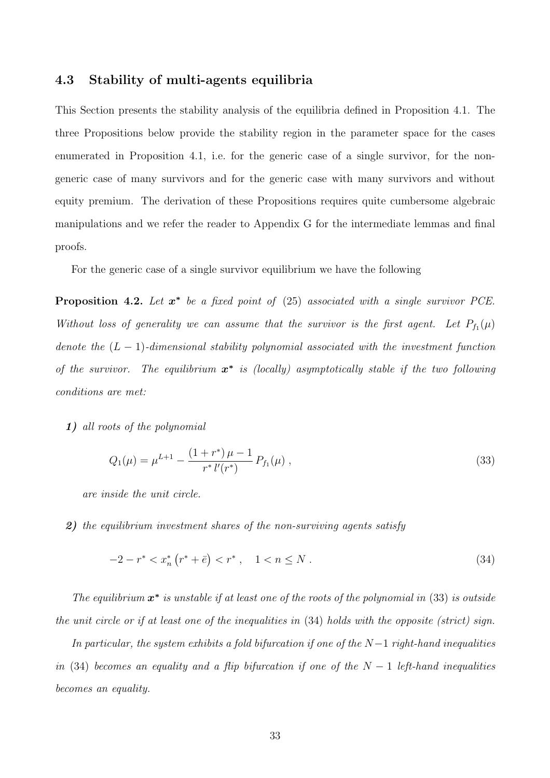## 4.3 Stability of multi-agents equilibria

This Section presents the stability analysis of the equilibria defined in Proposition 4.1. The three Propositions below provide the stability region in the parameter space for the cases enumerated in Proposition 4.1, i.e. for the generic case of a single survivor, for the nongeneric case of many survivors and for the generic case with many survivors and without equity premium. The derivation of these Propositions requires quite cumbersome algebraic manipulations and we refer the reader to Appendix G for the intermediate lemmas and final proofs.

For the generic case of a single survivor equilibrium we have the following

**Proposition 4.2.** Let  $x^*$  be a fixed point of (25) associated with a single survivor PCE. Without loss of generality we can assume that the survivor is the first agent. Let  $P_{f_1}(\mu)$ denote the  $(L-1)$ -dimensional stability polynomial associated with the investment function of the survivor. The equilibrium  $x^*$  is (locally) asymptotically stable if the two following conditions are met:

#### 1) all roots of the polynomial

$$
Q_1(\mu) = \mu^{L+1} - \frac{(1+r^*)\mu - 1}{r^* l'(r^*)} P_{f_1}(\mu) , \qquad (33)
$$

are inside the unit circle.

#### 2) the equilibrium investment shares of the non-surviving agents satisfy

$$
-2 - r^* < x_n^* \left( r^* + \bar{e} \right) < r^* \,, \quad 1 < n \le N \,. \tag{34}
$$

The equilibrium  $x^*$  is unstable if at least one of the roots of the polynomial in (33) is outside the unit circle or if at least one of the inequalities in (34) holds with the opposite (strict) sign.

In particular, the system exhibits a fold bifurcation if one of the  $N-1$  right-hand inequalities in (34) becomes an equality and a flip bifurcation if one of the  $N-1$  left-hand inequalities becomes an equality.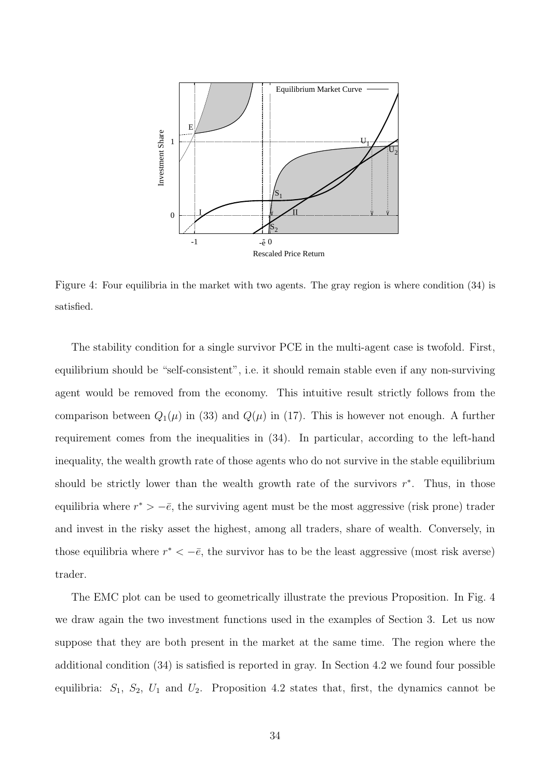

Figure 4: Four equilibria in the market with two agents. The gray region is where condition (34) is satisfied.

The stability condition for a single survivor PCE in the multi-agent case is twofold. First, equilibrium should be "self-consistent", i.e. it should remain stable even if any non-surviving agent would be removed from the economy. This intuitive result strictly follows from the comparison between  $Q_1(\mu)$  in (33) and  $Q(\mu)$  in (17). This is however not enough. A further requirement comes from the inequalities in (34). In particular, according to the left-hand inequality, the wealth growth rate of those agents who do not survive in the stable equilibrium should be strictly lower than the wealth growth rate of the survivors  $r^*$ . Thus, in those equilibria where  $r^* > -\bar{e}$ , the surviving agent must be the most aggressive (risk prone) trader and invest in the risky asset the highest, among all traders, share of wealth. Conversely, in those equilibria where  $r^* < -\bar{e}$ , the survivor has to be the least aggressive (most risk averse) trader.

The EMC plot can be used to geometrically illustrate the previous Proposition. In Fig. 4 we draw again the two investment functions used in the examples of Section 3. Let us now suppose that they are both present in the market at the same time. The region where the additional condition (34) is satisfied is reported in gray. In Section 4.2 we found four possible equilibria:  $S_1$ ,  $S_2$ ,  $U_1$  and  $U_2$ . Proposition 4.2 states that, first, the dynamics cannot be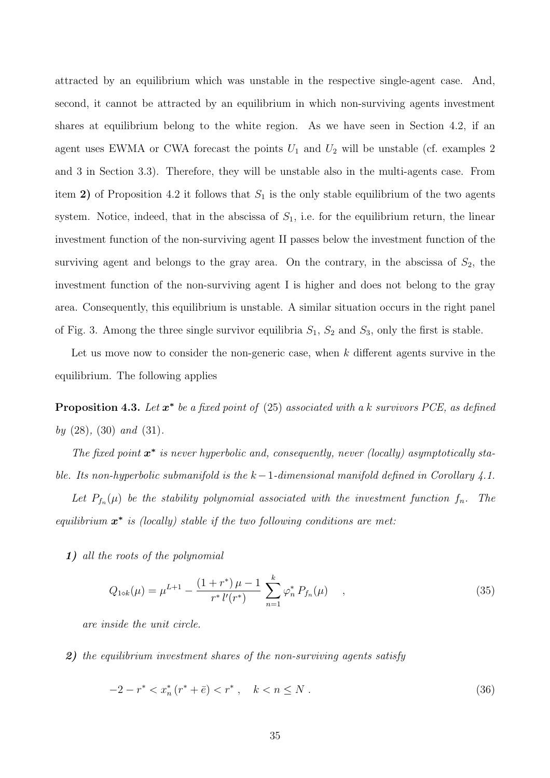attracted by an equilibrium which was unstable in the respective single-agent case. And, second, it cannot be attracted by an equilibrium in which non-surviving agents investment shares at equilibrium belong to the white region. As we have seen in Section 4.2, if an agent uses EWMA or CWA forecast the points  $U_1$  and  $U_2$  will be unstable (cf. examples 2 and 3 in Section 3.3). Therefore, they will be unstable also in the multi-agents case. From item 2) of Proposition 4.2 it follows that  $S_1$  is the only stable equilibrium of the two agents system. Notice, indeed, that in the abscissa of  $S_1$ , i.e. for the equilibrium return, the linear investment function of the non-surviving agent II passes below the investment function of the surviving agent and belongs to the gray area. On the contrary, in the abscissa of  $S_2$ , the investment function of the non-surviving agent I is higher and does not belong to the gray area. Consequently, this equilibrium is unstable. A similar situation occurs in the right panel of Fig. 3. Among the three single survivor equilibria  $S_1$ ,  $S_2$  and  $S_3$ , only the first is stable.

Let us move now to consider the non-generic case, when  $k$  different agents survive in the equilibrium. The following applies

**Proposition 4.3.** Let  $x^*$  be a fixed point of (25) associated with a k survivors PCE, as defined by  $(28)$ ,  $(30)$  and  $(31)$ .

The fixed point  $x^*$  is never hyperbolic and, consequently, never (locally) asymptotically stable. Its non-hyperbolic submanifold is the  $k-1$ -dimensional manifold defined in Corollary 4.1.

Let  $P_{f_n}(\mu)$  be the stability polynomial associated with the investment function  $f_n$ . The equilibrium  $x^*$  is (locally) stable if the two following conditions are met:

1) all the roots of the polynomial

$$
Q_{1 \circ k}(\mu) = \mu^{L+1} - \frac{(1+r^*)\mu - 1}{r^* l'(r^*)} \sum_{n=1}^k \varphi_n^* P_{f_n}(\mu) \quad , \tag{35}
$$

are inside the unit circle.

#### 2) the equilibrium investment shares of the non-surviving agents satisfy

$$
-2 - r^* < x_n^* \left( r^* + \bar{e} \right) < r^* \,, \quad k < n \le N \,. \tag{36}
$$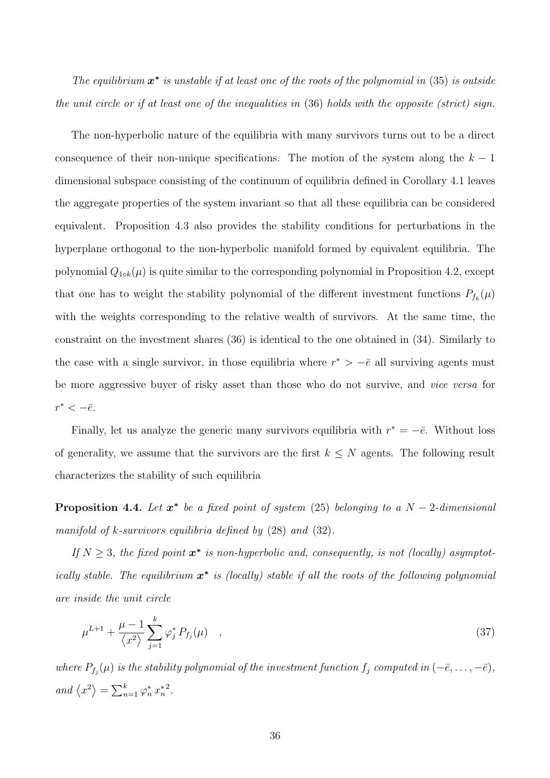The equilibrium  $x^*$  is unstable if at least one of the roots of the polynomial in (35) is outside the unit circle or if at least one of the inequalities in (36) holds with the opposite (strict) sign.

The non-hyperbolic nature of the equilibria with many survivors turns out to be a direct consequence of their non-unique specifications. The motion of the system along the  $k - 1$ dimensional subspace consisting of the continuum of equilibria defined in Corollary 4.1 leaves the aggregate properties of the system invariant so that all these equilibria can be considered equivalent. Proposition 4.3 also provides the stability conditions for perturbations in the hyperplane orthogonal to the non-hyperbolic manifold formed by equivalent equilibria. The polynomial  $Q_{10k}(\mu)$  is quite similar to the corresponding polynomial in Proposition 4.2, except that one has to weight the stability polynomial of the different investment functions  $P_{f_k}(\mu)$ with the weights corresponding to the relative wealth of survivors. At the same time, the constraint on the investment shares (36) is identical to the one obtained in (34). Similarly to the case with a single survivor, in those equilibria where  $r^* > -\bar{e}$  all surviving agents must be more aggressive buyer of risky asset than those who do not survive, and vice versa for  $r^* < -\overline{e}.$ 

Finally, let us analyze the generic many survivors equilibria with  $r^* = -\bar{e}$ . Without loss of generality, we assume that the survivors are the first  $k \leq N$  agents. The following result characterizes the stability of such equilibria

**Proposition 4.4.** Let  $x^*$  be a fixed point of system (25) belonging to a  $N-2$ -dimensional manifold of k-survivors equilibria defined by (28) and (32).

If  $N \geq 3$ , the fixed point  $x^*$  is non-hyperbolic and, consequently, is not (locally) asymptotically stable. The equilibrium  $x^*$  is (locally) stable if all the roots of the following polynomial are inside the unit circle

$$
\mu^{L+1} + \frac{\mu - 1}{\langle x^2 \rangle} \sum_{j=1}^k \varphi_j^* P_{f_j}(\mu) \quad , \tag{37}
$$

where  $P_{f_j}(\mu)$  is the stability polynomial of the investment function  $f_j$  computed in  $(-\overline{e}, \ldots, -\overline{e}),$ and  $\langle x^2 \rangle$  $=\sum_{n=1}^{k}$  $_{n=1}^{k} \varphi_n^* x_n^{*2}.$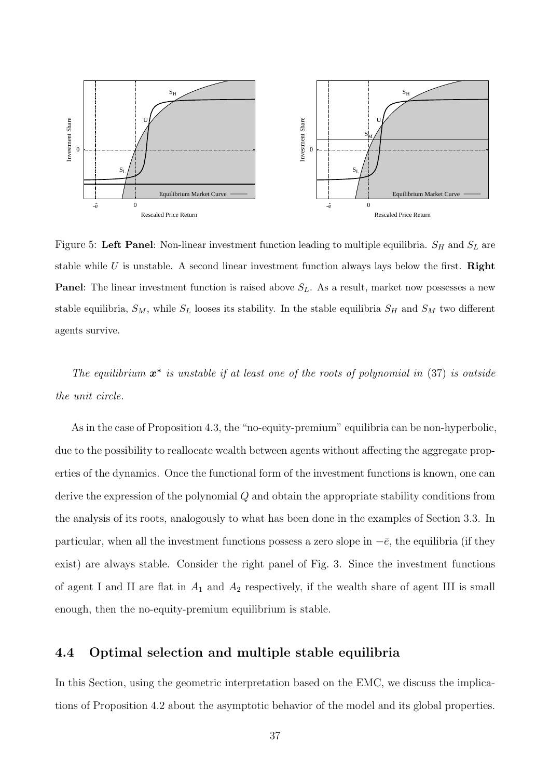

Figure 5: Left Panel: Non-linear investment function leading to multiple equilibria.  $S_H$  and  $S_L$  are stable while  $U$  is unstable. A second linear investment function always lays below the first. Right **Panel:** The linear investment function is raised above  $S_L$ . As a result, market now possesses a new stable equilibria,  $S_M$ , while  $S_L$  looses its stability. In the stable equilibria  $S_H$  and  $S_M$  two different agents survive.

The equilibrium  $x^*$  is unstable if at least one of the roots of polynomial in (37) is outside the unit circle.

As in the case of Proposition 4.3, the "no-equity-premium" equilibria can be non-hyperbolic, due to the possibility to reallocate wealth between agents without affecting the aggregate properties of the dynamics. Once the functional form of the investment functions is known, one can derive the expression of the polynomial Q and obtain the appropriate stability conditions from the analysis of its roots, analogously to what has been done in the examples of Section 3.3. In particular, when all the investment functions possess a zero slope in  $-\bar{e}$ , the equilibria (if they exist) are always stable. Consider the right panel of Fig. 3. Since the investment functions of agent I and II are flat in  $A_1$  and  $A_2$  respectively, if the wealth share of agent III is small enough, then the no-equity-premium equilibrium is stable.

## 4.4 Optimal selection and multiple stable equilibria

In this Section, using the geometric interpretation based on the EMC, we discuss the implications of Proposition 4.2 about the asymptotic behavior of the model and its global properties.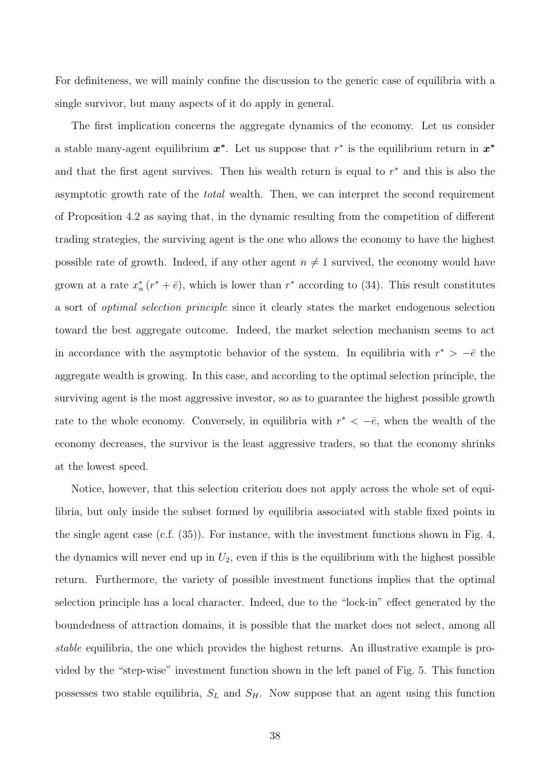For definiteness, we will mainly confine the discussion to the generic case of equilibria with a single survivor, but many aspects of it do apply in general.

The first implication concerns the aggregate dynamics of the economy. Let us consider a stable many-agent equilibrium  $x^*$ . Let us suppose that  $r^*$  is the equilibrium return in  $x^*$ and that the first agent survives. Then his wealth return is equal to  $r^*$  and this is also the asymptotic growth rate of the total wealth. Then, we can interpret the second requirement of Proposition 4.2 as saying that, in the dynamic resulting from the competition of different trading strategies, the surviving agent is the one who allows the economy to have the highest possible rate of growth. Indeed, if any other agent  $n \neq 1$  survived, the economy would have grown at a rate  $x_n^*(r^* + \bar{e})$ , which is lower than  $r^*$  according to (34). This result constitutes a sort of optimal selection principle since it clearly states the market endogenous selection toward the best aggregate outcome. Indeed, the market selection mechanism seems to act in accordance with the asymptotic behavior of the system. In equilibria with  $r^* > -\bar{e}$  the aggregate wealth is growing. In this case, and according to the optimal selection principle, the surviving agent is the most aggressive investor, so as to guarantee the highest possible growth rate to the whole economy. Conversely, in equilibria with  $r^* < -\overline{e}$ , when the wealth of the economy decreases, the survivor is the least aggressive traders, so that the economy shrinks at the lowest speed.

Notice, however, that this selection criterion does not apply across the whole set of equilibria, but only inside the subset formed by equilibria associated with stable fixed points in the single agent case (c.f. (35)). For instance, with the investment functions shown in Fig. 4, the dynamics will never end up in  $U_2$ , even if this is the equilibrium with the highest possible return. Furthermore, the variety of possible investment functions implies that the optimal selection principle has a local character. Indeed, due to the "lock-in" effect generated by the boundedness of attraction domains, it is possible that the market does not select, among all stable equilibria, the one which provides the highest returns. An illustrative example is provided by the "step-wise" investment function shown in the left panel of Fig. 5. This function possesses two stable equilibria,  $S_L$  and  $S_H$ . Now suppose that an agent using this function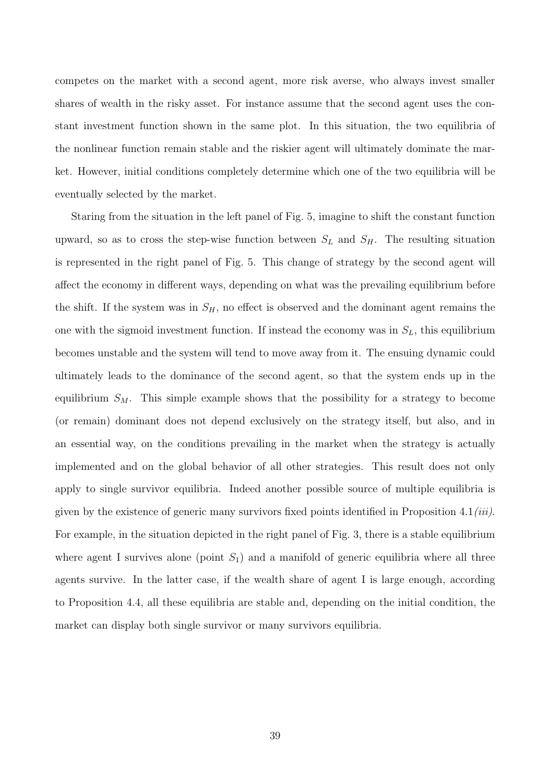competes on the market with a second agent, more risk averse, who always invest smaller shares of wealth in the risky asset. For instance assume that the second agent uses the constant investment function shown in the same plot. In this situation, the two equilibria of the nonlinear function remain stable and the riskier agent will ultimately dominate the market. However, initial conditions completely determine which one of the two equilibria will be eventually selected by the market.

Staring from the situation in the left panel of Fig. 5, imagine to shift the constant function upward, so as to cross the step-wise function between  $S_L$  and  $S_H$ . The resulting situation is represented in the right panel of Fig. 5. This change of strategy by the second agent will affect the economy in different ways, depending on what was the prevailing equilibrium before the shift. If the system was in  $S_H$ , no effect is observed and the dominant agent remains the one with the sigmoid investment function. If instead the economy was in  $S_L$ , this equilibrium becomes unstable and the system will tend to move away from it. The ensuing dynamic could ultimately leads to the dominance of the second agent, so that the system ends up in the equilibrium  $S_M$ . This simple example shows that the possibility for a strategy to become (or remain) dominant does not depend exclusively on the strategy itself, but also, and in an essential way, on the conditions prevailing in the market when the strategy is actually implemented and on the global behavior of all other strategies. This result does not only apply to single survivor equilibria. Indeed another possible source of multiple equilibria is given by the existence of generic many survivors fixed points identified in Proposition  $4.1(iii)$ . For example, in the situation depicted in the right panel of Fig. 3, there is a stable equilibrium where agent I survives alone (point  $S_1$ ) and a manifold of generic equilibria where all three agents survive. In the latter case, if the wealth share of agent I is large enough, according to Proposition 4.4, all these equilibria are stable and, depending on the initial condition, the market can display both single survivor or many survivors equilibria.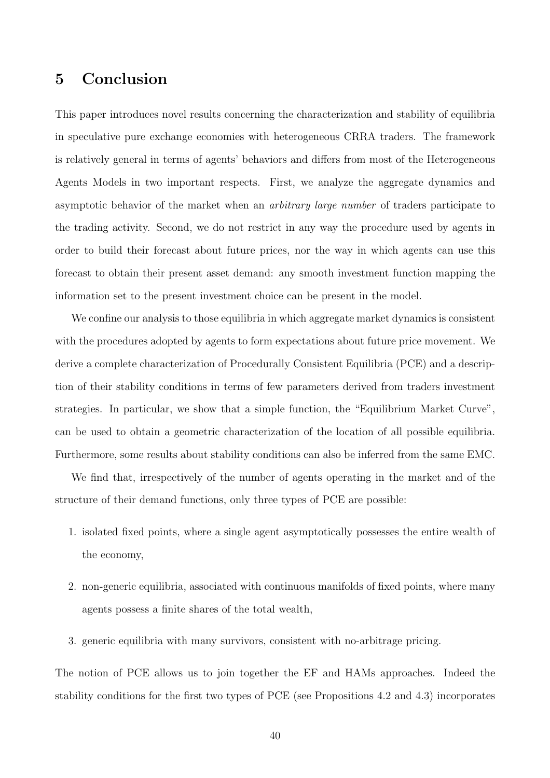# 5 Conclusion

This paper introduces novel results concerning the characterization and stability of equilibria in speculative pure exchange economies with heterogeneous CRRA traders. The framework is relatively general in terms of agents' behaviors and differs from most of the Heterogeneous Agents Models in two important respects. First, we analyze the aggregate dynamics and asymptotic behavior of the market when an arbitrary large number of traders participate to the trading activity. Second, we do not restrict in any way the procedure used by agents in order to build their forecast about future prices, nor the way in which agents can use this forecast to obtain their present asset demand: any smooth investment function mapping the information set to the present investment choice can be present in the model.

We confine our analysis to those equilibria in which aggregate market dynamics is consistent with the procedures adopted by agents to form expectations about future price movement. We derive a complete characterization of Procedurally Consistent Equilibria (PCE) and a description of their stability conditions in terms of few parameters derived from traders investment strategies. In particular, we show that a simple function, the "Equilibrium Market Curve", can be used to obtain a geometric characterization of the location of all possible equilibria. Furthermore, some results about stability conditions can also be inferred from the same EMC.

We find that, irrespectively of the number of agents operating in the market and of the structure of their demand functions, only three types of PCE are possible:

- 1. isolated fixed points, where a single agent asymptotically possesses the entire wealth of the economy,
- 2. non-generic equilibria, associated with continuous manifolds of fixed points, where many agents possess a finite shares of the total wealth,
- 3. generic equilibria with many survivors, consistent with no-arbitrage pricing.

The notion of PCE allows us to join together the EF and HAMs approaches. Indeed the stability conditions for the first two types of PCE (see Propositions 4.2 and 4.3) incorporates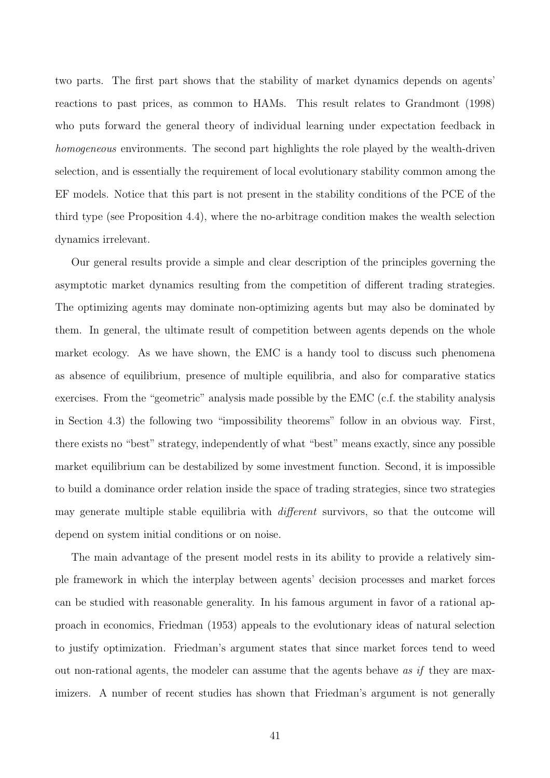two parts. The first part shows that the stability of market dynamics depends on agents' reactions to past prices, as common to HAMs. This result relates to Grandmont (1998) who puts forward the general theory of individual learning under expectation feedback in homogeneous environments. The second part highlights the role played by the wealth-driven selection, and is essentially the requirement of local evolutionary stability common among the EF models. Notice that this part is not present in the stability conditions of the PCE of the third type (see Proposition 4.4), where the no-arbitrage condition makes the wealth selection dynamics irrelevant.

Our general results provide a simple and clear description of the principles governing the asymptotic market dynamics resulting from the competition of different trading strategies. The optimizing agents may dominate non-optimizing agents but may also be dominated by them. In general, the ultimate result of competition between agents depends on the whole market ecology. As we have shown, the EMC is a handy tool to discuss such phenomena as absence of equilibrium, presence of multiple equilibria, and also for comparative statics exercises. From the "geometric" analysis made possible by the EMC (c.f. the stability analysis in Section 4.3) the following two "impossibility theorems" follow in an obvious way. First, there exists no "best" strategy, independently of what "best" means exactly, since any possible market equilibrium can be destabilized by some investment function. Second, it is impossible to build a dominance order relation inside the space of trading strategies, since two strategies may generate multiple stable equilibria with different survivors, so that the outcome will depend on system initial conditions or on noise.

The main advantage of the present model rests in its ability to provide a relatively simple framework in which the interplay between agents' decision processes and market forces can be studied with reasonable generality. In his famous argument in favor of a rational approach in economics, Friedman (1953) appeals to the evolutionary ideas of natural selection to justify optimization. Friedman's argument states that since market forces tend to weed out non-rational agents, the modeler can assume that the agents behave as if they are maximizers. A number of recent studies has shown that Friedman's argument is not generally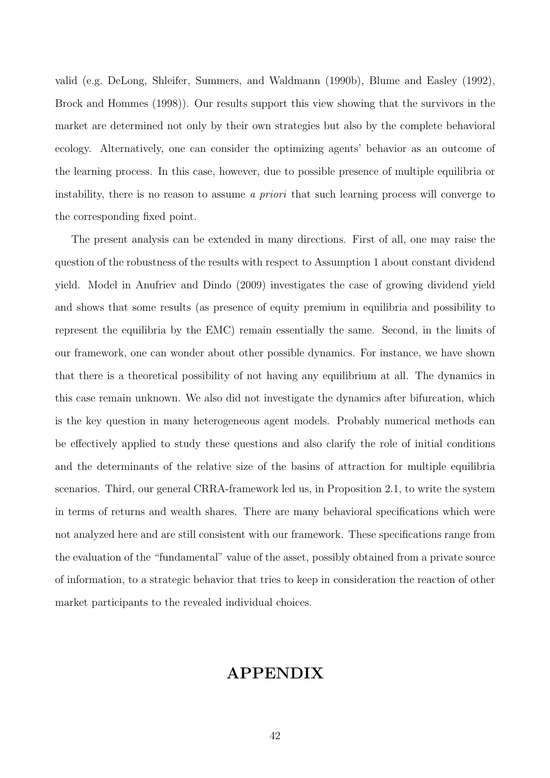valid (e.g. DeLong, Shleifer, Summers, and Waldmann (1990b), Blume and Easley (1992), Brock and Hommes (1998)). Our results support this view showing that the survivors in the market are determined not only by their own strategies but also by the complete behavioral ecology. Alternatively, one can consider the optimizing agents' behavior as an outcome of the learning process. In this case, however, due to possible presence of multiple equilibria or instability, there is no reason to assume a priori that such learning process will converge to the corresponding fixed point.

The present analysis can be extended in many directions. First of all, one may raise the question of the robustness of the results with respect to Assumption 1 about constant dividend yield. Model in Anufriev and Dindo (2009) investigates the case of growing dividend yield and shows that some results (as presence of equity premium in equilibria and possibility to represent the equilibria by the EMC) remain essentially the same. Second, in the limits of our framework, one can wonder about other possible dynamics. For instance, we have shown that there is a theoretical possibility of not having any equilibrium at all. The dynamics in this case remain unknown. We also did not investigate the dynamics after bifurcation, which is the key question in many heterogeneous agent models. Probably numerical methods can be effectively applied to study these questions and also clarify the role of initial conditions and the determinants of the relative size of the basins of attraction for multiple equilibria scenarios. Third, our general CRRA-framework led us, in Proposition 2.1, to write the system in terms of returns and wealth shares. There are many behavioral specifications which were not analyzed here and are still consistent with our framework. These specifications range from the evaluation of the "fundamental" value of the asset, possibly obtained from a private source of information, to a strategic behavior that tries to keep in consideration the reaction of other market participants to the revealed individual choices.

## APPENDIX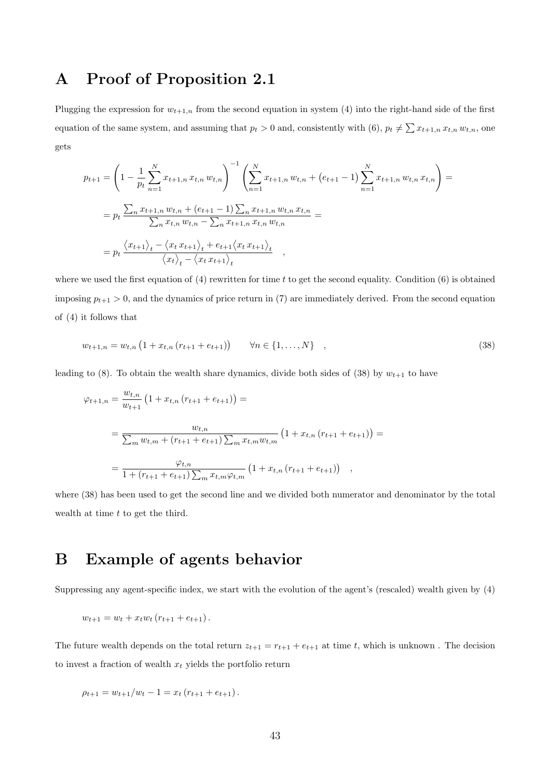# A Proof of Proposition 2.1

Plugging the expression for  $w_{t+1,n}$  from the second equation in system (4) into the right-hand side of the first equation of the same system, and assuming that  $p_t > 0$  and, consistently with  $(6)$ ,  $p_t \neq \sum x_{t+1,n} x_{t,n} w_{t,n}$ , one gets

$$
p_{t+1} = \left(1 - \frac{1}{p_t} \sum_{n=1}^{N} x_{t+1,n} x_{t,n} w_{t,n}\right)^{-1} \left(\sum_{n=1}^{N} x_{t+1,n} w_{t,n} + (e_{t+1} - 1) \sum_{n=1}^{N} x_{t+1,n} w_{t,n} x_{t,n}\right) =
$$
  
\n
$$
= p_t \frac{\sum_{n} x_{t+1,n} w_{t,n} + (e_{t+1} - 1) \sum_{n} x_{t+1,n} w_{t,n} x_{t,n}}{\sum_{n} x_{t,n} w_{t,n} - \sum_{n} x_{t+1,n} x_{t,n} w_{t,n}} =
$$
  
\n
$$
= p_t \frac{\langle x_{t+1} \rangle_t - \langle x_t x_{t+1} \rangle_t + e_{t+1} \langle x_t x_{t+1} \rangle_t}{\langle x_t \rangle_t - \langle x_t x_{t+1} \rangle_t},
$$

where we used the first equation of  $(4)$  rewritten for time t to get the second equality. Condition  $(6)$  is obtained imposing  $p_{t+1} > 0$ , and the dynamics of price return in (7) are immediately derived. From the second equation of (4) it follows that

$$
w_{t+1,n} = w_{t,n} \left( 1 + x_{t,n} \left( r_{t+1} + e_{t+1} \right) \right) \qquad \forall n \in \{1, \dots, N\} \quad , \tag{38}
$$

leading to (8). To obtain the wealth share dynamics, divide both sides of (38) by  $w_{t+1}$  to have

$$
\varphi_{t+1,n} = \frac{w_{t,n}}{w_{t+1}} \left( 1 + x_{t,n} \left( r_{t+1} + e_{t+1} \right) \right) =
$$
\n
$$
= \frac{w_{t,n}}{\sum_m w_{t,m} + \left( r_{t+1} + e_{t+1} \right) \sum_m x_{t,m} w_{t,m}} \left( 1 + x_{t,n} \left( r_{t+1} + e_{t+1} \right) \right) =
$$
\n
$$
= \frac{\varphi_{t,n}}{1 + \left( r_{t+1} + e_{t+1} \right) \sum_m x_{t,m} \varphi_{t,m}} \left( 1 + x_{t,n} \left( r_{t+1} + e_{t+1} \right) \right) ,
$$

where (38) has been used to get the second line and we divided both numerator and denominator by the total wealth at time t to get the third.

## B Example of agents behavior

Suppressing any agent-specific index, we start with the evolution of the agent's (rescaled) wealth given by (4)

$$
w_{t+1} = w_t + x_t w_t (r_{t+1} + e_{t+1}).
$$

The future wealth depends on the total return  $z_{t+1} = r_{t+1} + e_{t+1}$  at time t, which is unknown. The decision to invest a fraction of wealth  $x_t$  yields the portfolio return

$$
\rho_{t+1} = w_{t+1}/w_t - 1 = x_t (r_{t+1} + e_{t+1}).
$$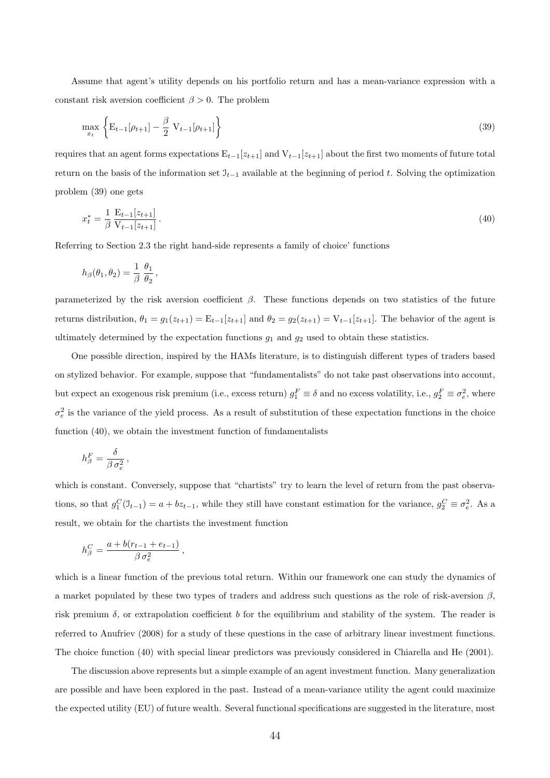Assume that agent's utility depends on his portfolio return and has a mean-variance expression with a constant risk aversion coefficient  $\beta > 0$ . The problem

$$
\max_{x_t} \left\{ \mathbf{E}_{t-1}[\rho_{t+1}] - \frac{\beta}{2} \mathbf{V}_{t-1}[\rho_{t+1}] \right\} \tag{39}
$$

requires that an agent forms expectations  $E_{t-1}[z_{t+1}]$  and  $V_{t-1}[z_{t+1}]$  about the first two moments of future total return on the basis of the information set  $\mathcal{I}_{t-1}$  available at the beginning of period t. Solving the optimization problem (39) one gets

$$
x_t^* = \frac{1}{\beta} \frac{\mathcal{E}_{t-1}[z_{t+1}]}{\mathcal{V}_{t-1}[z_{t+1}]}.
$$
\n(40)

Referring to Section 2.3 the right hand-side represents a family of choice' functions

$$
h_{\beta}(\theta_1,\theta_2)=\frac{1}{\beta}\;\frac{\theta_1}{\theta_2}\,,
$$

parameterized by the risk aversion coefficient  $\beta$ . These functions depends on two statistics of the future returns distribution,  $\theta_1 = g_1(z_{t+1}) = \mathbb{E}_{t-1}[z_{t+1}]$  and  $\theta_2 = g_2(z_{t+1}) = \mathbb{V}_{t-1}[z_{t+1}]$ . The behavior of the agent is ultimately determined by the expectation functions  $g_1$  and  $g_2$  used to obtain these statistics.

One possible direction, inspired by the HAMs literature, is to distinguish different types of traders based on stylized behavior. For example, suppose that "fundamentalists" do not take past observations into account, but expect an exogenous risk premium (i.e., excess return)  $g_1^F \equiv \delta$  and no excess volatility, i.e.,  $g_2^F \equiv \sigma_e^2$ , where  $\sigma_e^2$  is the variance of the yield process. As a result of substitution of these expectation functions in the choice function (40), we obtain the investment function of fundamentalists

$$
h^F_\beta = \frac{\delta}{\beta \sigma_e^2} \,,
$$

which is constant. Conversely, suppose that "chartists" try to learn the level of return from the past observations, so that  $g_1^C(\mathfrak{I}_{t-1}) = a + bz_{t-1}$ , while they still have constant estimation for the variance,  $g_2^C \equiv \sigma_e^2$ . As a result, we obtain for the chartists the investment function

$$
h^C_\beta=\frac{a+b(r_{t-1}+e_{t-1})}{\beta\,\sigma^2_e}\,,
$$

which is a linear function of the previous total return. Within our framework one can study the dynamics of a market populated by these two types of traders and address such questions as the role of risk-aversion  $\beta$ , risk premium  $\delta$ , or extrapolation coefficient b for the equilibrium and stability of the system. The reader is referred to Anufriev (2008) for a study of these questions in the case of arbitrary linear investment functions. The choice function (40) with special linear predictors was previously considered in Chiarella and He (2001).

The discussion above represents but a simple example of an agent investment function. Many generalization are possible and have been explored in the past. Instead of a mean-variance utility the agent could maximize the expected utility (EU) of future wealth. Several functional specifications are suggested in the literature, most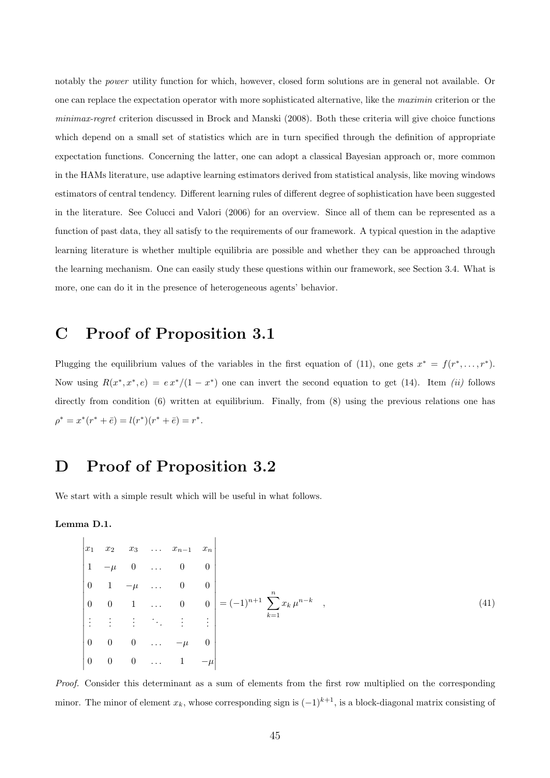notably the power utility function for which, however, closed form solutions are in general not available. Or one can replace the expectation operator with more sophisticated alternative, like the maximin criterion or the minimax-regret criterion discussed in Brock and Manski (2008). Both these criteria will give choice functions which depend on a small set of statistics which are in turn specified through the definition of appropriate expectation functions. Concerning the latter, one can adopt a classical Bayesian approach or, more common in the HAMs literature, use adaptive learning estimators derived from statistical analysis, like moving windows estimators of central tendency. Different learning rules of different degree of sophistication have been suggested in the literature. See Colucci and Valori (2006) for an overview. Since all of them can be represented as a function of past data, they all satisfy to the requirements of our framework. A typical question in the adaptive learning literature is whether multiple equilibria are possible and whether they can be approached through the learning mechanism. One can easily study these questions within our framework, see Section 3.4. What is more, one can do it in the presence of heterogeneous agents' behavior.

## C Proof of Proposition 3.1

Plugging the equilibrium values of the variables in the first equation of (11), one gets  $x^* = f(r^*, \ldots, r^*)$ . Now using  $R(x^*, x^*, e) = e x^*/(1-x^*)$  one can invert the second equation to get (14). Item *(ii)* follows directly from condition (6) written at equilibrium. Finally, from (8) using the previous relations one has  $\rho^* = x^*(r^* + \bar{e}) = l(r^*)(r^* + \bar{e}) = r^*.$ 

## D Proof of Proposition 3.2

We start with a simple result which will be useful in what follows.

 $\overline{a}$ 

Lemma D.1. ¯

$$
\begin{vmatrix} x_1 & x_2 & x_3 & \dots & x_{n-1} & x_n \\ 1 & -\mu & 0 & \dots & 0 & 0 \\ 0 & 1 & -\mu & \dots & 0 & 0 \\ 0 & 0 & 1 & \dots & 0 & 0 \\ \vdots & \vdots & \vdots & \ddots & \vdots & \vdots \\ 0 & 0 & 0 & \dots & -\mu & 0 \\ 0 & 0 & 0 & \dots & 1 & -\mu \end{vmatrix} = (-1)^{n+1} \sum_{k=1}^n x_k \mu^{n-k} , \qquad (41)
$$

Proof. Consider this determinant as a sum of elements from the first row multiplied on the corresponding minor. The minor of element  $x_k$ , whose corresponding sign is  $(-1)^{k+1}$ , is a block-diagonal matrix consisting of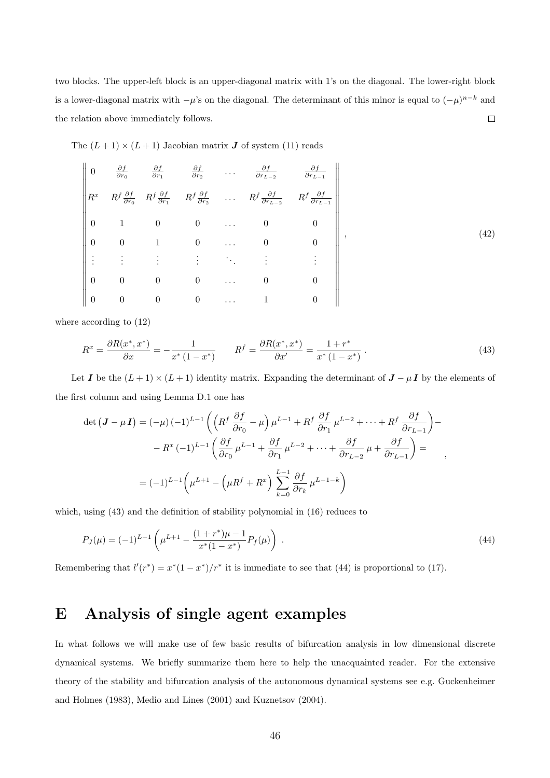two blocks. The upper-left block is an upper-diagonal matrix with 1's on the diagonal. The lower-right block is a lower-diagonal matrix with  $-\mu$ 's on the diagonal. The determinant of this minor is equal to  $(-\mu)^{n-k}$  and  $\Box$ the relation above immediately follows.

The  $(L + 1) \times (L + 1)$  Jacobian matrix **J** of system (11) reads

$$
\begin{vmatrix}\n0 & \frac{\partial f}{\partial r_0} & \frac{\partial f}{\partial r_1} & \frac{\partial f}{\partial r_2} & \cdots & \frac{\partial f}{\partial r_{L-2}} & \frac{\partial f}{\partial r_{L-1}} \\
R^x & R^f \frac{\partial f}{\partial r_0} & R^f \frac{\partial f}{\partial r_1} & R^f \frac{\partial f}{\partial r_2} & \cdots & R^f \frac{\partial f}{\partial r_{L-2}} & R^f \frac{\partial f}{\partial r_{L-1}} \\
0 & 1 & 0 & 0 & \cdots & 0 & 0 \\
0 & 0 & 1 & 0 & \cdots & 0 & 0 \\
\vdots & \vdots & \vdots & \vdots & \ddots & \vdots & \vdots \\
0 & 0 & 0 & 0 & \cdots & 0 & 0 \\
0 & 0 & 0 & 0 & \cdots & 1 & 0\n\end{vmatrix},
$$
\n(42)

where according to (12)

$$
R^x = \frac{\partial R(x^*, x^*)}{\partial x} = -\frac{1}{x^* \left(1 - x^*\right)} \qquad R^f = \frac{\partial R(x^*, x^*)}{\partial x'} = \frac{1 + r^*}{x^* \left(1 - x^*\right)}\,. \tag{43}
$$

Let I be the  $(L + 1) \times (L + 1)$  identity matrix. Expanding the determinant of  $J - \mu I$  by the elements of the first column and using Lemma D.1 one has

$$
\det\left(\mathbf{J}-\mu\mathbf{I}\right) = (-\mu)(-1)^{L-1}\left(\left(R^f\frac{\partial f}{\partial r_0}-\mu\right)\mu^{L-1} + R^f\frac{\partial f}{\partial r_1}\mu^{L-2} + \dots + R^f\frac{\partial f}{\partial r_{L-1}}\right) -
$$

$$
-R^x\left(-1\right)^{L-1}\left(\frac{\partial f}{\partial r_0}\mu^{L-1} + \frac{\partial f}{\partial r_1}\mu^{L-2} + \dots + \frac{\partial f}{\partial r_{L-2}}\mu + \frac{\partial f}{\partial r_{L-1}}\right) =
$$

$$
= (-1)^{L-1}\left(\mu^{L+1} - \left(\mu R^f + R^x\right)\sum_{k=0}^{L-1}\frac{\partial f}{\partial r_k}\mu^{L-1-k}\right)
$$

which, using (43) and the definition of stability polynomial in (16) reduces to

$$
P_J(\mu) = (-1)^{L-1} \left( \mu^{L+1} - \frac{(1+r^*)\mu - 1}{x^*(1-x^*)} P_f(\mu) \right) \,. \tag{44}
$$

,

Remembering that  $l'(r^*) = x^* (1 - x^*)/r^*$  it is immediate to see that (44) is proportional to (17).

# E Analysis of single agent examples

In what follows we will make use of few basic results of bifurcation analysis in low dimensional discrete dynamical systems. We briefly summarize them here to help the unacquainted reader. For the extensive theory of the stability and bifurcation analysis of the autonomous dynamical systems see e.g. Guckenheimer and Holmes (1983), Medio and Lines (2001) and Kuznetsov (2004).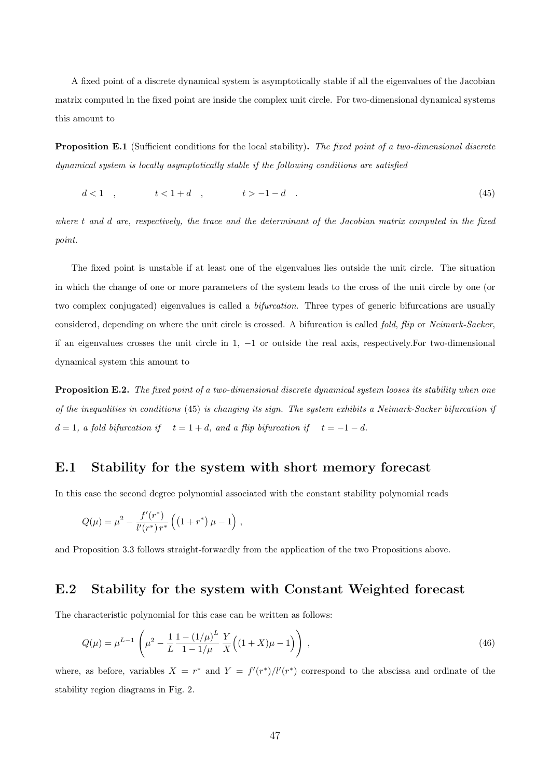A fixed point of a discrete dynamical system is asymptotically stable if all the eigenvalues of the Jacobian matrix computed in the fixed point are inside the complex unit circle. For two-dimensional dynamical systems this amount to

Proposition E.1 (Sufficient conditions for the local stability). The fixed point of a two-dimensional discrete dynamical system is locally asymptotically stable if the following conditions are satisfied

 $d < 1$ ,  $t < 1 + d$ ,  $t > -1 - d$ . (45)

where t and d are, respectively, the trace and the determinant of the Jacobian matrix computed in the fixed point.

The fixed point is unstable if at least one of the eigenvalues lies outside the unit circle. The situation in which the change of one or more parameters of the system leads to the cross of the unit circle by one (or two complex conjugated) eigenvalues is called a *bifurcation*. Three types of generic bifurcations are usually considered, depending on where the unit circle is crossed. A bifurcation is called fold, flip or Neimark-Sacker, if an eigenvalues crosses the unit circle in 1,  $-1$  or outside the real axis, respectively. For two-dimensional dynamical system this amount to

**Proposition E.2.** The fixed point of a two-dimensional discrete dynamical system looses its stability when one of the inequalities in conditions (45) is changing its sign. The system exhibits a Neimark-Sacker bifurcation if  $d = 1$ , a fold bifurcation if  $t = 1 + d$ , and a flip bifurcation if  $t = -1 - d$ .

### E.1 Stability for the system with short memory forecast

In this case the second degree polynomial associated with the constant stability polynomial reads

$$
Q(\mu) = \mu^2 - \frac{f'(r^*)}{l'(r^*)r^*} \left( \left(1 + r^*\right) \mu - 1 \right),
$$

and Proposition 3.3 follows straight-forwardly from the application of the two Propositions above.

### E.2 Stability for the system with Constant Weighted forecast

The characteristic polynomial for this case can be written as follows:

$$
Q(\mu) = \mu^{L-1} \left( \mu^2 - \frac{1}{L} \frac{1 - (1/\mu)^L}{1 - 1/\mu} \frac{Y}{X} \Big( (1 + X)\mu - 1 \Big) \right) , \qquad (46)
$$

where, as before, variables  $X = r^*$  and  $Y = f'(r^*)/l'(r^*)$  correspond to the abscissa and ordinate of the stability region diagrams in Fig. 2.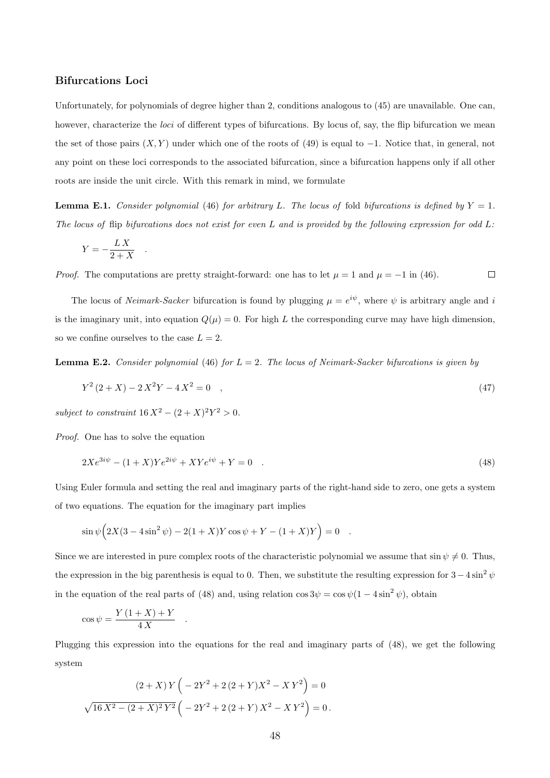#### Bifurcations Loci

Unfortunately, for polynomials of degree higher than 2, conditions analogous to (45) are unavailable. One can, however, characterize the *loci* of different types of bifurcations. By locus of, say, the flip bifurcation we mean the set of those pairs  $(X, Y)$  under which one of the roots of (49) is equal to  $-1$ . Notice that, in general, not any point on these loci corresponds to the associated bifurcation, since a bifurcation happens only if all other roots are inside the unit circle. With this remark in mind, we formulate

**Lemma E.1.** Consider polynomial (46) for arbitrary L. The locus of fold bifurcations is defined by  $Y = 1$ . The locus of flip bifurcations does not exist for even L and is provided by the following expression for odd  $L$ :

$$
Y = -\frac{LX}{2+X} .
$$

*Proof.* The computations are pretty straight-forward: one has to let  $\mu = 1$  and  $\mu = -1$  in (46).  $\Box$ 

The locus of *Neimark-Sacker* bifurcation is found by plugging  $\mu = e^{i\psi}$ , where  $\psi$  is arbitrary angle and i is the imaginary unit, into equation  $Q(\mu) = 0$ . For high L the corresponding curve may have high dimension, so we confine ourselves to the case  $L = 2$ .

**Lemma E.2.** Consider polynomial (46) for  $L = 2$ . The locus of Neimark-Sacker bifurcations is given by

$$
Y^2(2+X) - 2X^2Y - 4X^2 = 0 \t , \t (47)
$$

subject to constraint  $16 X^2 - (2 + X)^2 Y^2 > 0$ .

Proof. One has to solve the equation

$$
2Xe^{3i\psi} - (1+X)Ye^{2i\psi} + XYe^{i\psi} + Y = 0 \t . \t (48)
$$

Using Euler formula and setting the real and imaginary parts of the right-hand side to zero, one gets a system of two equations. The equation for the imaginary part implies

$$
\sin \psi \left( 2X(3 - 4\sin^2 \psi) - 2(1 + X)Y\cos \psi + Y - (1 + X)Y \right) = 0.
$$

Since we are interested in pure complex roots of the characteristic polynomial we assume that  $\sin \psi \neq 0$ . Thus, the expression in the big parenthesis is equal to 0. Then, we substitute the resulting expression for  $3 - 4 \sin^2 \psi$ in the equation of the real parts of (48) and, using relation  $\cos 3\psi = \cos \psi (1 - 4\sin^2 \psi)$ , obtain

$$
\cos\psi = \frac{Y\left(1+X\right) + Y}{4\,X}
$$

Plugging this expression into the equations for the real and imaginary parts of (48), we get the following system

$$
(2+X) Y \left( -2Y^2 + 2(2+Y)X^2 - XY^2 \right) = 0
$$
  

$$
\sqrt{16 X^2 - (2+X)^2 Y^2} \left( -2Y^2 + 2(2+Y)X^2 - XY^2 \right) = 0.
$$

.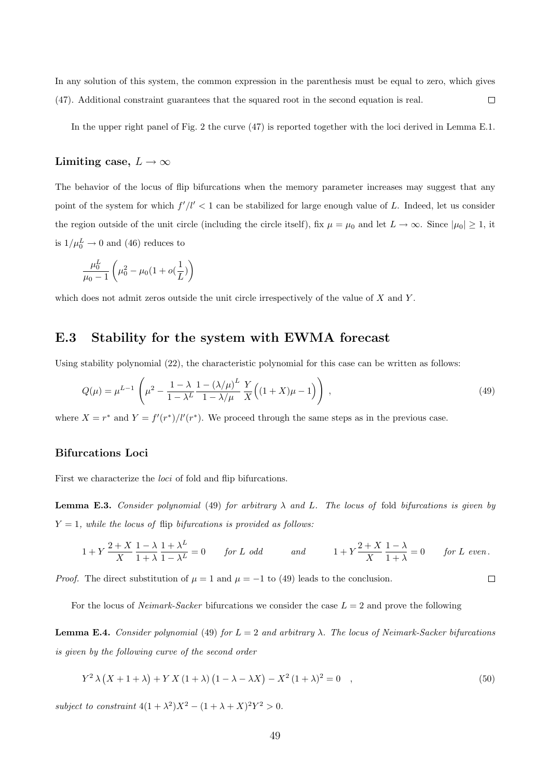In any solution of this system, the common expression in the parenthesis must be equal to zero, which gives (47). Additional constraint guarantees that the squared root in the second equation is real.  $\Box$ 

In the upper right panel of Fig. 2 the curve (47) is reported together with the loci derived in Lemma E.1.

### Limiting case,  $L \to \infty$

The behavior of the locus of flip bifurcations when the memory parameter increases may suggest that any point of the system for which  $f'/l' < 1$  can be stabilized for large enough value of L. Indeed, let us consider the region outside of the unit circle (including the circle itself), fix  $\mu = \mu_0$  and let  $L \to \infty$ . Since  $|\mu_0| \ge 1$ , it is  $1/\mu_0^L \to 0$  and (46) reduces to

$$
\frac{\mu_0^L}{\mu_0-1}\left(\mu_0^2-\mu_0(1+o(\frac{1}{L})\right)
$$

which does not admit zeros outside the unit circle irrespectively of the value of  $X$  and  $Y$ .

### E.3 Stability for the system with EWMA forecast

Using stability polynomial (22), the characteristic polynomial for this case can be written as follows:

$$
Q(\mu) = \mu^{L-1} \left( \mu^2 - \frac{1 - \lambda}{1 - \lambda^L} \frac{1 - (\lambda/\mu)^L}{1 - \lambda/\mu} \frac{Y}{X} \Big( (1 + X)\mu - 1 \Big) \right) ,
$$
\n(49)

where  $X = r^*$  and  $Y = f'(r^*)/l'(r^*)$ . We proceed through the same steps as in the previous case.

### Bifurcations Loci

First we characterize the *loci* of fold and flip bifurcations.

**Lemma E.3.** Consider polynomial (49) for arbitrary  $\lambda$  and L. The locus of fold bifurcations is given by  $Y = 1$ , while the locus of flip bifurcations is provided as follows:

$$
1 + Y \frac{2+X}{X} \frac{1-\lambda}{1+\lambda} \frac{1+\lambda^L}{1-\lambda^L} = 0 \quad \text{for } L \text{ odd} \quad \text{and} \quad 1 + Y \frac{2+X}{X} \frac{1-\lambda}{1+\lambda} = 0 \quad \text{for } L \text{ even.}
$$

 $\Box$ 

*Proof.* The direct substitution of  $\mu = 1$  and  $\mu = -1$  to (49) leads to the conclusion.

For the locus of *Neimark-Sacker* bifurcations we consider the case  $L = 2$  and prove the following

**Lemma E.4.** Consider polynomial (49) for  $L = 2$  and arbitrary  $\lambda$ . The locus of Neimark-Sacker bifurcations is given by the following curve of the second order

$$
Y^{2} \lambda \left(X+1+\lambda\right) + Y X \left(1+\lambda\right) \left(1-\lambda-\lambda X\right) - X^{2} \left(1+\lambda\right)^{2} = 0 \quad , \tag{50}
$$

subject to constraint  $4(1 + \lambda^2)X^2 - (1 + \lambda + X)^2Y^2 > 0$ .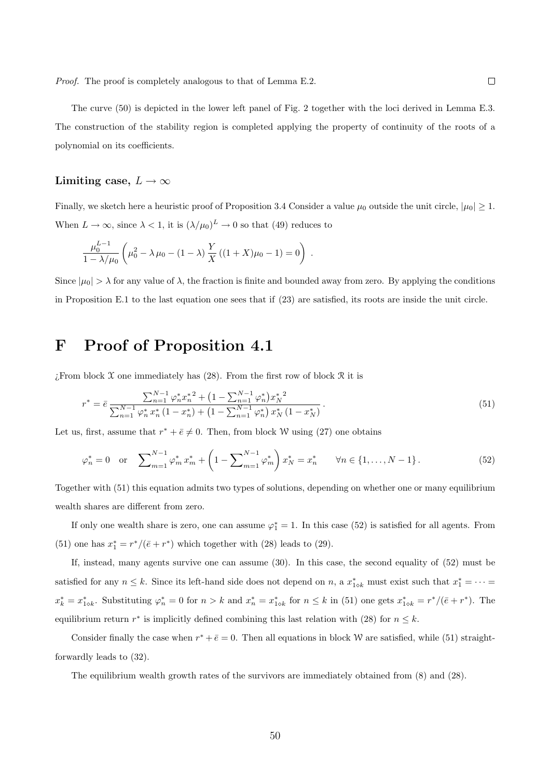Proof. The proof is completely analogous to that of Lemma E.2.

The curve (50) is depicted in the lower left panel of Fig. 2 together with the loci derived in Lemma E.3. The construction of the stability region is completed applying the property of continuity of the roots of a polynomial on its coefficients.

#### Limiting case,  $L \to \infty$

Finally, we sketch here a heuristic proof of Proposition 3.4 Consider a value  $\mu_0$  outside the unit circle,  $|\mu_0| \geq 1$ . When  $L \to \infty$ , since  $\lambda < 1$ , it is  $(\lambda/\mu_0)^L \to 0$  so that (49) reduces to

$$
\frac{\mu_0^{L-1}}{1 - \lambda/\mu_0} \left( \mu_0^2 - \lambda \mu_0 - (1 - \lambda) \frac{Y}{X} ((1 + X)\mu_0 - 1) = 0 \right) .
$$

Since  $|\mu_0| > \lambda$  for any value of  $\lambda$ , the fraction is finite and bounded away from zero. By applying the conditions in Proposition E.1 to the last equation one sees that if (23) are satisfied, its roots are inside the unit circle.

## F Proof of Proposition 4.1

 $i$ . From block X one immediately has (28). From the first row of block R it is

$$
r^* = \bar{e} \frac{\sum_{n=1}^{N-1} \varphi_n^* x_n^{*2} + \left(1 - \sum_{n=1}^{N-1} \varphi_n^*\right) x_N^*}{\sum_{n=1}^{N-1} \varphi_n^* x_n^* \left(1 - x_n^*\right) + \left(1 - \sum_{n=1}^{N-1} \varphi_n^*\right) x_N^* \left(1 - x_N^*\right)}.
$$
\n
$$
(51)
$$

Let us, first, assume that  $r^* + \bar{e} \neq 0$ . Then, from block W using (27) one obtains

$$
\varphi_n^* = 0 \quad \text{or} \quad \sum_{m=1}^{N-1} \varphi_m^* x_m^* + \left(1 - \sum_{m=1}^{N-1} \varphi_m^*\right) x_N^* = x_n^* \qquad \forall n \in \{1, \dots, N-1\}.
$$
 (52)

Together with (51) this equation admits two types of solutions, depending on whether one or many equilibrium wealth shares are different from zero.

If only one wealth share is zero, one can assume  $\varphi_1^* = 1$ . In this case (52) is satisfied for all agents. From (51) one has  $x_1^* = r^*/(\bar{e} + r^*)$  which together with (28) leads to (29).

If, instead, many agents survive one can assume (30). In this case, the second equality of (52) must be satisfied for any  $n \leq k$ . Since its left-hand side does not depend on n, a  $x_{10k}^*$  must exist such that  $x_1^* = \cdots =$  $x_k^* = x_{1 \circ k}^*$ . Substituting  $\varphi_n^* = 0$  for  $n > k$  and  $x_n^* = x_{1 \circ k}^*$  for  $n \leq k$  in (51) one gets  $x_{1 \circ k}^* = r^*/(\bar{e} + r^*)$ . The equilibrium return  $r^*$  is implicitly defined combining this last relation with (28) for  $n \leq k$ .

Consider finally the case when  $r^* + \bar{e} = 0$ . Then all equations in block W are satisfied, while (51) straightforwardly leads to (32).

The equilibrium wealth growth rates of the survivors are immediately obtained from (8) and (28).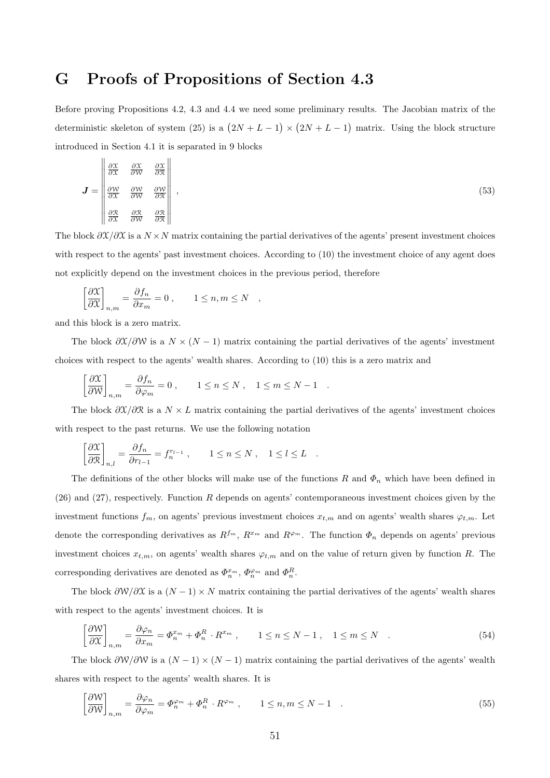## G Proofs of Propositions of Section 4.3

Before proving Propositions 4.2, 4.3 and 4.4 we need some preliminary results. The Jacobian matrix of the deterministic skeleton of system  $(25)$  is a  $(2N + L - 1)$ ¢ × ¡  $2N + L - 1$ ¢ matrix. Using the block structure introduced in Section 4.1 it is separated in 9 blocks

$$
\mathbf{J} = \begin{vmatrix} \frac{\partial x}{\partial x} & \frac{\partial x}{\partial w} & \frac{\partial x}{\partial x} \\ \frac{\partial w}{\partial x} & \frac{\partial w}{\partial w} & \frac{\partial w}{\partial x} \\ \frac{\partial x}{\partial x} & \frac{\partial x}{\partial w} & \frac{\partial x}{\partial x} \end{vmatrix},
$$
(53)

The block  $\partial \mathcal{X}/\partial \mathcal{X}$  is a  $N \times N$  matrix containing the partial derivatives of the agents' present investment choices with respect to the agents' past investment choices. According to (10) the investment choice of any agent does not explicitly depend on the investment choices in the previous period, therefore

$$
\left[\frac{\partial \mathfrak{X}}{\partial \mathfrak{X}}\right]_{n,m} = \frac{\partial f_n}{\partial x_m} = 0 \;, \qquad 1 \le n, m \le N \quad ,
$$

and this block is a zero matrix.

The block  $\frac{\partial \mathcal{X}}{\partial W}$  is a  $N \times (N-1)$  matrix containing the partial derivatives of the agents' investment choices with respect to the agents' wealth shares. According to (10) this is a zero matrix and

$$
\left[\frac{\partial \mathfrak{X}}{\partial \mathcal{W}}\right]_{n,m} = \frac{\partial f_n}{\partial \varphi_m} = 0 , \qquad 1 \le n \le N , \quad 1 \le m \le N - 1 .
$$

The block  $\frac{\partial \mathcal{X}}{\partial \mathcal{R}}$  is a  $N \times L$  matrix containing the partial derivatives of the agents' investment choices with respect to the past returns. We use the following notation

$$
\left[\frac{\partial \mathfrak{X}}{\partial \mathfrak{R}}\right]_{n,l} = \frac{\partial f_n}{\partial r_{l-1}} = f_n^{r_{l-1}} , \qquad 1 \le n \le N , \quad 1 \le l \le L .
$$

The definitions of the other blocks will make use of the functions R and  $\Phi_n$  which have been defined in  $(26)$  and  $(27)$ , respectively. Function R depends on agents' contemporaneous investment choices given by the investment functions  $f_m$ , on agents' previous investment choices  $x_{t,m}$  and on agents' wealth shares  $\varphi_{t,m}$ . Let denote the corresponding derivatives as  $R^{f_m}$ ,  $R^{x_m}$  and  $R^{\varphi_m}$ . The function  $\Phi_n$  depends on agents' previous investment choices  $x_{t,m}$ , on agents' wealth shares  $\varphi_{t,m}$  and on the value of return given by function R. The corresponding derivatives are denoted as  $\Phi_n^{x_m}$ ,  $\Phi_n^{\varphi_m}$  and  $\Phi_n^R$ .

The block  $\partial \mathcal{W}/\partial \mathcal{X}$  is a  $(N-1) \times N$  matrix containing the partial derivatives of the agents' wealth shares with respect to the agents' investment choices. It is

$$
\left[\frac{\partial \mathcal{W}}{\partial \mathcal{X}}\right]_{n,m} = \frac{\partial \varphi_n}{\partial x_m} = \Phi_n^{x_m} + \Phi_n^R \cdot R^{x_m} , \qquad 1 \le n \le N - 1 , \quad 1 \le m \le N . \tag{54}
$$

The block  $\partial W/\partial W$  is a  $(N-1) \times (N-1)$  matrix containing the partial derivatives of the agents' wealth shares with respect to the agents' wealth shares. It is

$$
\left[\frac{\partial \mathcal{W}}{\partial \mathcal{W}}\right]_{n,m} = \frac{\partial \varphi_n}{\partial \varphi_m} = \Phi_n^{\varphi_m} + \Phi_n^R \cdot R^{\varphi_m} , \qquad 1 \le n, m \le N - 1 . \tag{55}
$$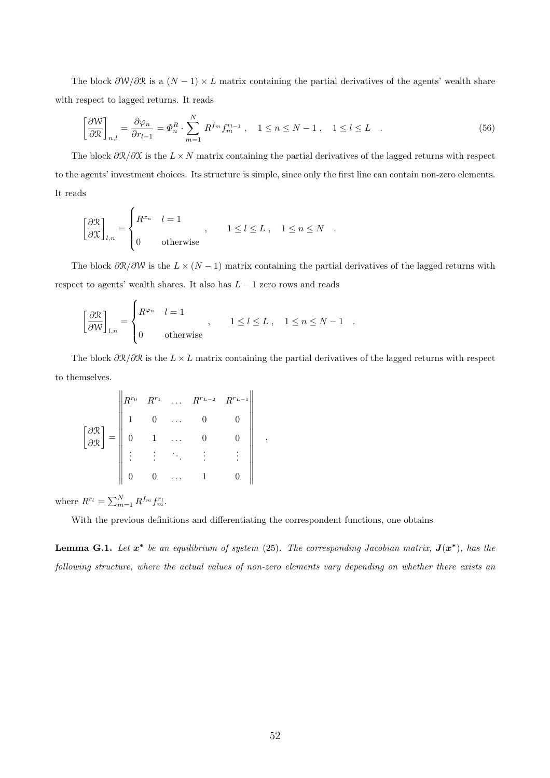The block  $\partial \mathcal{W}/\partial \mathcal{R}$  is a  $(N-1) \times L$  matrix containing the partial derivatives of the agents' wealth share with respect to lagged returns. It reads

$$
\left[\frac{\partial \mathcal{W}}{\partial \mathcal{R}}\right]_{n,l} = \frac{\partial \varphi_n}{\partial r_{l-1}} = \Phi_n^R \cdot \sum_{m=1}^N R^{f_m} f_m^{r_{l-1}} \,, \quad 1 \le n \le N-1 \,, \quad 1 \le l \le L \quad . \tag{56}
$$

The block  $\partial \mathcal{R}/\partial \mathcal{X}$  is the  $L \times N$  matrix containing the partial derivatives of the lagged returns with respect to the agents' investment choices. Its structure is simple, since only the first line can contain non-zero elements. It reads

$$
\left[\frac{\partial \mathcal{R}}{\partial \mathcal{X}}\right]_{l,n} = \begin{cases} R^{x_n} & l=1 \\ 0 & \text{otherwise} \end{cases}, \quad 1 \le l \le L, \quad 1 \le n \le N. \quad .
$$

The block  $\partial \mathcal{R}/\partial W$  is the  $L \times (N-1)$  matrix containing the partial derivatives of the lagged returns with respect to agents' wealth shares. It also has  $L - 1$  zero rows and reads

$$
\left[\frac{\partial \mathcal{R}}{\partial \mathcal{W}}\right]_{l,n} = \begin{cases} R^{\varphi_n} & l = 1 \\ 0 & \text{otherwise} \end{cases}, \quad 1 \le l \le L, \quad 1 \le n \le N - 1.
$$

The block  $\partial \mathcal{R}/\partial \mathcal{R}$  is the  $L \times L$  matrix containing the partial derivatives of the lagged returns with respect to themselves.

,

$$
\left[\frac{\partial \mathcal{R}}{\partial \mathcal{R}}\right] = \begin{vmatrix} R^{r_0} & R^{r_1} & \dots & R^{r_{L-2}} & R^{r_{L-1}} \\ 1 & 0 & \dots & 0 & 0 \\ 0 & 1 & \dots & 0 & 0 \\ \vdots & \vdots & \ddots & \vdots & \vdots \\ 0 & 0 & \dots & 1 & 0 \end{vmatrix}
$$

where  $R^{r_l} = \sum_{m=1}^{N} R^{f_m} f_m^{r_l}$ .

 $\overline{a}$ 

 $\overline{a}$ 

With the previous definitions and differentiating the correspondent functions, one obtains

**Lemma G.1.** Let  $x^*$  be an equilibrium of system (25). The corresponding Jacobian matrix,  $J(x^*)$ , has the following structure, where the actual values of non-zero elements vary depending on whether there exists an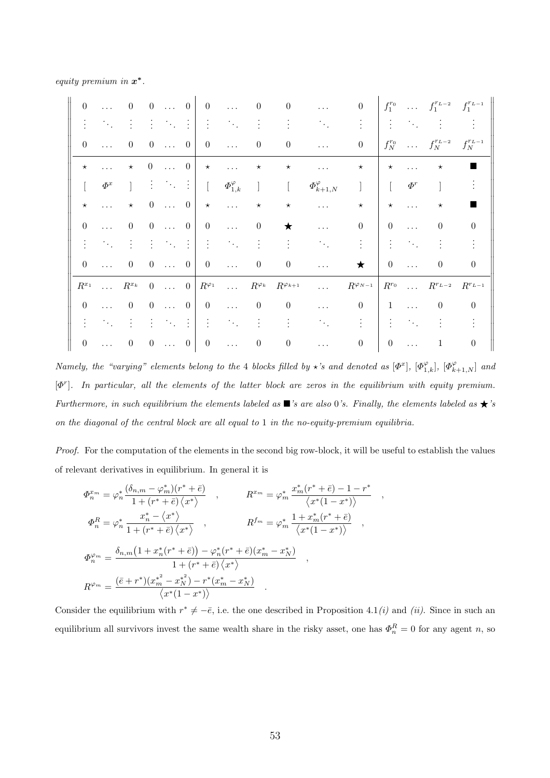equity premium in  $x^*$ .

| $\overline{0}$     | $\dddot{\phantom{0}}$                   | $\overline{0}$   |                | $0 \ldots$                           | $\overline{0}$ | $\overline{0}$  | $\sim$                  | $\overline{0}$   | $\overline{0}$      |                          | $\overline{0}$      |                  |                      | $f_1^{r_0}$ $f_1^{r_{L-2}}$ $f_1^{r_{L-1}}$ |                 |
|--------------------|-----------------------------------------|------------------|----------------|--------------------------------------|----------------|-----------------|-------------------------|------------------|---------------------|--------------------------|---------------------|------------------|----------------------|---------------------------------------------|-----------------|
|                    | $\ddot{\phantom{a}}$ .                  |                  |                | ta i                                 | ÷              |                 | ÎΥ.                     |                  |                     | t.,                      |                     |                  |                      |                                             |                 |
| $\overline{0}$     | $\ldots$                                | $\overline{0}$   | $\overline{0}$ | $\cdots$ 0                           |                | $\overline{0}$  | $\ldots$                | $\overline{0}$   | $\boldsymbol{0}$    | .                        | $\overline{0}$      | $f_N^{r_0}$      | $\sim$ 4.4 $\sim$    | $f_N^{r_{L-2}}$                             | $f_N^{r_{L-1}}$ |
| $\star$            | $\cdots$                                | $\star$          | $\overline{0}$ | $\ldots$ 0                           |                | $\star$         | .                       | $\star$          | $\star$             | $\cdots$                 | $\star$             | $\star$          | $\ldots$             | $\star$                                     |                 |
|                    | $\varPhi^x$                             |                  | $\ddot{\cdot}$ | $\langle \cdot \rangle_{\mathbb{Z}}$ | ÷              |                 | $\varPhi_{1,k}^\varphi$ |                  |                     | $\Phi_{k+1,N}^{\varphi}$ |                     |                  | $\varPhi^r$          |                                             |                 |
| $\star$            | $\cdots$                                | $\star$          | $\overline{0}$ | $\ldots$ 0                           |                | $\star$         | $\ldots$                | $\star$          | $\star$             | $\cdots$                 | $\star$             | $\star$          | $\sim$ $\sim$ $\sim$ | $\star$                                     |                 |
| $\theta$           | $\cdots$                                | $\overline{0}$   | $\overline{0}$ | $\sim 100$                           | $\overline{0}$ | $\overline{0}$  | $\ldots$                | $\overline{0}$   | $\bigstar$          | .                        | $\overline{0}$      | $\overline{0}$   | $\ldots$             | $\overline{0}$                              | $\Omega$        |
|                    | $\mathcal{O}_{\mathcal{A},\mathcal{C}}$ |                  |                | ta ji                                | $\frac{1}{2}$  | ÷               |                         |                  |                     |                          |                     |                  |                      |                                             |                 |
| $\boldsymbol{0}$   | $\sim$ $\sim$ $\sim$                    | $\overline{0}$   |                | $0 \ldots 0$                         |                | $\overline{0}$  | $\ldots$                | $\overline{0}$   | $\boldsymbol{0}$    | $\cdots$                 | $\bigstar$          | $\boldsymbol{0}$ | $\sim$ $\sim$ $\sim$ | $\overline{0}$                              | $\theta$        |
| $\mathbb{R}^{x_1}$ | $\ldots$ .                              | $R^{x_k}$        | $\overline{0}$ | $\ldots$ 0                           |                | $R^{\varphi_1}$ | $\ldots$                | $R^{\varphi_k}$  | $R^{\varphi_{k+1}}$ | $\cdots$                 | $R^{\varphi_{N-1}}$ | $R^{r_0}$        | $\ldots$ .           | $R^{r_{L-2}}$ $R^{r_{L-1}}$                 |                 |
| $\Omega$           | $\cdots$                                | $\boldsymbol{0}$ | $\overline{0}$ | $\sim 100$                           | $\overline{0}$ | $\overline{0}$  | $\cdots$                | $\overline{0}$   | $\overline{0}$      |                          | $\overline{0}$      | $\mathbf{1}$     |                      | $\overline{0}$                              | $\Omega$        |
| ÷                  |                                         |                  |                | $\epsilon_{\rm in}$                  | ÷              | $\frac{1}{2}$   |                         |                  |                     |                          |                     |                  |                      |                                             |                 |
| $\boldsymbol{0}$   | $\ldots$ .                              | $\boldsymbol{0}$ | $\overline{0}$ | $\cdots$ 0                           |                | $\overline{0}$  | $\ldots$                | $\boldsymbol{0}$ | $\boldsymbol{0}$    | $\cdots$                 | $\boldsymbol{0}$    | $\boldsymbol{0}$ | $\cdots$             | $\mathbf{1}$                                | $\theta$        |

Namely, the "varying" elements belong to the 4 blocks filled by  $\star$ 's and denoted as  $[\Phi^x]$ ,  $[\Phi^{\varphi}_{1,k}]$ ,  $[\Phi^{\varphi}_{k+1,N}]$  and  $[\Phi^r]$ . In particular, all the elements of the latter block are zeros in the equilibrium with equity premium. Furthermore, in such equilibrium the elements labeled as  $\blacksquare$ 's are also 0's. Finally, the elements labeled as  $\bigstar$ 's on the diagonal of the central block are all equal to 1 in the no-equity-premium equilibria.

Proof. For the computation of the elements in the second big row-block, it will be useful to establish the values of relevant derivatives in equilibrium. In general it is

$$
\Phi_n^{x_m} = \varphi_n^* \frac{(\delta_{n,m} - \varphi_m^*)(r^* + \bar{e})}{1 + (r^* + \bar{e}) \langle x^* \rangle} , \qquad R^{x_m} = \varphi_m^* \frac{x_m^*(r^* + \bar{e}) - 1 - r^*}{\langle x^*(1 - x^*) \rangle} ,
$$
  
\n
$$
\Phi_n^R = \varphi_n^* \frac{x_n^* - \langle x^* \rangle}{1 + (r^* + \bar{e}) \langle x^* \rangle} , \qquad R^{f_m} = \varphi_m^* \frac{1 + x_m^*(r^* + \bar{e})}{\langle x^*(1 - x^*) \rangle} ,
$$
  
\n
$$
\Phi_n^{\varphi_m} = \frac{\delta_{n,m}(1 + x_n^*(r^* + \bar{e})) - \varphi_n^*(r^* + \bar{e})(x_m^* - x_N^*)}{1 + (r^* + \bar{e})\langle x^* \rangle} ,
$$
  
\n
$$
R^{\varphi_m} = \frac{(\bar{e} + r^*)(x_m^{*2} - x_N^{*2}) - r^*(x_m^* - x_N^*)}{\langle x^*(1 - x^*) \rangle} .
$$

Consider the equilibrium with  $r^* \neq -\bar{e}$ , i.e. the one described in Proposition 4.1(i) and (ii). Since in such an equilibrium all survivors invest the same wealth share in the risky asset, one has  $\Phi_n^R = 0$  for any agent n, so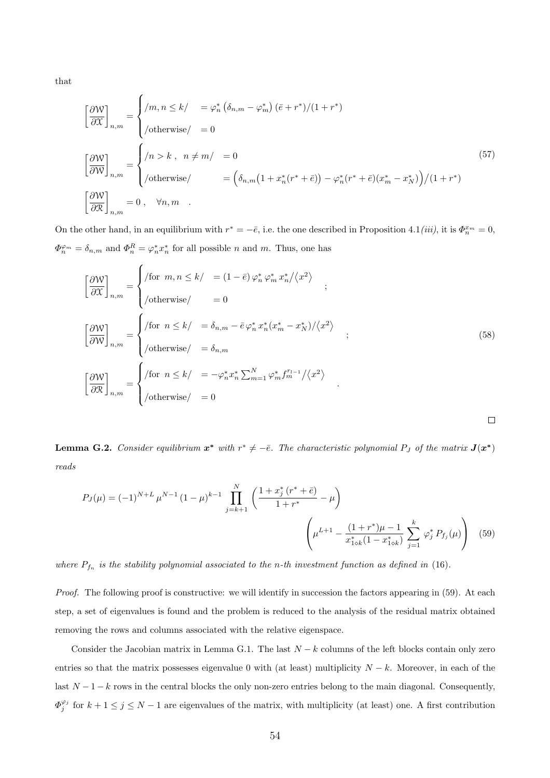that

 $\overline{a}$ 

$$
\begin{aligned}\n\left[\frac{\partial W}{\partial \mathcal{X}}\right]_{n,m} &= \begin{cases}\n/m, n \le k/ &= \varphi_n^* \left(\delta_{n,m} - \varphi_m^*\right) (\bar{e} + r^*)/(1 + r^*) \\
\sqrt{\text{otherwise/}} &= 0\n\end{cases} \\
\left[\frac{\partial W}{\partial W}\right]_{n,m} &= \begin{cases}\n/n > k \,, \quad n \ne m/ &= 0 \\
\sqrt{\text{otherwise/}} &= \left(\delta_{n,m} \left(1 + x_n^*(r^* + \bar{e})\right) - \varphi_n^*(r^* + \bar{e})(x_m^* - x_N^*)\right)/(1 + r^*) \\
\left[\frac{\partial W}{\partial \mathcal{R}}\right]_{n,m} &= 0 \,, \quad \forall n, m\n\end{cases} \tag{57}
$$

On the other hand, in an equilibrium with  $r^* = -\overline{e}$ , i.e. the one described in Proposition 4.1(*iii*), it is  $\Phi_n^{x_m} = 0$ ,  $\Phi_n^{\varphi_m} = \delta_{n,m}$  and  $\Phi_n^R = \varphi_n^* x_n^*$  for all possible *n* and *m*. Thus, one has

$$
\left[\frac{\partial W}{\partial X}\right]_{n,m} = \begin{cases}\n\left\{\text{for } m, n \le k\right\} &= (1 - \bar{e}) \varphi_n^* \varphi_m^* x_n^* / \langle x^2 \rangle \\
\left\{\text{otherwise}}\right\} &= 0 \\
\left[\frac{\partial W}{\partial W}\right]_{n,m} &= \begin{cases}\n\left\{\text{for } n \le k\right\} &= \delta_{n,m} - \bar{e} \varphi_n^* x_n^* (x_m^* - x_N^*) / \langle x^2 \rangle \\
\left\{\text{otherwise}}\right\} &= \delta_{n,m} \\
\left\{\text{otherwise}}\right\} &= \delta_{n,m}\n\end{cases}\n\quad (58)
$$
\n
$$
\left[\frac{\partial W}{\partial R}\right]_{n,m} = \begin{cases}\n\left\{\text{for } n \le k\right\} &= -\varphi_n^* x_n^* \sum_{m=1}^N \varphi_m^* f_m^{n-1} / \langle x^2 \rangle \\
\left\{\text{otherwise}}\right\} &= 0\n\end{cases}
$$

 $\Box$ 

**Lemma G.2.** Consider equilibrium  $x^*$  with  $r^* \neq -\bar{e}$ . The characteristic polynomial  $P_J$  of the matrix  $J(x^*)$ reads

$$
P_J(\mu) = (-1)^{N+L} \mu^{N-1} (1-\mu)^{k-1} \prod_{j=k+1}^N \left( \frac{1+x_j^*(r^*+\bar{e})}{1+r^*} - \mu \right)
$$

$$
\left( \mu^{L+1} - \frac{(1+r^*)\mu - 1}{x_{1ok}^*(1-x_{1ok}^*)} \sum_{j=1}^k \varphi_j^* P_{f_j}(\mu) \right) (59)
$$

where  $P_{f_n}$  is the stability polynomial associated to the n-th investment function as defined in (16).

Proof. The following proof is constructive: we will identify in succession the factors appearing in (59). At each step, a set of eigenvalues is found and the problem is reduced to the analysis of the residual matrix obtained removing the rows and columns associated with the relative eigenspace.

Consider the Jacobian matrix in Lemma G.1. The last  $N - k$  columns of the left blocks contain only zero entries so that the matrix possesses eigenvalue 0 with (at least) multiplicity  $N - k$ . Moreover, in each of the last  $N-1-k$  rows in the central blocks the only non-zero entries belong to the main diagonal. Consequently,  $\Phi_j^{\varphi_j}$  for  $k+1 \leq j \leq N-1$  are eigenvalues of the matrix, with multiplicity (at least) one. A first contribution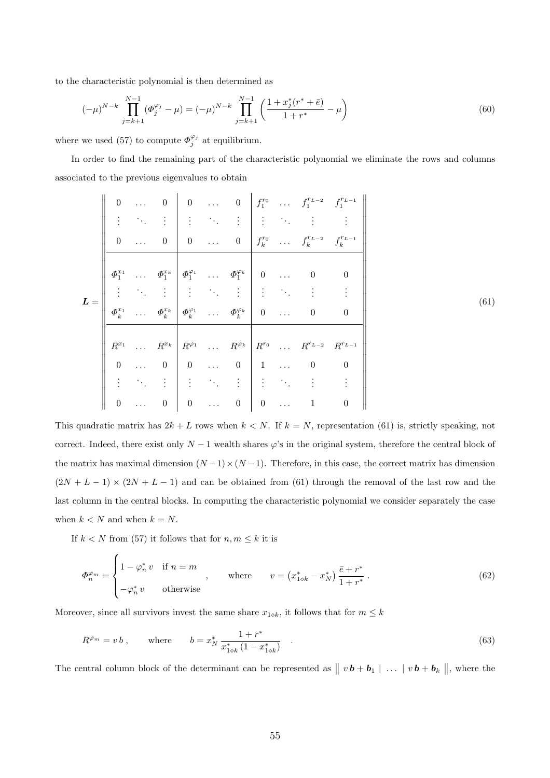to the characteristic polynomial is then determined as

$$
(-\mu)^{N-k} \prod_{j=k+1}^{N-1} (\Phi_j^{\varphi_j} - \mu) = (-\mu)^{N-k} \prod_{j=k+1}^{N-1} \left( \frac{1 + x_j^*(r^* + \bar{e})}{1 + r^*} - \mu \right)
$$
(60)

where we used (57) to compute  $\Phi_j^{\varphi_j}$  at equilibrium.

In order to find the remaining part of the characteristic polynomial we eliminate the rows and columns associated to the previous eigenvalues to obtain

| $\boldsymbol{L} =$ | $\Omega$<br>$\theta$<br>$\varPhi_1^{x_1}$              | $\cdots$<br>$\ldots$<br>$\ldots$              | $\overline{0}$<br>$\vdots$<br>$\overline{0}$<br>$\varPhi_{1}^{x_{k}}$   | $\boldsymbol{0}$<br>$\vdots$<br>$\boldsymbol{0}$<br>${}^{\shortparallel}\Phi_1^{\varphi_1}$              | $\ldots$<br>$\ldots$                                | $\boldsymbol{0}$<br>$\ldots \Phi_1^{\varphi_k}$<br>$\pm$   $\pm$                                                 | $\frac{1}{2}$ . $\frac{1}{2}$ .<br>$\overline{0}$ | $\ldots$                                     | 0 $f_1^{r_0}$ $f_1^{r_{L-2}}$ $f_1^{r_{L-1}}$<br>$f_k^{r_0}$ $f_k^{r_{L-2}}$<br>$\Omega$ | $f_k^{r_{L-1}}$<br>$\Omega$              |
|--------------------|--------------------------------------------------------|-----------------------------------------------|-------------------------------------------------------------------------|----------------------------------------------------------------------------------------------------------|-----------------------------------------------------|------------------------------------------------------------------------------------------------------------------|---------------------------------------------------|----------------------------------------------|------------------------------------------------------------------------------------------|------------------------------------------|
|                    | $\varPhi_k^{x_1}$<br>$R^{x_1}$<br>$\theta$<br>$\theta$ | $\ldots$<br>$\ddotsc$<br>$\ldots$<br>$\cdots$ | $\varPhi_k^{x_k}$<br>$R^{x_k}$<br>$\overline{0}$<br>÷<br>$\overline{0}$ | $\, \, \Phi_k^{\varphi_1}$<br>$R^{\varphi_1}$<br>$\boldsymbol{0}$<br>$\frac{1}{2}$ .<br>$\boldsymbol{0}$ | $\sim$ . $\sim$<br>$\ldots$<br>$\ldots$<br>$\ldots$ | $\varPhi_k^{\varphi_k}$<br>$R^{\varphi_k} \mid R^{r_0}$<br>$\boldsymbol{0}$<br>$\frac{1}{2}$<br>$\boldsymbol{0}$ | $\overline{0}$<br>$\mathbf{1}$<br>$\overline{0}$  | $\ldots$<br>$\ddots$<br>$\cdots$<br>$\ldots$ | $\Omega$<br>$R^{r_{L-2}}$ $\hspace{0.1cm} R^{r_{L-1}}$<br>$\theta$<br>$\mathbf{1}$       | $\theta$<br>$\theta$<br>$\boldsymbol{0}$ |

This quadratic matrix has  $2k + L$  rows when  $k < N$ . If  $k = N$ , representation (61) is, strictly speaking, not correct. Indeed, there exist only  $N-1$  wealth shares  $\varphi$ 's in the original system, therefore the central block of the matrix has maximal dimension  $(N-1) \times (N-1)$ . Therefore, in this case, the correct matrix has dimension  $(2N + L - 1) \times (2N + L - 1)$  and can be obtained from (61) through the removal of the last row and the last column in the central blocks. In computing the characteristic polynomial we consider separately the case when  $k < N$  and when  $k = N$ .

If  $k < N$  from (57) it follows that for  $n, m \leq k$  it is

$$
\Phi_n^{\varphi_m} = \begin{cases}\n1 - \varphi_n^* v & \text{if } n = m \\
-\varphi_n^* v & \text{otherwise}\n\end{cases}, \qquad \text{where} \qquad v = \left(x_{1 \circ k}^* - x_N^*\right) \frac{\bar{e} + r^*}{1 + r^*}.
$$
\n(62)

Moreover, since all survivors invest the same share  $x_{1\circ k}$ , it follows that for  $m \leq k$ 

$$
R^{\varphi_m} = v \, b \,, \qquad \text{where} \qquad b = x_N^* \, \frac{1 + r^*}{x_{1 \circ k}^* \left(1 - x_{1 \circ k}^* \right)} \quad . \tag{63}
$$

The central column block of the determinant can be represented as  $\parallel v \mathbf{b} + \mathbf{b}_1 \parallel \ldots \parallel v \mathbf{b} + \mathbf{b}_k \parallel$ , where the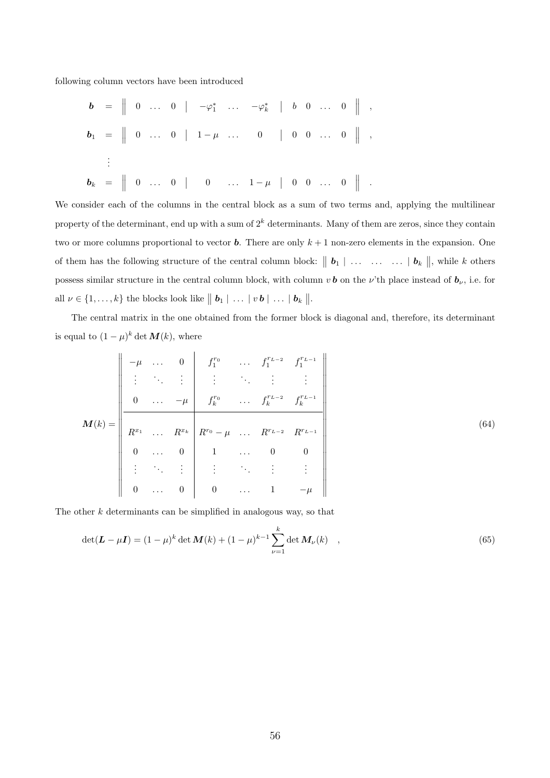following column vectors have been introduced

$$
\begin{array}{rcl}\n\mathbf{b} & = & \begin{array}{ccccccc}\n\mathbf{b} & = & \begin{array}{ccccccc}\n0 & \dots & 0 & \dots & -\varphi_1^* & \dots & -\varphi_k^* & \vdots & b & 0 & \dots & 0 & \end{array}\n\end{array} &\n\mathbf{b}_1 & = & \begin{array}{ccccccc}\n0 & \dots & 0 & \dots & 1-\mu & \dots & 0 & \dots & 0 & \vdots \\
0 & \dots & 0 & \dots & 0 & \dots & 1-\mu & \dots & 0 & 0 & \dots & 0 & \end{array}\n\end{array} &\n\mathbf{b}_k & = & \begin{array}{ccccccc}\n0 & \dots & 0 & \dots & 0 & \dots & 0 & \dots & 0 & \dots & 0 & \dots & 0 & \dots & 0 & \dots & 0 & \dots & 0 & \dots & 0 & \dots & 0 & \dots & 0 & \dots & 0 & \dots & 0 & \dots & 0 & \dots & 0 & \dots & 0 & \dots & 0 & \dots & 0 & \dots & 0 & \dots & 0 & \dots & 0 & \dots & 0 & \dots & 0 & \dots & 0 & \dots & 0 & \dots & 0 & \dots & 0 & \dots & 0 & \dots & 0 & \dots & 0 & \dots & 0 & \dots & 0 & \dots & 0 & \dots & 0 & \dots & 0 & \dots & 0 & \dots & 0 & \dots & 0 & \dots & 0 & \dots & 0 & \dots & 0 & \dots & 0 & \dots & 0 & \dots &
$$

We consider each of the columns in the central block as a sum of two terms and, applying the multilinear property of the determinant, end up with a sum of  $2<sup>k</sup>$  determinants. Many of them are zeros, since they contain two or more columns proportional to vector **b**. There are only  $k + 1$  non-zero elements in the expansion. One of them has the following structure of the central column block:  $\parallel \mathbf{b}_1 \parallel \ldots \ldots \ldots \parallel \mathbf{b}_k \parallel$ , while k others possess similar structure in the central column block, with column  $v \, \boldsymbol{b}$  on the  $\nu$ 'th place instead of  $\boldsymbol{b}_{\nu}$ , i.e. for all  $\nu \in \{1, \ldots, k\}$  the blocks look like  $||\bm{b}_1|| \dots ||\bm{v}\bm{b}|| \dots ||\bm{b}_k||.$ 

The central matrix in the one obtained from the former block is diagonal and, therefore, its determinant is equal to  $(1 - \mu)^k \det M(k)$ , where

$$
M(k) = \begin{vmatrix} -\mu & \dots & 0 & f_1^{r_0} & \dots & f_1^{r_{L-2}} & f_1^{r_{L-1}} \\ \vdots & \ddots & \vdots & \vdots & \ddots & \vdots & \vdots \\ 0 & \dots & -\mu & f_k^{r_0} & \dots & f_k^{r_{L-2}} & f_k^{r_{L-1}} \\ \hline R^{x_1} & \dots & R^{x_k} & R^{r_0} - \mu & \dots & R^{r_{L-2}} & R^{r_{L-1}} \\ 0 & \dots & 0 & 1 & \dots & 0 & 0 \\ \vdots & \ddots & \vdots & \vdots & \ddots & \vdots & \vdots \\ 0 & \dots & 0 & 0 & \dots & 1 & -\mu \end{vmatrix}
$$
 (64)

The other  $k$  determinants can be simplified in analogous way, so that

$$
\det(\mathbf{L} - \mu \mathbf{I}) = (1 - \mu)^k \det \mathbf{M}(k) + (1 - \mu)^{k-1} \sum_{\nu=1}^k \det \mathbf{M}_{\nu}(k) , \qquad (65)
$$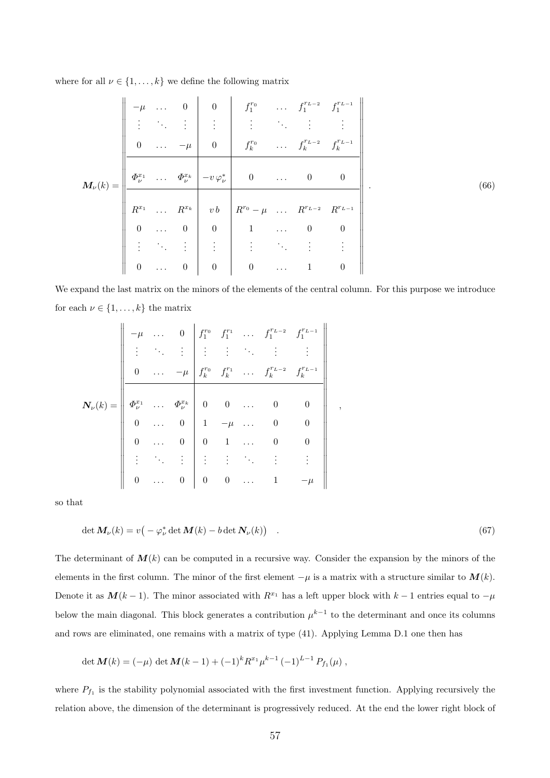where for all  $\nu \in \{1, \ldots, k\}$  we define the following matrix

$$
M_{\nu}(k) = \begin{vmatrix} -\mu & \cdots & 0 & 0 & f_{1}^{r_{0}} & \cdots & f_{1}^{r_{L-2}} & f_{1}^{r_{L-1}} \\ \vdots & \ddots & \vdots & \vdots & \vdots & \ddots & \vdots & \vdots \\ 0 & \cdots & -\mu & 0 & f_{k}^{r_{0}} & \cdots & f_{k}^{r_{L-2}} & f_{k}^{r_{L-1}} \\ \hline \varPhi_{\nu}^{x_{1}} & \cdots & \varPhi_{\nu}^{x_{k}} & -\nu \varphi_{\nu}^{*} & 0 & \cdots & 0 & 0 \\ \hline R^{x_{1}} & \cdots & R^{x_{k}} & \nu b & R^{r_{0}} - \mu & \cdots & R^{r_{L-2}} & R^{r_{L-1}} \\ 0 & \cdots & 0 & 0 & 1 & \cdots & 0 & 0 \\ \vdots & \ddots & \vdots & \vdots & \vdots & \ddots & \vdots & \vdots \\ 0 & \cdots & 0 & 0 & 0 & \cdots & 1 & 0 \end{vmatrix} . \qquad (66)
$$

We expand the last matrix on the minors of the elements of the central column. For this purpose we introduce for each  $\nu \in \{1, \ldots, k\}$  the matrix

|                         | $\boldsymbol{0}$    |                           |                | $\begin{array}{c} 0 \\ \vdots \\ \vdots \end{array} \begin{array}{c} f_1^{r_0} \\ f_1^{r_1} \\ \vdots \end{array} \begin{array}{c} f_1^{r_1} \\ \vdots \end{array} \begin{array}{c} f_1^{r_{L-1}} \\ \vdots \end{array}$<br>$-\mu \begin{array}{cccc} f_k^{r_0} & f_k^{r_1} & \dots & f_k^{r_{L-2}} & f_k^{r_{L-1}} \end{array}$ |  |
|-------------------------|---------------------|---------------------------|----------------|----------------------------------------------------------------------------------------------------------------------------------------------------------------------------------------------------------------------------------------------------------------------------------------------------------------------------------|--|
| $\mathbf{N}_{\nu}(k) =$ | $\varPhi_\nu^{x_1}$ | $\ldots \Phi_{\nu}^{x_k}$ | $0\qquad 0$    |                                                                                                                                                                                                                                                                                                                                  |  |
|                         |                     |                           |                |                                                                                                                                                                                                                                                                                                                                  |  |
|                         |                     |                           | $\overline{1}$ |                                                                                                                                                                                                                                                                                                                                  |  |
|                         |                     |                           |                |                                                                                                                                                                                                                                                                                                                                  |  |
|                         |                     |                           |                |                                                                                                                                                                                                                                                                                                                                  |  |

so that

$$
\det \mathbf{M}_{\nu}(k) = v \big( -\varphi_{\nu}^* \det \mathbf{M}(k) - b \det \mathbf{N}_{\nu}(k) \big) \quad . \tag{67}
$$

,

The determinant of  $M(k)$  can be computed in a recursive way. Consider the expansion by the minors of the elements in the first column. The minor of the first element  $-\mu$  is a matrix with a structure similar to  $M(k)$ . Denote it as  $M(k-1)$ . The minor associated with  $R^{x_1}$  has a left upper block with  $k-1$  entries equal to  $-\mu$ below the main diagonal. This block generates a contribution  $\mu^{k-1}$  to the determinant and once its columns and rows are eliminated, one remains with a matrix of type (41). Applying Lemma D.1 one then has

$$
\det \mathbf{M}(k) = (-\mu) \det \mathbf{M}(k-1) + (-1)^k R^{x_1} \mu^{k-1} (-1)^{L-1} P_{f_1}(\mu) ,
$$

where  $P_{f_1}$  is the stability polynomial associated with the first investment function. Applying recursively the relation above, the dimension of the determinant is progressively reduced. At the end the lower right block of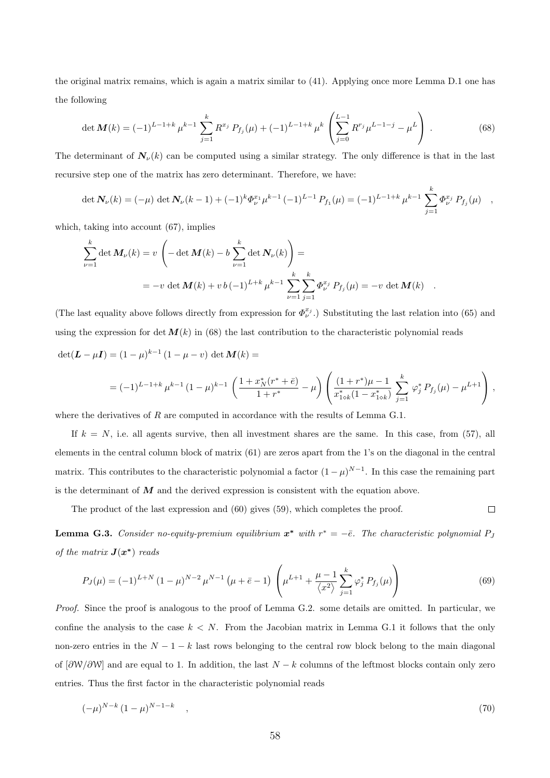the original matrix remains, which is again a matrix similar to (41). Applying once more Lemma D.1 one has the following

$$
\det \mathbf{M}(k) = (-1)^{L-1+k} \mu^{k-1} \sum_{j=1}^{k} R^{x_j} P_{f_j}(\mu) + (-1)^{L-1+k} \mu^k \left( \sum_{j=0}^{L-1} R^{r_j} \mu^{L-1-j} - \mu^L \right) . \tag{68}
$$

The determinant of  $N_{\nu}(k)$  can be computed using a similar strategy. The only difference is that in the last recursive step one of the matrix has zero determinant. Therefore, we have:

$$
\det \mathbf{N}_{\nu}(k) = (-\mu) \, \det \mathbf{N}_{\nu}(k-1) + (-1)^{k} \Phi_{\nu}^{x_{1}} \mu^{k-1} (-1)^{L-1} P_{f_{1}}(\mu) = (-1)^{L-1+k} \mu^{k-1} \sum_{j=1}^{k} \Phi_{\nu}^{x_{j}} P_{f_{j}}(\mu) ,
$$

which, taking into account (67), implies

$$
\sum_{\nu=1}^{k} \det \mathbf{M}_{\nu}(k) = v \left( -\det \mathbf{M}(k) - b \sum_{\nu=1}^{k} \det \mathbf{N}_{\nu}(k) \right) =
$$
\n
$$
= -v \det \mathbf{M}(k) + v b (-1)^{L+k} \mu^{k-1} \sum_{\nu=1}^{k} \sum_{j=1}^{k} \Phi_{\nu}^{x_j} P_{f_j}(\mu) = -v \det \mathbf{M}(k) .
$$

(The last equality above follows directly from expression for  $\Phi_{\nu}^{x_j}$ .) Substituting the last relation into (65) and using the expression for det  $M(k)$  in (68) the last contribution to the characteristic polynomial reads

 $\det(\mathbf{L} - \mu \mathbf{I}) = (1 - \mu)^{k-1} (1 - \mu - v) \det \mathbf{M}(k) =$ 

$$
= (-1)^{L-1+k} \mu^{k-1} (1-\mu)^{k-1} \left( \frac{1+x_N^*(r^*+\bar{e})}{1+r^*} - \mu \right) \left( \frac{(1+r^*)\mu-1}{x_{1\circ k}^*(1-x_{1\circ k}^*)} \sum_{j=1}^k \varphi_j^* P_{f_j}(\mu) - \mu^{L+1} \right),
$$

where the derivatives of  $R$  are computed in accordance with the results of Lemma G.1.

If  $k = N$ , i.e. all agents survive, then all investment shares are the same. In this case, from (57), all elements in the central column block of matrix (61) are zeros apart from the 1's on the diagonal in the central matrix. This contributes to the characteristic polynomial a factor  $(1 - \mu)^{N-1}$ . In this case the remaining part is the determinant of  $M$  and the derived expression is consistent with the equation above.

The product of the last expression and (60) gives (59), which completes the proof.  $\Box$ 

**Lemma G.3.** Consider no-equity-premium equilibrium  $x^*$  with  $r^* = -\overline{e}$ . The characteristic polynomial P<sub>J</sub> of the matrix  $\bm{J}(\bm{x}^*)$  reads

$$
P_J(\mu) = (-1)^{L+N} (1-\mu)^{N-2} \mu^{N-1} \left(\mu + \bar{e} - 1\right) \left(\mu^{L+1} + \frac{\mu-1}{\langle x^2 \rangle} \sum_{j=1}^k \varphi_j^* P_{f_j}(\mu)\right)
$$
(69)

Proof. Since the proof is analogous to the proof of Lemma G.2. some details are omitted. In particular, we confine the analysis to the case  $k < N$ . From the Jacobian matrix in Lemma G.1 it follows that the only non-zero entries in the  $N-1-k$  last rows belonging to the central row block belong to the main diagonal of  $\left[\frac{\partial W}{\partial W}\right]$  and are equal to 1. In addition, the last  $N - k$  columns of the leftmost blocks contain only zero entries. Thus the first factor in the characteristic polynomial reads

$$
(-\mu)^{N-k} (1-\mu)^{N-1-k} \quad , \tag{70}
$$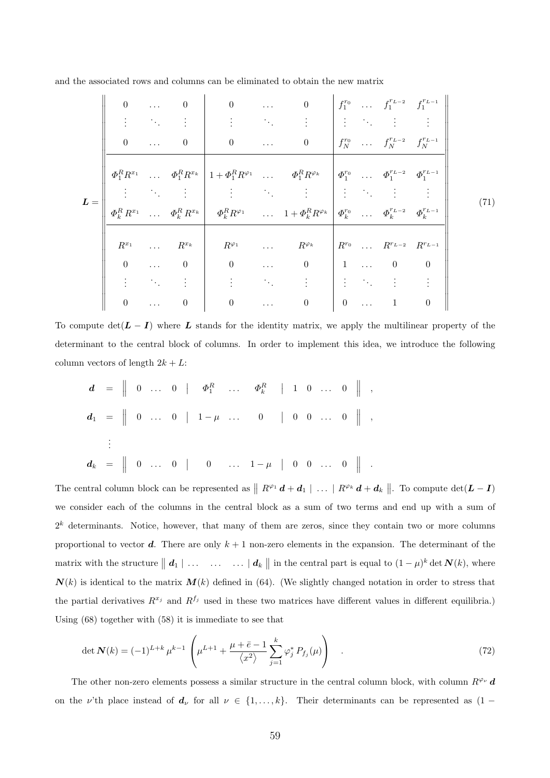|            | $\overline{0}$<br>$\boldsymbol{0}$     | $\ldots$<br>$\ldots$ | $\overline{0}$<br>$\theta$    | $\boldsymbol{0}$<br>$\overline{0}$                                                                                                                                                                                                                                                      | $\ldots$<br>$\mathcal{O}(\mathcal{E}_{\mathcal{A}})$<br>$\ldots$ | $\overline{0}$<br>$\boldsymbol{0}$                                                                                                                               |                                    |          | $f_1^{r_0}$ $f_1^{r_{L-2}}$ $f_1^{r_{L-1}}$<br>$f_N^{r_0}$ $f_N^{r_{L-2}}$ $f_N^{r_{L-1}}$ |                  |      |  |
|------------|----------------------------------------|----------------------|-------------------------------|-----------------------------------------------------------------------------------------------------------------------------------------------------------------------------------------------------------------------------------------------------------------------------------------|------------------------------------------------------------------|------------------------------------------------------------------------------------------------------------------------------------------------------------------|------------------------------------|----------|--------------------------------------------------------------------------------------------|------------------|------|--|
| $\bm{L} =$ | $\varPhi_k^R\, R^{x_1}$                |                      |                               | $\Phi_1^R R^{x_1}$ $\Phi_1^R R^{x_k}$ $1 + \Phi_1^R R^{\varphi_1}$ $\Phi_1^R R^{\varphi_k}$<br>$\begin{array}{ccc} \vdots & \ddots & \vdots \ & {}^l R^{x_1} & \ldots & \varPhi_k^R\, R^{x_k} \end{array} \begin{array}{c} \vdots & \ddots \ & {}^l R^{\varphi_1} & \ldots \end{array}$ |                                                                  | $\cdots \quad 1 + \varPhi_k^R R^{\varphi_k} \left  \begin{array}{cccc} \varPhi_k^{r_0} & \ldots & \varPhi_k^{r_{L-2}} & \varPhi_k^{r_{L-1}} \end{array} \right.$ |                                    | 그는 아직도   | $\varPhi_1^{r_0}$ $\varPhi_1^{r_{L-2}}$ $\varPhi_1^{r_{L-1}}$                              |                  | (71) |  |
|            | $\mathbb{R}^{x_1}$<br>$\boldsymbol{0}$ | .<br>$\ddotsc$       | $R^{x_k}$<br>$\boldsymbol{0}$ | $R^{\varphi_1}$<br>$\overline{0}$                                                                                                                                                                                                                                                       | $\cdots$<br>$\ldots$<br>$\mathcal{N}_{\mathcal{A},\mathcal{C}}$  | $R^{\varphi_k}$<br>$\overline{0}$                                                                                                                                | $\mathbb{R}^{r_0}$<br>$\mathbf{1}$ | $\cdots$ | $\ldots$ $R^{r_{L-2}}$ $R^{r_{L-1}}$<br>$\overline{0}$                                     | $\boldsymbol{0}$ |      |  |
|            | $\boldsymbol{0}$                       |                      | $\overline{0}$                | $\boldsymbol{0}$                                                                                                                                                                                                                                                                        | $\cdots$                                                         | $\boldsymbol{0}$                                                                                                                                                 | $\boldsymbol{0}$                   |          |                                                                                            | $\theta$         |      |  |

and the associated rows and columns can be eliminated to obtain the new matrix

To compute  $\det(L - I)$  where L stands for the identity matrix, we apply the multilinear property of the determinant to the central block of columns. In order to implement this idea, we introduce the following column vectors of length  $2k + L$ :

$$
d = \| 0 \dots 0 \| \Phi_1^R \dots \Phi_k^R \| 1 0 \dots 0 \|,
$$
  
\n
$$
d_1 = \| 0 \dots 0 \| 1 - \mu \dots 0 \| 0 0 \dots 0 \|,
$$
  
\n
$$
\vdots
$$
  
\n
$$
d_k = \| 0 \dots 0 \| 0 \dots 1 - \mu \| 0 0 \dots 0 \|.
$$

The central column block can be represented as  $\parallel R^{\varphi_1} d + d_1 \parallel \ldots \parallel R^{\varphi_k} d + d_k \parallel$ . To compute  $\det(\bm{L} - \bm{I})$ we consider each of the columns in the central block as a sum of two terms and end up with a sum of  $2<sup>k</sup>$  determinants. Notice, however, that many of them are zeros, since they contain two or more columns proportional to vector  $d$ . There are only  $k + 1$  non-zero elements in the expansion. The determinant of the matrix with the structure  $\|\mathbf{d}_1\| \dots \dots \dots \|\mathbf{d}_k\|$  in the central part is equal to  $(1-\mu)^k \det \mathbf{N}(k)$ , where  $N(k)$  is identical to the matrix  $M(k)$  defined in (64). (We slightly changed notation in order to stress that the partial derivatives  $R^{x_j}$  and  $R^{f_j}$  used in these two matrices have different values in different equilibria.) Using (68) together with (58) it is immediate to see that

$$
\det \mathbf{N}(k) = (-1)^{L+k} \mu^{k-1} \left( \mu^{L+1} + \frac{\mu + \bar{e} - 1}{\langle x^2 \rangle} \sum_{j=1}^k \varphi_j^* P_{f_j}(\mu) \right) \quad . \tag{72}
$$

The other non-zero elements possess a similar structure in the central column block, with column  $R^{\varphi_{\nu}}$  d on the v'th place instead of  $d_{\nu}$  for all  $\nu \in \{1,\ldots,k\}$ . Their determinants can be represented as  $(1 -$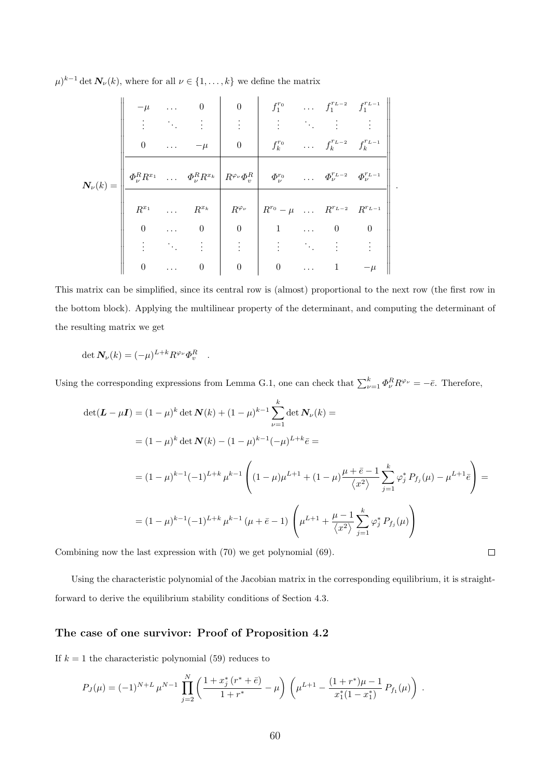|                         | $-\mu$<br>$\overline{0}$ | $\mu$                         | $\theta$                                       | $f_1^{r_0}$<br>$f_k^{r_0}$ | $\cdots$ | $\cdots \quad f_1^{r_{L-2}} \quad f_1^{r_{L-1}}$<br>$f_k^{r_{L-2}}$ $f_k^{r_{L-1}}$ |  |
|-------------------------|--------------------------|-------------------------------|------------------------------------------------|----------------------------|----------|-------------------------------------------------------------------------------------|--|
| $\mathbf{N}_{\nu}(k) =$ | $\Phi_\nu^R R^{x_1}$     | $\ldots \Phi_{\nu}^R R^{x_k}$ | $\left  R^{\varphi_{\nu}} \varPhi_v^R \right $ | $\varPhi_\nu^{r_0}$        |          | $\ldots \Phi_{\nu}^{r_{L-2}} \Phi_{\nu}^{r_{L-1}}$                                  |  |
|                         | $\mathbb{R}^{x_1}$       | $R^{x_k}$                     | $R^{\varphi_{\nu}}$                            | $R^{r_0} - \mu$            |          | $\ldots$ $R^{r_{L-2}}$ $R^{r_{L-1}}$                                                |  |
|                         | $\theta$                 |                               | $\overline{0}$                                 | 1                          |          |                                                                                     |  |
|                         |                          |                               |                                                |                            |          |                                                                                     |  |
|                         | $\Omega$                 |                               |                                                | $\overline{0}$             |          |                                                                                     |  |

This matrix can be simplified, since its central row is (almost) proportional to the next row (the first row in the bottom block). Applying the multilinear property of the determinant, and computing the determinant of the resulting matrix we get

.

 $\Box$ 

$$
\det \mathbf{N}_{\nu}(k) = (-\mu)^{L+k} R^{\varphi_{\nu}} \Phi_{v}^{R}
$$

Using the corresponding expressions from Lemma G.1, one can check that  $\sum_{\nu=1}^{k} \Phi_{\nu}^{R} R^{\varphi_{\nu}} = -\bar{e}$ . Therefore,

$$
\begin{split} \det(\mathbf{L} - \mu \mathbf{I}) &= (1 - \mu)^k \det \mathbf{N}(k) + (1 - \mu)^{k-1} \sum_{\nu=1}^k \det \mathbf{N}_{\nu}(k) = \\ &= (1 - \mu)^k \det \mathbf{N}(k) - (1 - \mu)^{k-1} (-\mu)^{L+k} \bar{e} = \\ &= (1 - \mu)^{k-1} (-1)^{L+k} \mu^{k-1} \left( (1 - \mu)\mu^{L+1} + (1 - \mu) \frac{\mu + \bar{e} - 1}{\langle x^2 \rangle} \sum_{j=1}^k \varphi_j^* P_{f_j}(\mu) - \mu^{L+1} \bar{e} \right) = \\ &= (1 - \mu)^{k-1} (-1)^{L+k} \mu^{k-1} \left( \mu + \bar{e} - 1 \right) \left( \mu^{L+1} + \frac{\mu - 1}{\langle x^2 \rangle} \sum_{j=1}^k \varphi_j^* P_{f_j}(\mu) \right) \end{split}
$$

Combining now the last expression with (70) we get polynomial (69).

.

Using the characteristic polynomial of the Jacobian matrix in the corresponding equilibrium, it is straightforward to derive the equilibrium stability conditions of Section 4.3.

#### The case of one survivor: Proof of Proposition 4.2

If  $k = 1$  the characteristic polynomial (59) reduces to

$$
P_J(\mu) = (-1)^{N+L} \mu^{N-1} \prod_{j=2}^N \left( \frac{1+x_j^*(r^*+\bar{e})}{1+r^*} - \mu \right) \left( \mu^{L+1} - \frac{(1+r^*)\mu - 1}{x_1^*(1-x_1^*)} P_{f_1}(\mu) \right) .
$$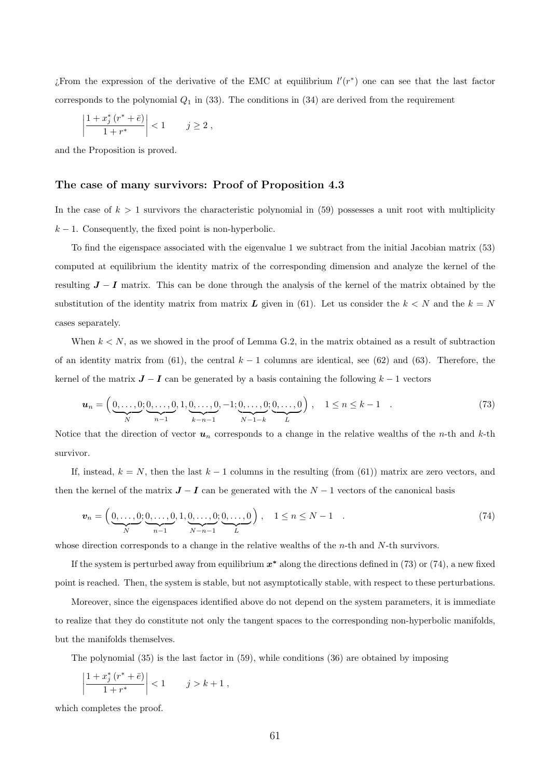¿From the expression of the derivative of the EMC at equilibrium  $l'(r^*)$  one can see that the last factor corresponds to the polynomial  $Q_1$  in (33). The conditions in (34) are derived from the requirement

$$
\left|\frac{1+x_j^*\left(r^*+\bar{e}\right)}{1+r^*}\right|<1\qquad j\geq 2\;,
$$

and the Proposition is proved.

#### The case of many survivors: Proof of Proposition 4.3

In the case of  $k > 1$  survivors the characteristic polynomial in (59) possesses a unit root with multiplicity  $k - 1$ . Consequently, the fixed point is non-hyperbolic.

To find the eigenspace associated with the eigenvalue 1 we subtract from the initial Jacobian matrix (53) computed at equilibrium the identity matrix of the corresponding dimension and analyze the kernel of the resulting  $J - I$  matrix. This can be done through the analysis of the kernel of the matrix obtained by the substitution of the identity matrix from matrix L given in (61). Let us consider the  $k < N$  and the  $k = N$ cases separately.

When  $k \leq N$ , as we showed in the proof of Lemma G.2, in the matrix obtained as a result of subtraction of an identity matrix from (61), the central  $k-1$  columns are identical, see (62) and (63). Therefore, the kernel of the matrix  $J - I$  can be generated by a basis containing the following  $k - 1$  vectors

$$
\boldsymbol{u}_n = \left( \underbrace{0, \dots, 0}_{N}; \underbrace{0, \dots, 0}_{n-1}, 1, \underbrace{0, \dots, 0}_{k-n-1}, -1; \underbrace{0, \dots, 0}_{N-1-k}; \underbrace{0, \dots, 0}_{L} \right), \quad 1 \le n \le k-1 \quad . \tag{73}
$$

Notice that the direction of vector  $u_n$  corresponds to a change in the relative wealths of the *n*-th and k-th survivor.

If, instead,  $k = N$ , then the last  $k - 1$  columns in the resulting (from (61)) matrix are zero vectors, and then the kernel of the matrix  $J - I$  can be generated with the  $N - 1$  vectors of the canonical basis

$$
\boldsymbol{v}_n = \left( \underbrace{0, \ldots, 0}_{N}; \underbrace{0, \ldots, 0}_{n-1}, 1, \underbrace{0, \ldots, 0}_{N-n-1}; \underbrace{0, \ldots, 0}_{L} \right), \quad 1 \le n \le N-1 \quad . \tag{74}
$$

whose direction corresponds to a change in the relative wealths of the  $n$ -th and  $N$ -th survivors.

If the system is perturbed away from equilibrium  $x^*$  along the directions defined in (73) or (74), a new fixed point is reached. Then, the system is stable, but not asymptotically stable, with respect to these perturbations.

Moreover, since the eigenspaces identified above do not depend on the system parameters, it is immediate to realize that they do constitute not only the tangent spaces to the corresponding non-hyperbolic manifolds, but the manifolds themselves.

The polynomial (35) is the last factor in (59), while conditions (36) are obtained by imposing

$$
\left|\frac{1+x_j^*\left(r^*+\bar{e}\right)}{1+r^*}\right|<1\qquad j>k+1\;,
$$

which completes the proof.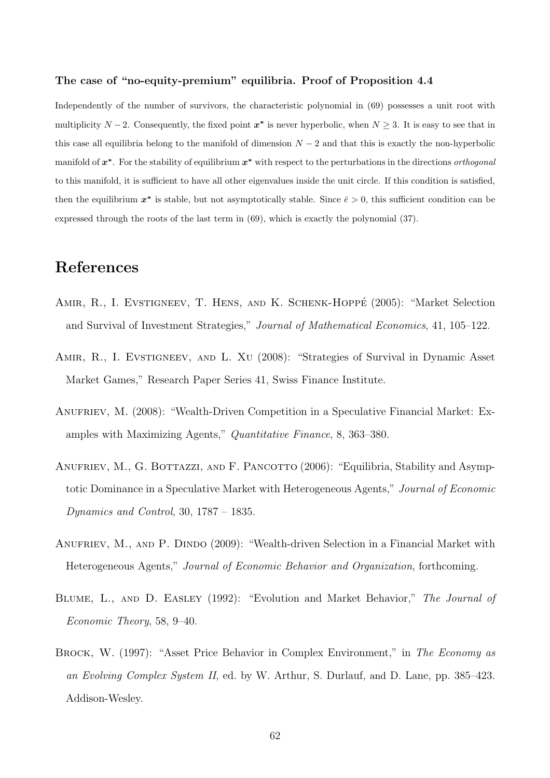#### The case of "no-equity-premium" equilibria. Proof of Proposition 4.4

Independently of the number of survivors, the characteristic polynomial in (69) possesses a unit root with multiplicity  $N-2$ . Consequently, the fixed point  $x^*$  is never hyperbolic, when  $N \geq 3$ . It is easy to see that in this case all equilibria belong to the manifold of dimension  $N-2$  and that this is exactly the non-hyperbolic manifold of  $x^*$ . For the stability of equilibrium  $x^*$  with respect to the perturbations in the directions *orthogonal* to this manifold, it is sufficient to have all other eigenvalues inside the unit circle. If this condition is satisfied, then the equilibrium  $x^*$  is stable, but not asymptotically stable. Since  $\bar{e} > 0$ , this sufficient condition can be expressed through the roots of the last term in (69), which is exactly the polynomial (37).

## References

- AMIR, R., I. EVSTIGNEEV, T. HENS, AND K. SCHENK-HOPPÉ (2005): "Market Selection and Survival of Investment Strategies," Journal of Mathematical Economics, 41, 105–122.
- AMIR, R., I. EVSTIGNEEV, AND L. XU (2008): "Strategies of Survival in Dynamic Asset Market Games," Research Paper Series 41, Swiss Finance Institute.
- Anufriev, M. (2008): "Wealth-Driven Competition in a Speculative Financial Market: Examples with Maximizing Agents," Quantitative Finance, 8, 363–380.
- ANUFRIEV, M., G. BOTTAZZI, AND F. PANCOTTO (2006): "Equilibria, Stability and Asymptotic Dominance in a Speculative Market with Heterogeneous Agents," Journal of Economic Dynamics and Control, 30,  $1787 - 1835$ .
- ANUFRIEV, M., AND P. DINDO (2009): "Wealth-driven Selection in a Financial Market with Heterogeneous Agents," Journal of Economic Behavior and Organization, forthcoming.
- BLUME, L., AND D. EASLEY (1992): "Evolution and Market Behavior," The Journal of Economic Theory, 58, 9–40.
- BROCK, W. (1997): "Asset Price Behavior in Complex Environment," in The Economy as an Evolving Complex System II, ed. by W. Arthur, S. Durlauf, and D. Lane, pp. 385–423. Addison-Wesley.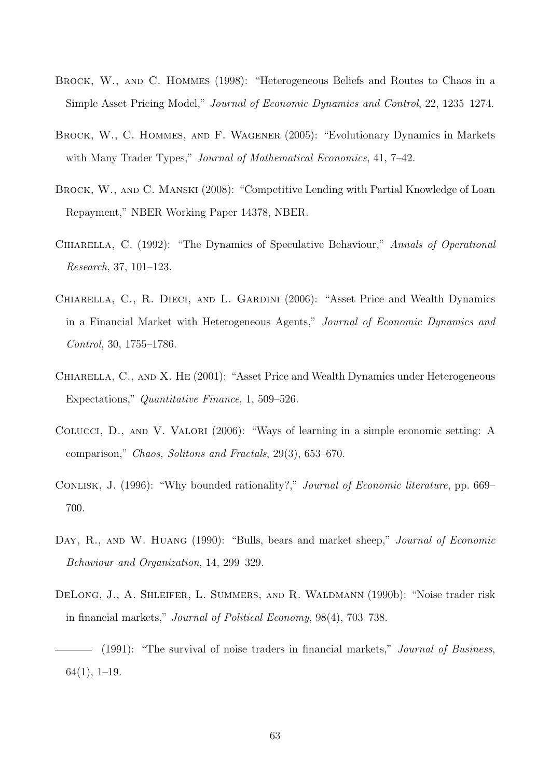- BROCK, W., AND C. HOMMES (1998): "Heterogeneous Beliefs and Routes to Chaos in a Simple Asset Pricing Model," Journal of Economic Dynamics and Control, 22, 1235–1274.
- BROCK, W., C. HOMMES, AND F. WAGENER (2005): "Evolutionary Dynamics in Markets with Many Trader Types," Journal of Mathematical Economics, 41, 7-42.
- BROCK, W., AND C. MANSKI (2008): "Competitive Lending with Partial Knowledge of Loan Repayment," NBER Working Paper 14378, NBER.
- CHIARELLA, C. (1992): "The Dynamics of Speculative Behaviour," Annals of Operational Research, 37, 101–123.
- CHIARELLA, C., R. DIECI, AND L. GARDINI (2006): "Asset Price and Wealth Dynamics in a Financial Market with Heterogeneous Agents," Journal of Economic Dynamics and Control, 30, 1755–1786.
- CHIARELLA, C., AND X. HE (2001): "Asset Price and Wealth Dynamics under Heterogeneous Expectations," Quantitative Finance, 1, 509–526.
- Colucci, D., and V. Valori (2006): "Ways of learning in a simple economic setting: A comparison," Chaos, Solitons and Fractals, 29(3), 653–670.
- CONLISK, J. (1996): "Why bounded rationality?," *Journal of Economic literature*, pp. 669– 700.
- DAY, R., AND W. HUANG (1990): "Bulls, bears and market sheep," *Journal of Economic* Behaviour and Organization, 14, 299–329.
- DELONG, J., A. SHLEIFER, L. SUMMERS, AND R. WALDMANN (1990b): "Noise trader risk in financial markets," Journal of Political Economy, 98(4), 703–738.
- (1991): "The survival of noise traders in financial markets," Journal of Business, 64(1), 1–19.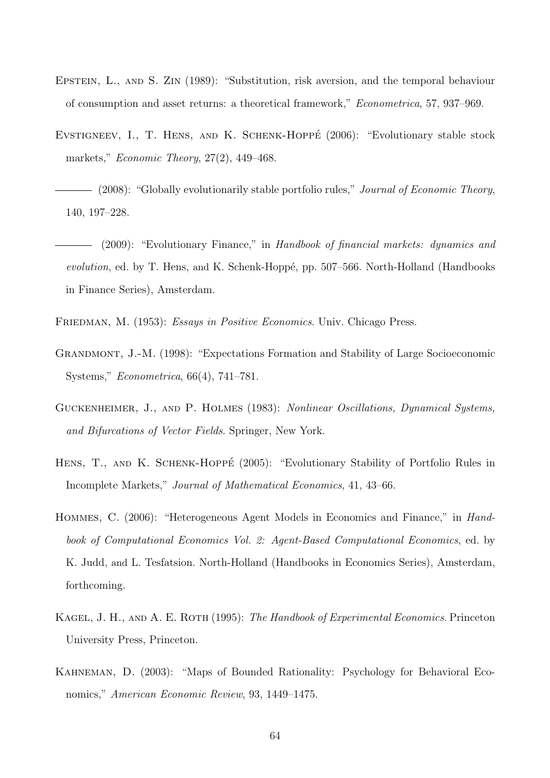- Epstein, L., and S. Zin (1989): "Substitution, risk aversion, and the temporal behaviour of consumption and asset returns: a theoretical framework," Econometrica, 57, 937–969.
- EVSTIGNEEV, I., T. HENS, AND K. SCHENK-HOPPÉ (2006): "Evolutionary stable stock markets," *Economic Theory*, 27(2), 449–468.
- (2008): "Globally evolutionarily stable portfolio rules," *Journal of Economic Theory*, 140, 197–228.
- (2009): "Evolutionary Finance," in Handbook of financial markets: dynamics and evolution, ed. by T. Hens, and K. Schenk-Hoppé, pp.  $507-566$ . North-Holland (Handbooks in Finance Series), Amsterdam.
- Friedman, M. (1953): Essays in Positive Economics. Univ. Chicago Press.
- Grandmont, J.-M. (1998): "Expectations Formation and Stability of Large Socioeconomic Systems," Econometrica, 66(4), 741–781.
- Guckenheimer, J., and P. Holmes (1983): Nonlinear Oscillations, Dynamical Systems, and Bifurcations of Vector Fields. Springer, New York.
- HENS, T., AND K. SCHENK-HOPPÉ (2005): "Evolutionary Stability of Portfolio Rules in Incomplete Markets," Journal of Mathematical Economics, 41, 43–66.
- Hommes, C. (2006): "Heterogeneous Agent Models in Economics and Finance," in Handbook of Computational Economics Vol. 2: Agent-Based Computational Economics, ed. by K. Judd, and L. Tesfatsion. North-Holland (Handbooks in Economics Series), Amsterdam, forthcoming.
- KAGEL, J. H., AND A. E. ROTH (1995): The Handbook of Experimental Economics. Princeton University Press, Princeton.
- Kahneman, D. (2003): "Maps of Bounded Rationality: Psychology for Behavioral Economics," American Economic Review, 93, 1449–1475.